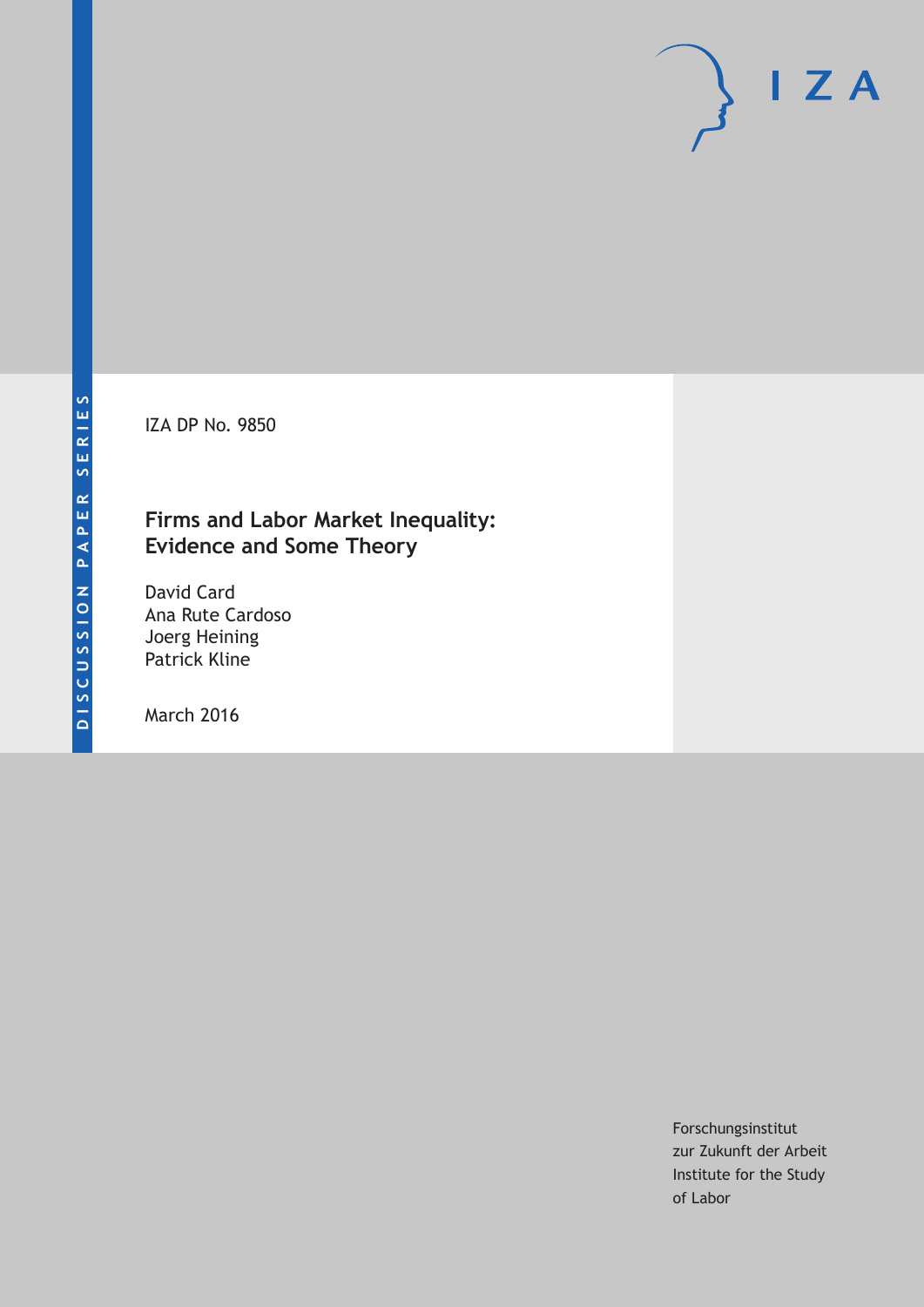IZA DP No. 9850

# **Firms and Labor Market Inequality: Evidence and Some Theory**

David Card Ana Rute Cardoso Joerg Heining Patrick Kline

March 2016

Forschungsinstitut zur Zukunft der Arbeit Institute for the Study of Labor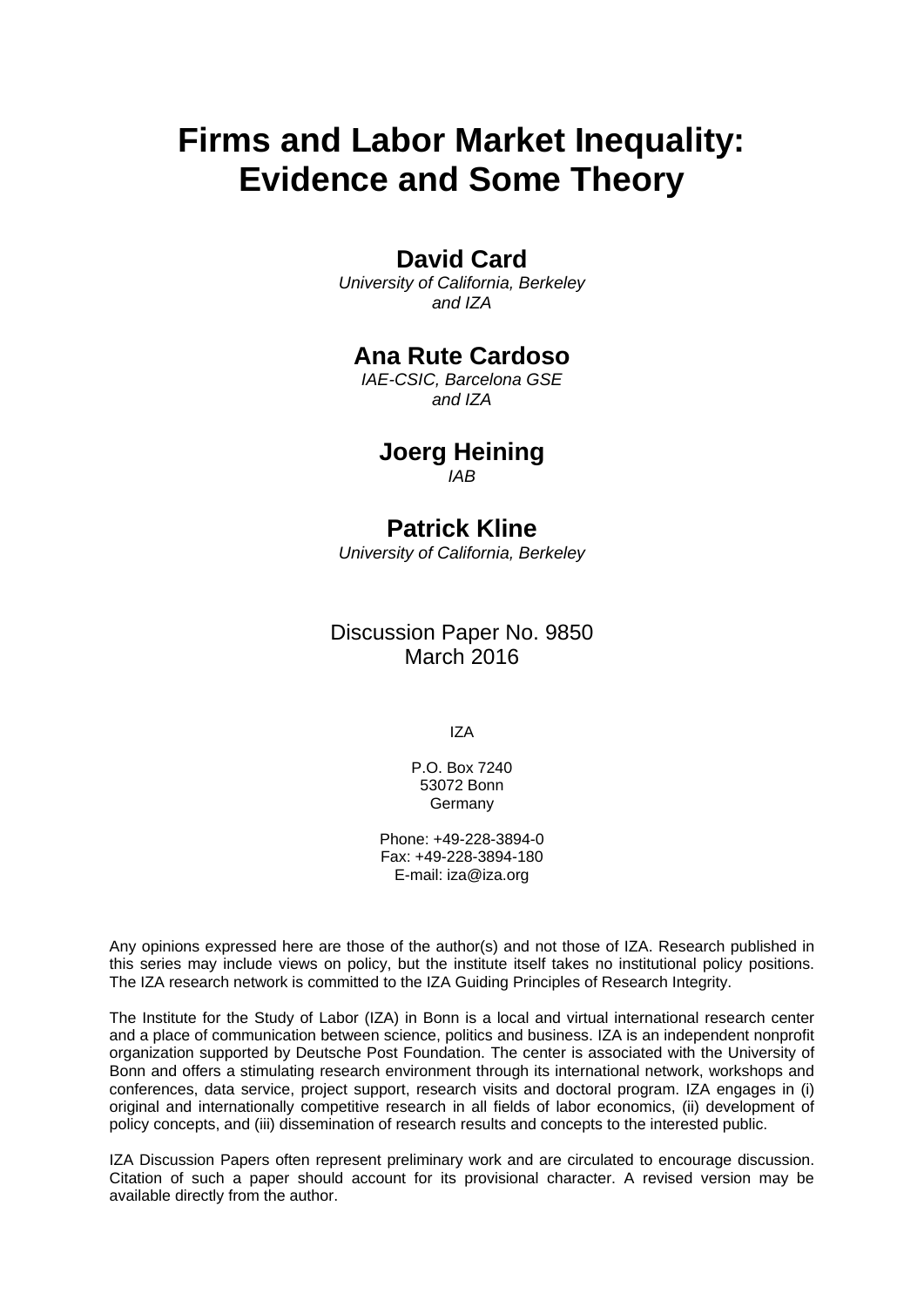# **Firms and Labor Market Inequality: Evidence and Some Theory**

# **David Card**

*University of California, Berkeley and IZA* 

# **Ana Rute Cardoso**

*IAE-CSIC, Barcelona GSE and IZA* 

# **Joerg Heining**

*IAB*

# **Patrick Kline**

*University of California, Berkeley* 

Discussion Paper No. 9850 March 2016

IZA

P.O. Box 7240 53072 Bonn **Germany** 

Phone: +49-228-3894-0 Fax: +49-228-3894-180 E-mail: iza@iza.org

Any opinions expressed here are those of the author(s) and not those of IZA. Research published in this series may include views on policy, but the institute itself takes no institutional policy positions. The IZA research network is committed to the IZA Guiding Principles of Research Integrity.

The Institute for the Study of Labor (IZA) in Bonn is a local and virtual international research center and a place of communication between science, politics and business. IZA is an independent nonprofit organization supported by Deutsche Post Foundation. The center is associated with the University of Bonn and offers a stimulating research environment through its international network, workshops and conferences, data service, project support, research visits and doctoral program. IZA engages in (i) original and internationally competitive research in all fields of labor economics, (ii) development of policy concepts, and (iii) dissemination of research results and concepts to the interested public.

IZA Discussion Papers often represent preliminary work and are circulated to encourage discussion. Citation of such a paper should account for its provisional character. A revised version may be available directly from the author.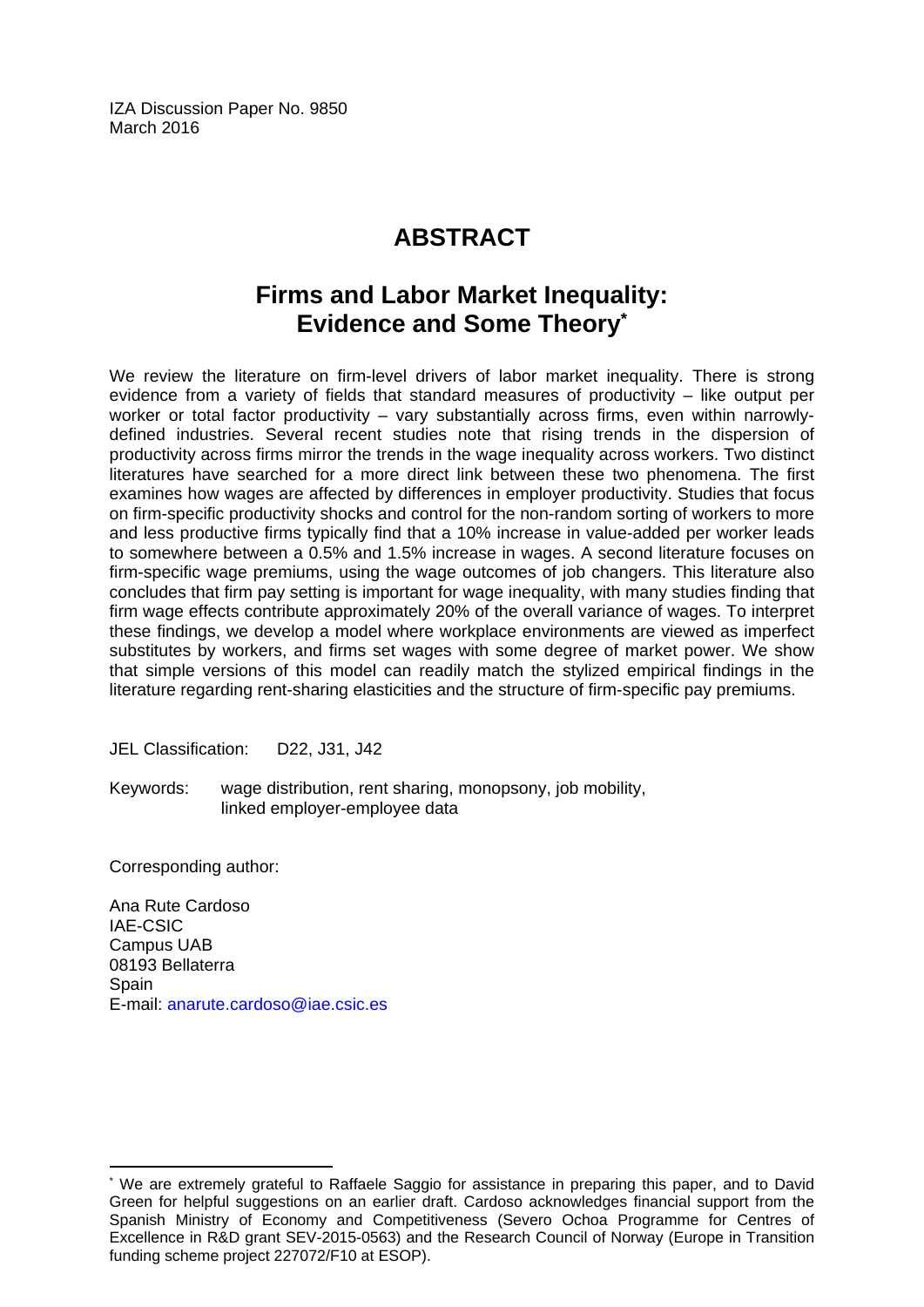IZA Discussion Paper No. 9850 March 2016

# **ABSTRACT**

# **Firms and Labor Market Inequality: Evidence and Some Theory\***

We review the literature on firm-level drivers of labor market inequality. There is strong evidence from a variety of fields that standard measures of productivity – like output per worker or total factor productivity – vary substantially across firms, even within narrowlydefined industries. Several recent studies note that rising trends in the dispersion of productivity across firms mirror the trends in the wage inequality across workers. Two distinct literatures have searched for a more direct link between these two phenomena. The first examines how wages are affected by differences in employer productivity. Studies that focus on firm-specific productivity shocks and control for the non-random sorting of workers to more and less productive firms typically find that a 10% increase in value-added per worker leads to somewhere between a 0.5% and 1.5% increase in wages. A second literature focuses on firm-specific wage premiums, using the wage outcomes of job changers. This literature also concludes that firm pay setting is important for wage inequality, with many studies finding that firm wage effects contribute approximately 20% of the overall variance of wages. To interpret these findings, we develop a model where workplace environments are viewed as imperfect substitutes by workers, and firms set wages with some degree of market power. We show that simple versions of this model can readily match the stylized empirical findings in the literature regarding rent-sharing elasticities and the structure of firm-specific pay premiums.

JEL Classification: D22, J31, J42

Keywords: wage distribution, rent sharing, monopsony, job mobility, linked employer-employee data

Corresponding author:

 $\overline{a}$ 

Ana Rute Cardoso IAE-CSIC Campus UAB 08193 Bellaterra **Spain** E-mail: anarute.cardoso@iae.csic.es

<sup>\*</sup> We are extremely grateful to Raffaele Saggio for assistance in preparing this paper, and to David Green for helpful suggestions on an earlier draft. Cardoso acknowledges financial support from the Spanish Ministry of Economy and Competitiveness (Severo Ochoa Programme for Centres of Excellence in R&D grant SEV-2015-0563) and the Research Council of Norway (Europe in Transition funding scheme project 227072/F10 at ESOP).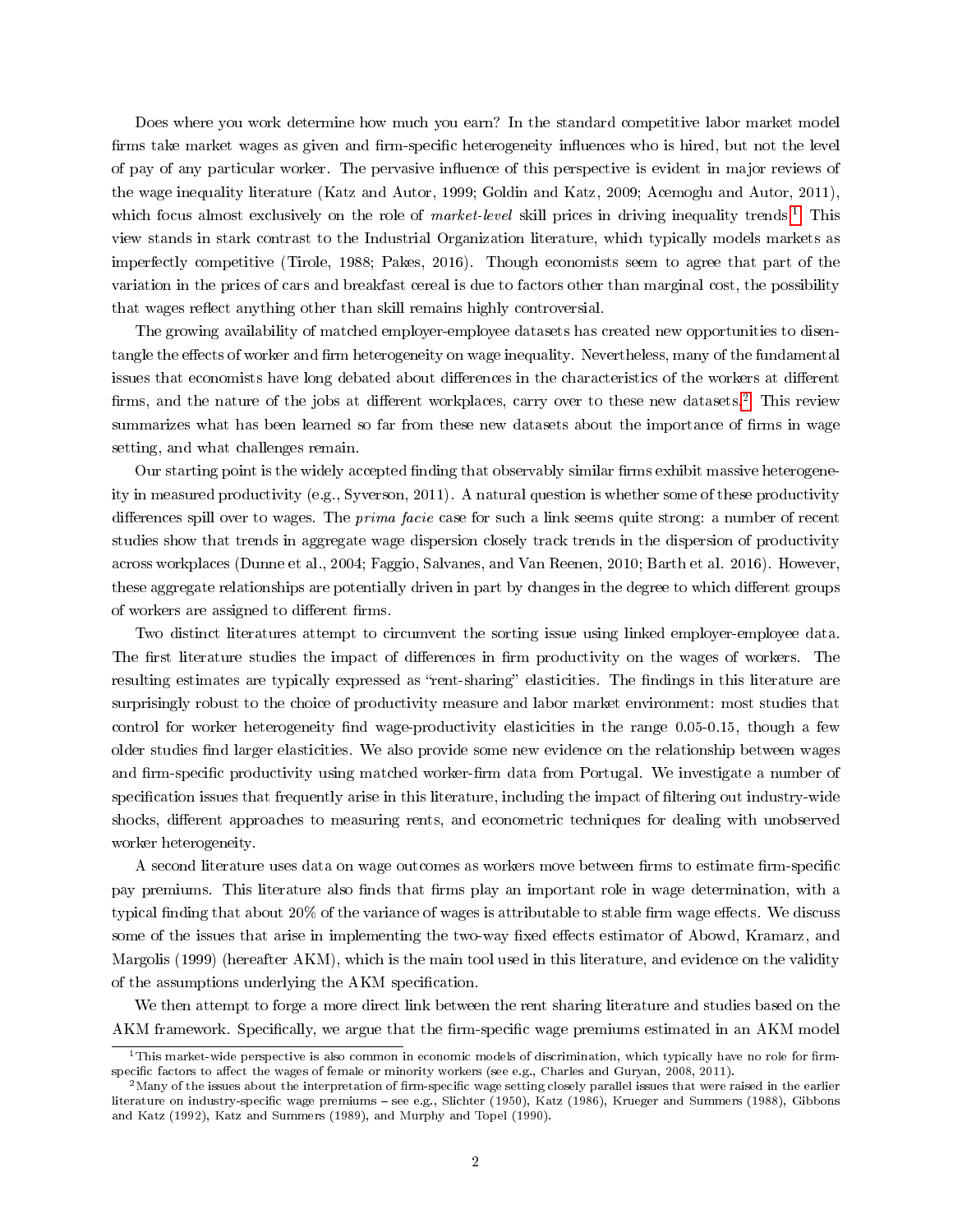Does where you work determine how much you earn? In the standard competitive labor market model firms take market wages as given and firm-specific heterogeneity influences who is hired, but not the level of pay of any particular worker. The pervasive inuence of this perspective is evident in major reviews of the wage inequality literature (Katz and Autor, 1999; Goldin and Katz, 2009; Acemoglu and Autor, 2011), which focus almost exclusively on the role of *market-level* skill prices in driving inequality trends.<sup>[1](#page-3-0)</sup> This view stands in stark contrast to the Industrial Organization literature, which typically models markets as imperfectly competitive (Tirole, 1988; Pakes, 2016). Though economists seem to agree that part of the variation in the prices of cars and breakfast cereal is due to factors other than marginal cost, the possibility that wages reflect anything other than skill remains highly controversial.

The growing availability of matched employer-employee datasets has created new opportunities to disentangle the effects of worker and firm heterogeneity on wage inequality. Nevertheless, many of the fundamental issues that economists have long debated about differences in the characteristics of the workers at different firms, and the nature of the jobs at different workplaces, carry over to these new datasets.<sup>[2](#page-3-1)</sup> This review summarizes what has been learned so far from these new datasets about the importance of firms in wage setting, and what challenges remain.

Our starting point is the widely accepted finding that observably similar firms exhibit massive heterogeneity in measured productivity (e.g., Syverson, 2011). A natural question is whether some of these productivity differences spill over to wages. The *prima facie* case for such a link seems quite strong: a number of recent studies show that trends in aggregate wage dispersion closely track trends in the dispersion of productivity across workplaces (Dunne et al., 2004; Faggio, Salvanes, and Van Reenen, 2010; Barth et al. 2016). However, these aggregate relationships are potentially driven in part by changes in the degree to which different groups of workers are assigned to different firms.

Two distinct literatures attempt to circumvent the sorting issue using linked employer-employee data. The first literature studies the impact of differences in firm productivity on the wages of workers. The resulting estimates are typically expressed as "rent-sharing" elasticities. The findings in this literature are surprisingly robust to the choice of productivity measure and labor market environment: most studies that control for worker heterogeneity find wage-productivity elasticities in the range  $0.05-0.15$ , though a few older studies nd larger elasticities. We also provide some new evidence on the relationship between wages and firm-specific productivity using matched worker-firm data from Portugal. We investigate a number of specification issues that frequently arise in this literature, including the impact of filtering out industry-wide shocks, different approaches to measuring rents, and econometric techniques for dealing with unobserved worker heterogeneity.

A second literature uses data on wage outcomes as workers move between firms to estimate firm-specific pay premiums. This literature also finds that firms play an important role in wage determination, with a typical finding that about 20% of the variance of wages is attributable to stable firm wage effects. We discuss some of the issues that arise in implementing the two-way fixed effects estimator of Abowd, Kramarz, and Margolis (1999) (hereafter AKM), which is the main tool used in this literature, and evidence on the validity of the assumptions underlying the AKM specification.

We then attempt to forge a more direct link between the rent sharing literature and studies based on the AKM framework. Specifically, we argue that the firm-specific wage premiums estimated in an AKM model

<span id="page-3-0"></span><sup>&</sup>lt;sup>1</sup>This market-wide perspective is also common in economic models of discrimination, which typically have no role for firmspecific factors to affect the wages of female or minority workers (see e.g., Charles and Guryan, 2008, 2011).

<span id="page-3-1"></span> $2$ Many of the issues about the interpretation of firm-specific wage setting closely parallel issues that were raised in the earlier literature on industry-specific wage premiums - see e.g., Slichter (1950), Katz (1986), Krueger and Summers (1988), Gibbons and Katz (1992), Katz and Summers (1989), and Murphy and Topel (1990).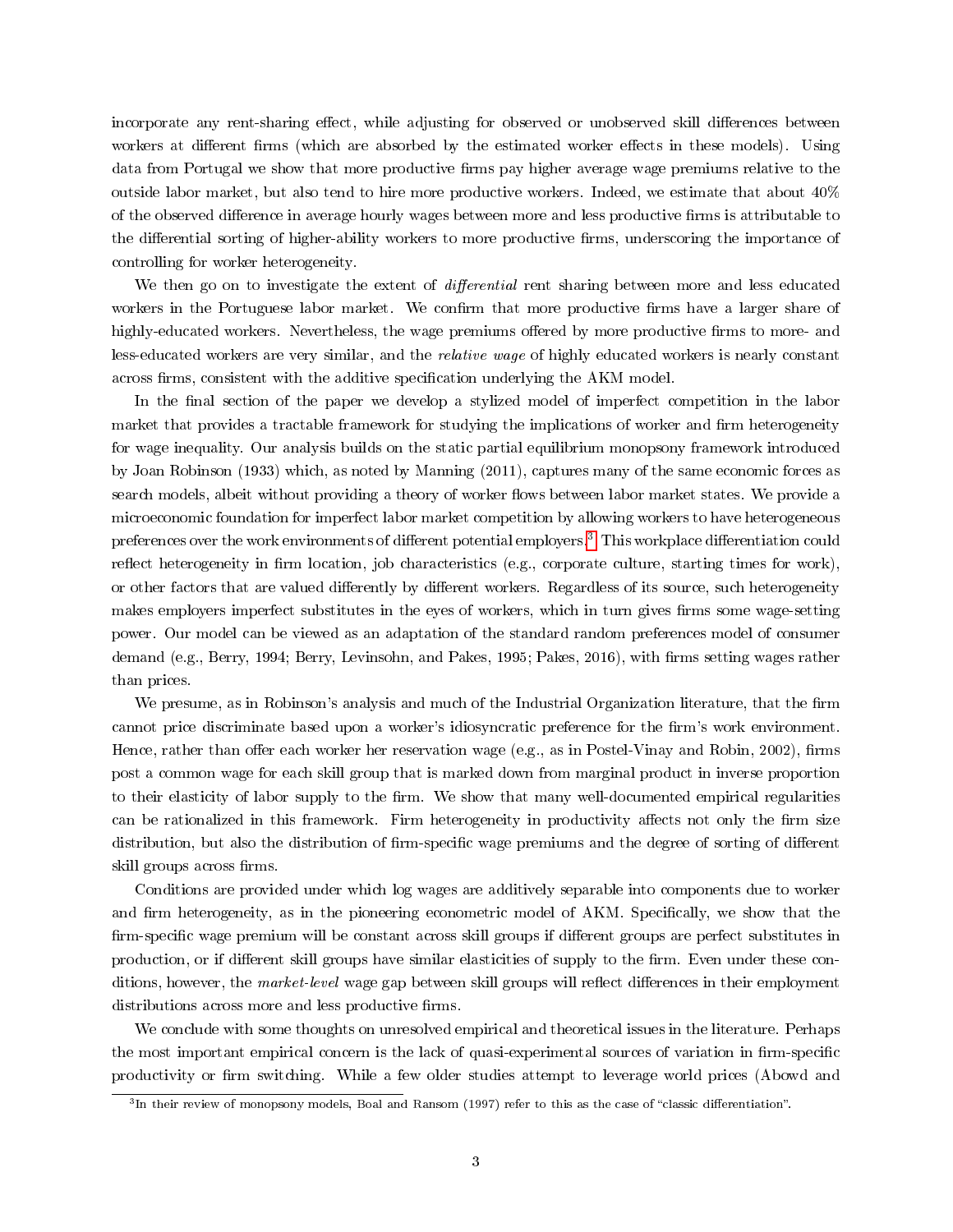incorporate any rent-sharing effect, while adjusting for observed or unobserved skill differences between workers at different firms (which are absorbed by the estimated worker effects in these models). Using data from Portugal we show that more productive firms pay higher average wage premiums relative to the outside labor market, but also tend to hire more productive workers. Indeed, we estimate that about 40% of the observed difference in average hourly wages between more and less productive firms is attributable to the differential sorting of higher-ability workers to more productive firms, underscoring the importance of controlling for worker heterogeneity.

We then go on to investigate the extent of *differential* rent sharing between more and less educated workers in the Portuguese labor market. We confirm that more productive firms have a larger share of highly-educated workers. Nevertheless, the wage premiums offered by more productive firms to more- and less-educated workers are very similar, and the relative wage of highly educated workers is nearly constant across firms, consistent with the additive specification underlying the AKM model.

In the final section of the paper we develop a stylized model of imperfect competition in the labor market that provides a tractable framework for studying the implications of worker and firm heterogeneity for wage inequality. Our analysis builds on the static partial equilibrium monopsony framework introduced by Joan Robinson (1933) which, as noted by Manning (2011), captures many of the same economic forces as search models, albeit without providing a theory of worker flows between labor market states. We provide a microeconomic foundation for imperfect labor market competition by allowing workers to have heterogeneous preferences over the work environments of different potential employers.<sup>[3](#page-4-0)</sup> This workplace differentiation could reflect heterogeneity in firm location, job characteristics (e.g., corporate culture, starting times for work), or other factors that are valued differently by different workers. Regardless of its source, such heterogeneity makes employers imperfect substitutes in the eyes of workers, which in turn gives firms some wage-setting power. Our model can be viewed as an adaptation of the standard random preferences model of consumer demand (e.g., Berry, 1994; Berry, Levinsohn, and Pakes, 1995; Pakes, 2016), with firms setting wages rather than prices.

We presume, as in Robinson's analysis and much of the Industrial Organization literature, that the firm cannot price discriminate based upon a worker's idiosyncratic preference for the firm's work environment. Hence, rather than offer each worker her reservation wage (e.g., as in Postel-Vinay and Robin, 2002), firms post a common wage for each skill group that is marked down from marginal product in inverse proportion to their elasticity of labor supply to the firm. We show that many well-documented empirical regularities can be rationalized in this framework. Firm heterogeneity in productivity affects not only the firm size distribution, but also the distribution of firm-specific wage premiums and the degree of sorting of different skill groups across firms.

Conditions are provided under which log wages are additively separable into components due to worker and firm heterogeneity, as in the pioneering econometric model of AKM. Specifically, we show that the firm-specific wage premium will be constant across skill groups if different groups are perfect substitutes in production, or if different skill groups have similar elasticities of supply to the firm. Even under these conditions, however, the market-level wage gap between skill groups will reflect differences in their employment distributions across more and less productive firms.

We conclude with some thoughts on unresolved empirical and theoretical issues in the literature. Perhaps the most important empirical concern is the lack of quasi-experimental sources of variation in firm-specific productivity or firm switching. While a few older studies attempt to leverage world prices (Abowd and

<span id="page-4-0"></span> $^3$ In their review of monopsony models, Boal and Ransom (1997) refer to this as the case of "classic differentiation".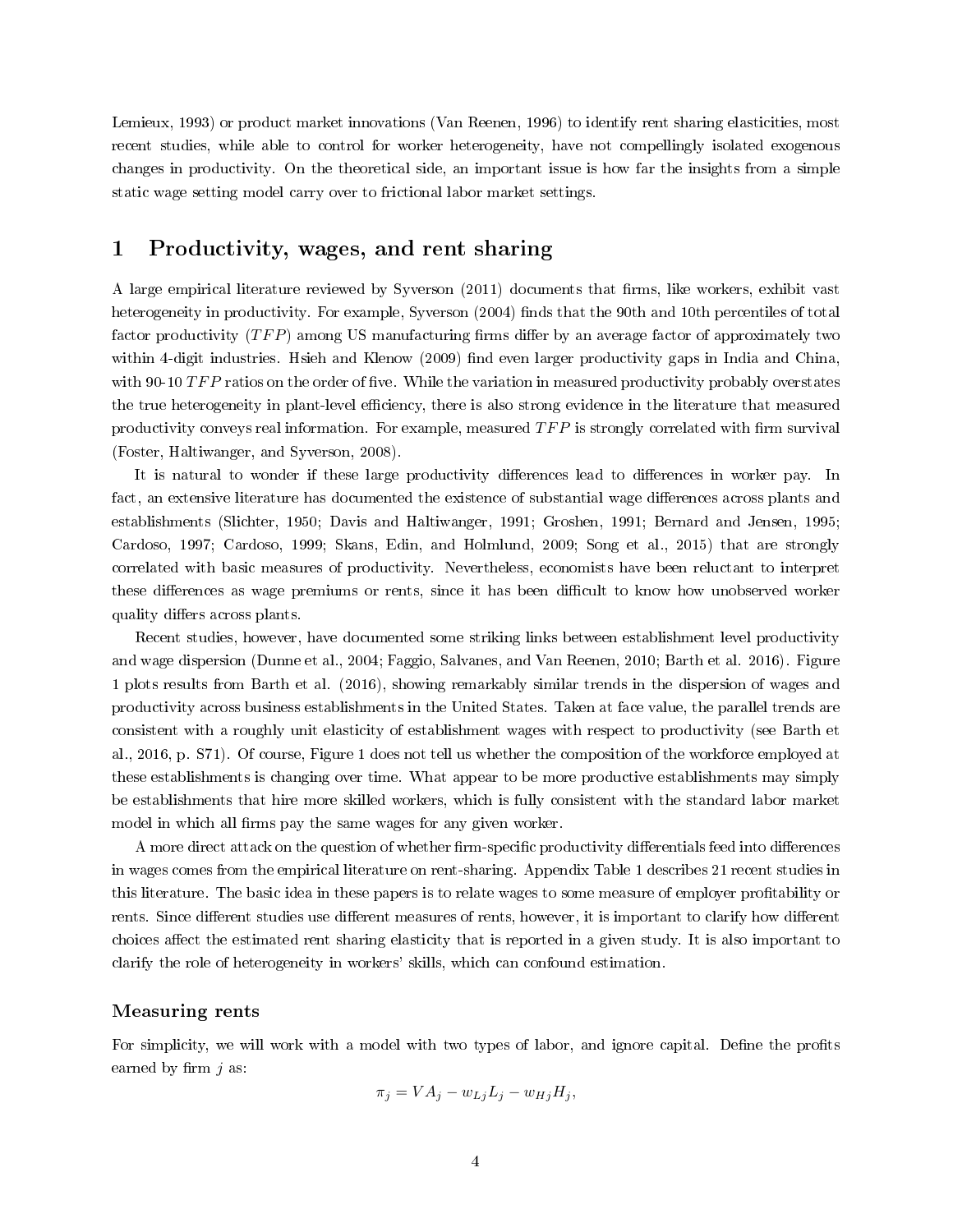Lemieux, 1993) or product market innovations (Van Reenen, 1996) to identify rent sharing elasticities, most recent studies, while able to control for worker heterogeneity, have not compellingly isolated exogenous changes in productivity. On the theoretical side, an important issue is how far the insights from a simple static wage setting model carry over to frictional labor market settings.

# 1 Productivity, wages, and rent sharing

A large empirical literature reviewed by Syverson (2011) documents that firms, like workers, exhibit vast heterogeneity in productivity. For example, Syverson (2004) finds that the 90th and 10th percentiles of total factor productivity  $(TFP)$  among US manufacturing firms differ by an average factor of approximately two within 4-digit industries. Hsieh and Klenow (2009) find even larger productivity gaps in India and China, with 90-10  $TFP$  ratios on the order of five. While the variation in measured productivity probably overstates the true heterogeneity in plant-level efficiency, there is also strong evidence in the literature that measured productivity conveys real information. For example, measured  $TFP$  is strongly correlated with firm survival (Foster, Haltiwanger, and Syverson, 2008).

It is natural to wonder if these large productivity differences lead to differences in worker pay. In fact, an extensive literature has documented the existence of substantial wage differences across plants and establishments (Slichter, 1950; Davis and Haltiwanger, 1991; Groshen, 1991; Bernard and Jensen, 1995; Cardoso, 1997; Cardoso, 1999; Skans, Edin, and Holmlund, 2009; Song et al., 2015) that are strongly correlated with basic measures of productivity. Nevertheless, economists have been reluctant to interpret these differences as wage premiums or rents, since it has been difficult to know how unobserved worker quality differs across plants.

Recent studies, however, have documented some striking links between establishment level productivity and wage dispersion (Dunne et al., 2004; Faggio, Salvanes, and Van Reenen, 2010; Barth et al. 2016). Figure 1 plots results from Barth et al. (2016), showing remarkably similar trends in the dispersion of wages and productivity across business establishments in the United States. Taken at face value, the parallel trends are consistent with a roughly unit elasticity of establishment wages with respect to productivity (see Barth et al., 2016, p. S71). Of course, Figure 1 does not tell us whether the composition of the workforce employed at these establishments is changing over time. What appear to be more productive establishments may simply be establishments that hire more skilled workers, which is fully consistent with the standard labor market model in which all firms pay the same wages for any given worker.

A more direct attack on the question of whether firm-specific productivity differentials feed into differences in wages comes from the empirical literature on rent-sharing. Appendix Table 1 describes 21 recent studies in this literature. The basic idea in these papers is to relate wages to some measure of employer profitability or rents. Since different studies use different measures of rents, however, it is important to clarify how different choices affect the estimated rent sharing elasticity that is reported in a given study. It is also important to clarify the role of heterogeneity in workers' skills, which can confound estimation.

### Measuring rents

For simplicity, we will work with a model with two types of labor, and ignore capital. Define the profits earned by firm  $j$  as:

$$
\pi_j = VA_j - w_{Lj}L_j - w_{Hj}H_j,
$$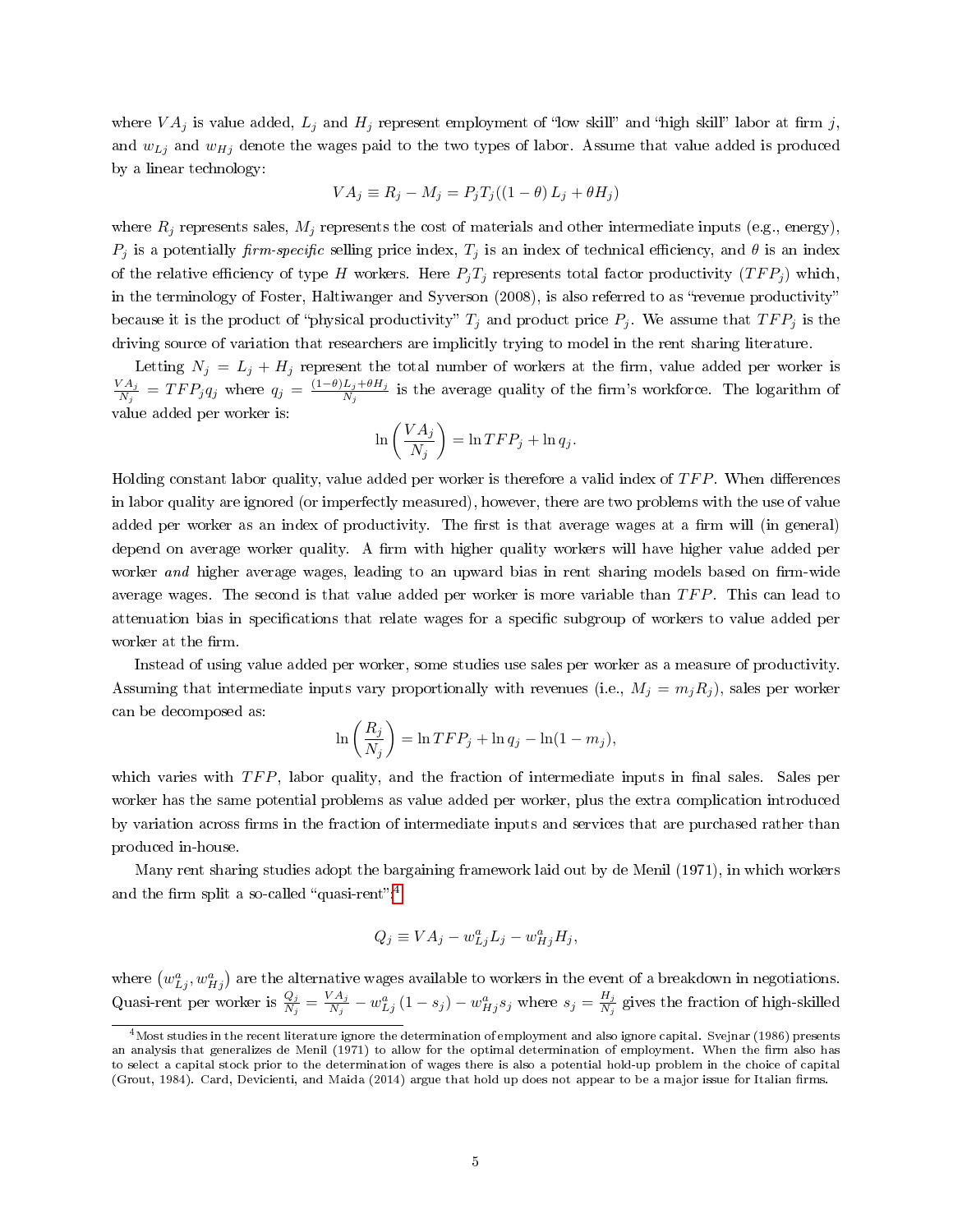where  $VA_j$  is value added,  $L_j$  and  $H_j$  represent employment of "low skill" and "high skill" labor at firm j, and  $w_{Lj}$  and  $w_{Hj}$  denote the wages paid to the two types of labor. Assume that value added is produced by a linear technology:

$$
VA_j \equiv R_j - M_j = P_j T_j ((1 - \theta) L_j + \theta H_j)
$$

where  $R_j$  represents sales,  $M_j$  represents the cost of materials and other intermediate inputs (e.g., energy),  $P_j$  is a potentially firm-specific selling price index,  $T_j$  is an index of technical efficiency, and  $\theta$  is an index of the relative efficiency of type H workers. Here  $P_jT_j$  represents total factor productivity  $(TFP_j)$  which, in the terminology of Foster, Haltiwanger and Syverson (2008), is also referred to as "revenue productivity" because it is the product of "physical productivity"  $T_j$  and product price  $P_j$ . We assume that  $TFP_j$  is the driving source of variation that researchers are implicitly trying to model in the rent sharing literature.

Letting  $N_i = L_i + H_i$  represent the total number of workers at the firm, value added per worker is  $VA_j$  $\frac{M_{A_j}}{N_j} = TFP_j q_j$  where  $q_j = \frac{(1-\theta)L_j+\theta H_j}{N_j}$  $\frac{L_j + \sigma H_j}{N_j}$  is the average quality of the firm's workforce. The logarithm of value added per worker is:

$$
\ln\left(\frac{VA_j}{N_j}\right) = \ln TFP_j + \ln q_j.
$$

Holding constant labor quality, value added per worker is therefore a valid index of  $TFP$ . When differences in labor quality are ignored (or imperfectly measured), however, there are two problems with the use of value added per worker as an index of productivity. The first is that average wages at a firm will (in general) depend on average worker quality. A firm with higher quality workers will have higher value added per worker and higher average wages, leading to an upward bias in rent sharing models based on firm-wide average wages. The second is that value added per worker is more variable than  $TFP$ . This can lead to attenuation bias in specifications that relate wages for a specific subgroup of workers to value added per worker at the firm.

Instead of using value added per worker, some studies use sales per worker as a measure of productivity. Assuming that intermediate inputs vary proportionally with revenues (i.e.,  $M_j = m_j R_j$ ), sales per worker can be decomposed as:

$$
\ln\left(\frac{R_j}{N_j}\right) = \ln TFP_j + \ln q_j - \ln(1 - m_j),
$$

which varies with  $TFP$ , labor quality, and the fraction of intermediate inputs in final sales. Sales per worker has the same potential problems as value added per worker, plus the extra complication introduced by variation across firms in the fraction of intermediate inputs and services that are purchased rather than produced in-house.

Many rent sharing studies adopt the bargaining framework laid out by de Menil (1971), in which workers and the firm split a so-called "quasi-rent".<sup>[4](#page-6-0)</sup>

$$
Q_j \equiv VA_j - w_{Lj}^a L_j - w_{Hj}^a H_j,
$$

where  $(w_{Lj}^a, w_{Hj}^a)$  are the alternative wages available to workers in the event of a breakdown in negotiations. Quasi-rent per worker is  $\frac{Q_j}{N_j} = \frac{VA_j}{N_j}$  $\frac{d^{2}A_{j}}{N_{j}}-w_{Lj}^{a}\left(1-s_{j}\right)-w_{Hj}^{a}s_{j}$  where  $s_{j}=\frac{H_{j}}{N_{j}}$  $\frac{H_j}{N_j}$  gives the fraction of high-skilled

<span id="page-6-0"></span><sup>&</sup>lt;sup>4</sup>Most studies in the recent literature ignore the determination of employment and also ignore capital. Svejnar (1986) presents an analysis that generalizes de Menil (1971) to allow for the optimal determination of employment. When the firm also has to select a capital stock prior to the determination of wages there is also a potential hold-up problem in the choice of capital (Grout, 1984). Card, Devicienti, and Maida (2014) argue that hold up does not appear to be a major issue for Italian firms.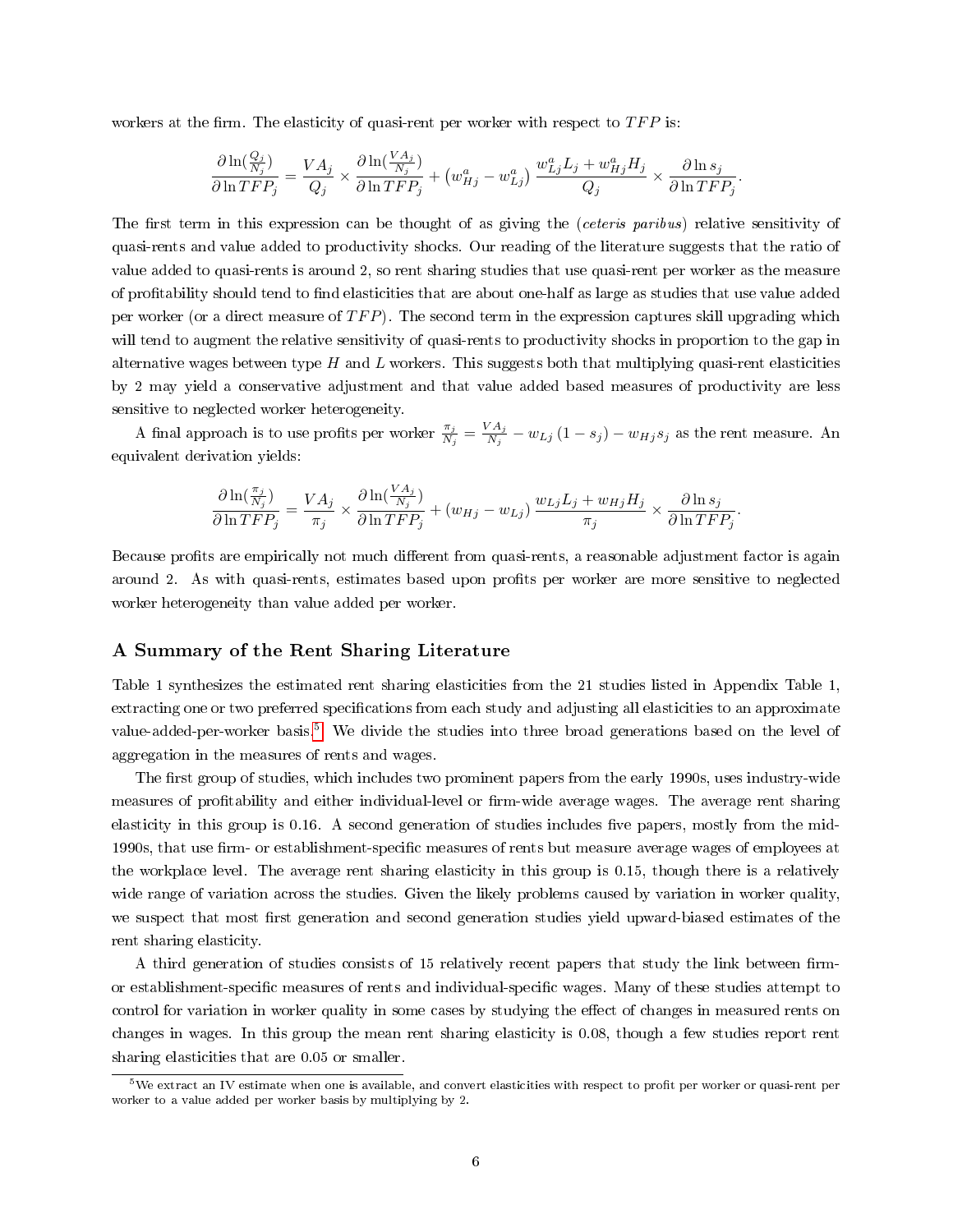workers at the firm. The elasticity of quasi-rent per worker with respect to  $TFP$  is:

$$
\frac{\partial \ln(\frac{Q_j}{N_j})}{\partial \ln TFP_j} = \frac{VA_j}{Q_j} \times \frac{\partial \ln(\frac{VA_j}{N_j})}{\partial \ln TFP_j} + \left(w_{Hj}^a - w_{Lj}^a\right) \frac{w_{Lj}^a L_j + w_{Hj}^a H_j}{Q_j} \times \frac{\partial \ln s_j}{\partial \ln TFP_j}.
$$

The first term in this expression can be thought of as giving the (ceteris paribus) relative sensitivity of quasi-rents and value added to productivity shocks. Our reading of the literature suggests that the ratio of value added to quasi-rents is around 2, so rent sharing studies that use quasi-rent per worker as the measure of profitability should tend to find elasticities that are about one-half as large as studies that use value added per worker (or a direct measure of  $TFP$ ). The second term in the expression captures skill upgrading which will tend to augment the relative sensitivity of quasi-rents to productivity shocks in proportion to the gap in alternative wages between type  $H$  and  $L$  workers. This suggests both that multiplying quasi-rent elasticities by 2 may yield a conservative adjustment and that value added based measures of productivity are less sensitive to neglected worker heterogeneity.

A final approach is to use profits per worker  $\frac{\pi_j}{N_j} = \frac{VA_j}{N_j}$  $\frac{y_{A_j}}{N_j}-w_{Lj}\left(1-s_j\right)-w_{Hj}s_j$  as the rent measure. An equivalent derivation yields:

$$
\frac{\partial \ln(\frac{\pi_j}{N_j})}{\partial \ln TFP_j} = \frac{VA_j}{\pi_j} \times \frac{\partial \ln(\frac{VA_j}{N_j})}{\partial \ln TFP_j} + (w_{Hj} - w_{Lj}) \frac{w_{Lj}L_j + w_{Hj}H_j}{\pi_j} \times \frac{\partial \ln s_j}{\partial \ln TFP_j}.
$$

Because profits are empirically not much different from quasi-rents, a reasonable adjustment factor is again around 2. As with quasi-rents, estimates based upon profits per worker are more sensitive to neglected worker heterogeneity than value added per worker.

#### A Summary of the Rent Sharing Literature

Table 1 synthesizes the estimated rent sharing elasticities from the 21 studies listed in Appendix Table 1, extracting one or two preferred specifications from each study and adjusting all elasticities to an approximate value-added-per-worker basis.<sup>[5](#page-7-0)</sup> We divide the studies into three broad generations based on the level of aggregation in the measures of rents and wages.

The first group of studies, which includes two prominent papers from the early 1990s, uses industry-wide measures of profitability and either individual-level or firm-wide average wages. The average rent sharing elasticity in this group is  $0.16$ . A second generation of studies includes five papers, mostly from the mid-1990s, that use firm- or establishment-specific measures of rents but measure average wages of employees at the workplace level. The average rent sharing elasticity in this group is 0.15, though there is a relatively wide range of variation across the studies. Given the likely problems caused by variation in worker quality, we suspect that most first generation and second generation studies yield upward-biased estimates of the rent sharing elasticity.

A third generation of studies consists of 15 relatively recent papers that study the link between firmor establishment-specific measures of rents and individual-specific wages. Many of these studies attempt to control for variation in worker quality in some cases by studying the effect of changes in measured rents on changes in wages. In this group the mean rent sharing elasticity is 0.08, though a few studies report rent sharing elasticities that are 0.05 or smaller.

<span id="page-7-0"></span> $5$ We extract an IV estimate when one is available, and convert elasticities with respect to profit per worker or quasi-rent per worker to a value added per worker basis by multiplying by 2.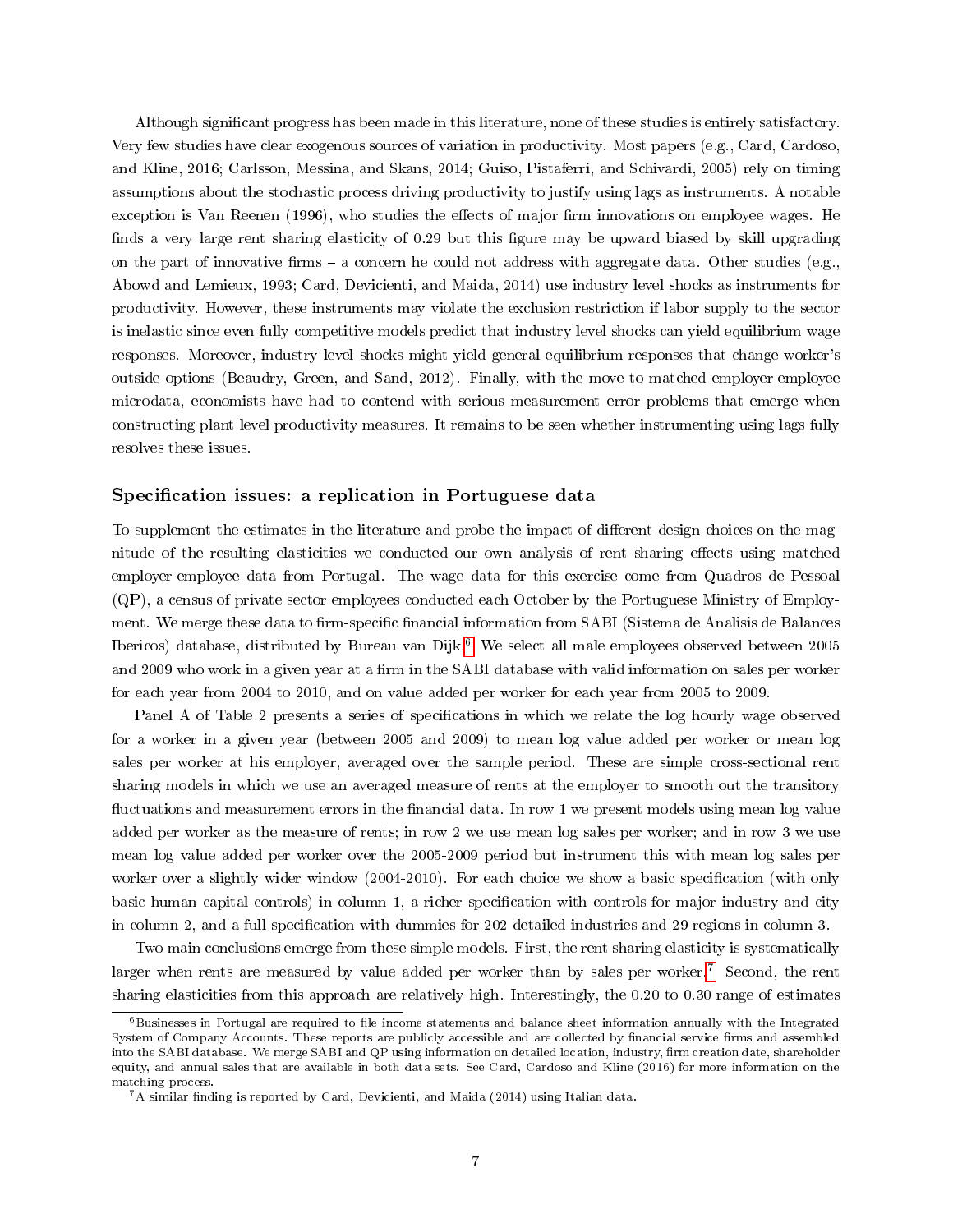Although signicant progress has been made in this literature, none of these studies is entirely satisfactory. Very few studies have clear exogenous sources of variation in productivity. Most papers (e.g., Card, Cardoso, and Kline, 2016; Carlsson, Messina, and Skans, 2014; Guiso, Pistaferri, and Schivardi, 2005) rely on timing assumptions about the stochastic process driving productivity to justify using lags as instruments. A notable exception is Van Reenen (1996), who studies the effects of major firm innovations on employee wages. He finds a very large rent sharing elasticity of 0.29 but this figure may be upward biased by skill upgrading on the part of innovative firms  $-$  a concern he could not address with aggregate data. Other studies (e.g., Abowd and Lemieux, 1993; Card, Devicienti, and Maida, 2014) use industry level shocks as instruments for productivity. However, these instruments may violate the exclusion restriction if labor supply to the sector is inelastic since even fully competitive models predict that industry level shocks can yield equilibrium wage responses. Moreover, industry level shocks might yield general equilibrium responses that change worker's outside options (Beaudry, Green, and Sand, 2012). Finally, with the move to matched employer-employee microdata, economists have had to contend with serious measurement error problems that emerge when constructing plant level productivity measures. It remains to be seen whether instrumenting using lags fully resolves these issues.

### Specification issues: a replication in Portuguese data

To supplement the estimates in the literature and probe the impact of different design choices on the magnitude of the resulting elasticities we conducted our own analysis of rent sharing effects using matched employer-employee data from Portugal. The wage data for this exercise come from Quadros de Pessoal (QP), a census of private sector employees conducted each October by the Portuguese Ministry of Employment. We merge these data to firm-specific financial information from SABI (Sistema de Analisis de Balances Ibericos) database, distributed by Bureau van Dijk.[6](#page-8-0) We select all male employees observed between 2005 and 2009 who work in a given year at a firm in the SABI database with valid information on sales per worker for each year from 2004 to 2010, and on value added per worker for each year from 2005 to 2009.

Panel A of Table 2 presents a series of specifications in which we relate the log hourly wage observed for a worker in a given year (between 2005 and 2009) to mean log value added per worker or mean log sales per worker at his employer, averaged over the sample period. These are simple cross-sectional rent sharing models in which we use an averaged measure of rents at the employer to smooth out the transitory fluctuations and measurement errors in the financial data. In row 1 we present models using mean log value added per worker as the measure of rents; in row 2 we use mean log sales per worker; and in row 3 we use mean log value added per worker over the 2005-2009 period but instrument this with mean log sales per worker over a slightly wider window (2004-2010). For each choice we show a basic specification (with only basic human capital controls) in column 1, a richer specification with controls for major industry and city in column 2, and a full specification with dummies for 202 detailed industries and 29 regions in column 3.

Two main conclusions emerge from these simple models. First, the rent sharing elasticity is systematically larger when rents are measured by value added per worker than by sales per worker.[7](#page-8-1) Second, the rent sharing elasticities from this approach are relatively high. Interestingly, the 0.20 to 0.30 range of estimates

<span id="page-8-0"></span> $6B$ usinesses in Portugal are required to file income statements and balance sheet information annually with the Integrated System of Company Accounts. These reports are publicly accessible and are collected by financial service firms and assembled into the SABI database. We merge SABI and QP using information on detailed location, industry, firm creation date, shareholder equity, and annual sales that are available in both data sets. See Card, Cardoso and Kline (2016) for more information on the matching process.

<span id="page-8-1"></span> $7A$  similar finding is reported by Card, Devicienti, and Maida (2014) using Italian data.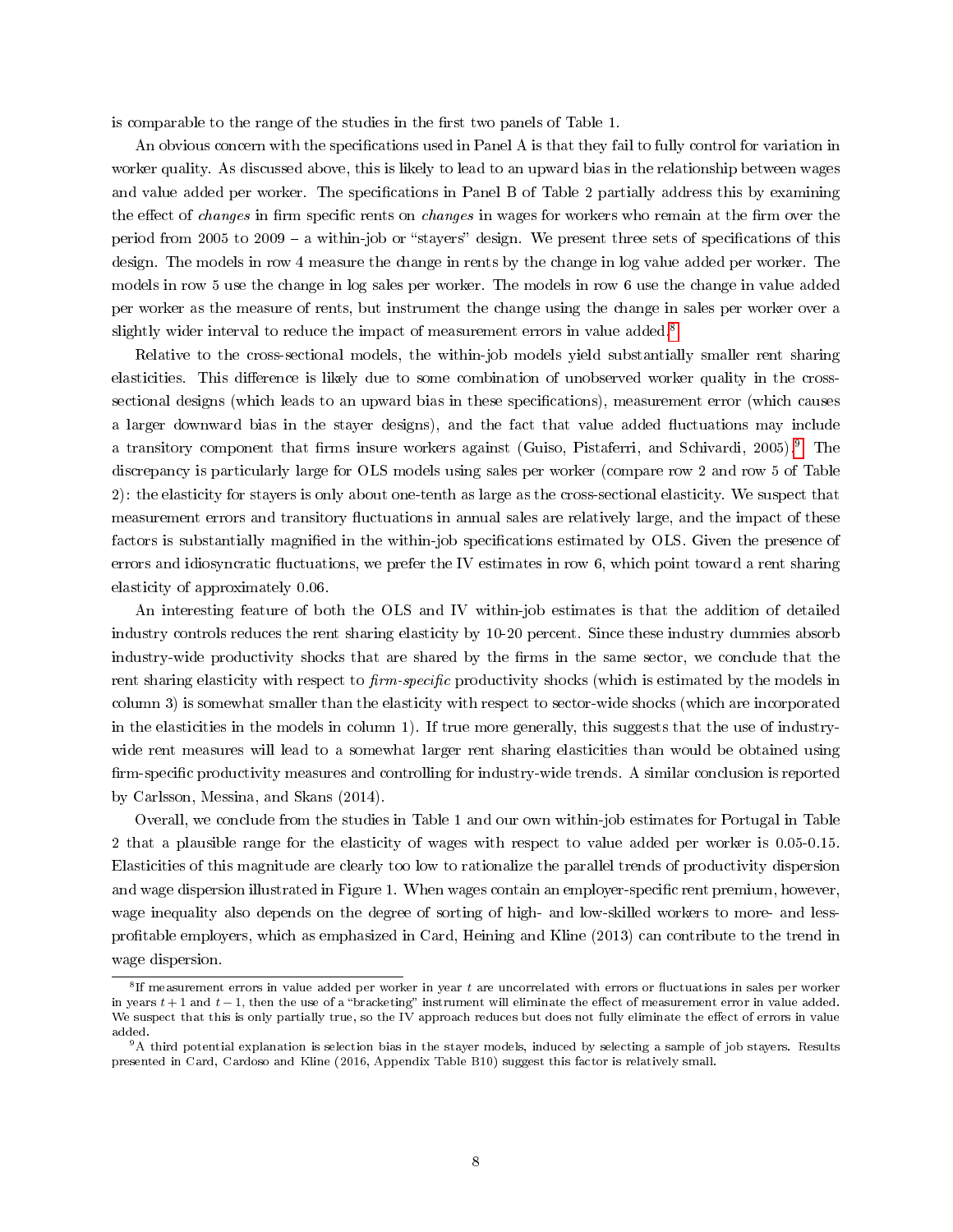is comparable to the range of the studies in the first two panels of Table 1.

An obvious concern with the specifications used in Panel A is that they fail to fully control for variation in worker quality. As discussed above, this is likely to lead to an upward bias in the relationship between wages and value added per worker. The specifications in Panel B of Table 2 partially address this by examining the effect of *changes* in firm specific rents on *changes* in wages for workers who remain at the firm over the period from 2005 to 2009 – a within-job or "stayers" design. We present three sets of specifications of this design. The models in row 4 measure the change in rents by the change in log value added per worker. The models in row 5 use the change in log sales per worker. The models in row 6 use the change in value added per worker as the measure of rents, but instrument the change using the change in sales per worker over a slightly wider interval to reduce the impact of measurement errors in value added.<sup>[8](#page-9-0)</sup>

Relative to the cross-sectional models, the within-job models yield substantially smaller rent sharing elasticities. This difference is likely due to some combination of unobserved worker quality in the crosssectional designs (which leads to an upward bias in these specifications), measurement error (which causes a larger downward bias in the stayer designs), and the fact that value added uctuations may include a transitory component that firms insure workers against (Guiso, Pistaferri, and Schivardi, 2005).<sup>[9](#page-9-1)</sup> The discrepancy is particularly large for OLS models using sales per worker (compare row 2 and row 5 of Table 2): the elasticity for stayers is only about one-tenth as large as the cross-sectional elasticity. We suspect that measurement errors and transitory fluctuations in annual sales are relatively large, and the impact of these factors is substantially magnified in the within-job specifications estimated by OLS. Given the presence of errors and idiosyncratic fluctuations, we prefer the IV estimates in row 6, which point toward a rent sharing elasticity of approximately 0.06.

An interesting feature of both the OLS and IV within-job estimates is that the addition of detailed industry controls reduces the rent sharing elasticity by 10-20 percent. Since these industry dummies absorb industry-wide productivity shocks that are shared by the firms in the same sector, we conclude that the rent sharing elasticity with respect to firm-specific productivity shocks (which is estimated by the models in column 3) is somewhat smaller than the elasticity with respect to sector-wide shocks (which are incorporated in the elasticities in the models in column 1). If true more generally, this suggests that the use of industrywide rent measures will lead to a somewhat larger rent sharing elasticities than would be obtained using firm-specific productivity measures and controlling for industry-wide trends. A similar conclusion is reported by Carlsson, Messina, and Skans (2014).

Overall, we conclude from the studies in Table 1 and our own within-job estimates for Portugal in Table 2 that a plausible range for the elasticity of wages with respect to value added per worker is 0.05-0.15. Elasticities of this magnitude are clearly too low to rationalize the parallel trends of productivity dispersion and wage dispersion illustrated in Figure 1. When wages contain an employer-specific rent premium, however, wage inequality also depends on the degree of sorting of high- and low-skilled workers to more- and lessprotable employers, which as emphasized in Card, Heining and Kline (2013) can contribute to the trend in wage dispersion.

<span id="page-9-0"></span> ${}^{8}$  If measurement errors in value added per worker in year t are uncorrelated with errors or fluctuations in sales per worker in years  $t + 1$  and  $t - 1$ , then the use of a "bracketing" instrument will eliminate the effect of measurement error in value added. We suspect that this is only partially true, so the IV approach reduces but does not fully eliminate the effect of errors in value added.

<span id="page-9-1"></span> $9A$  third potential explanation is selection bias in the stayer models, induced by selecting a sample of job stayers. Results presented in Card, Cardoso and Kline (2016, Appendix Table B10) suggest this factor is relatively small.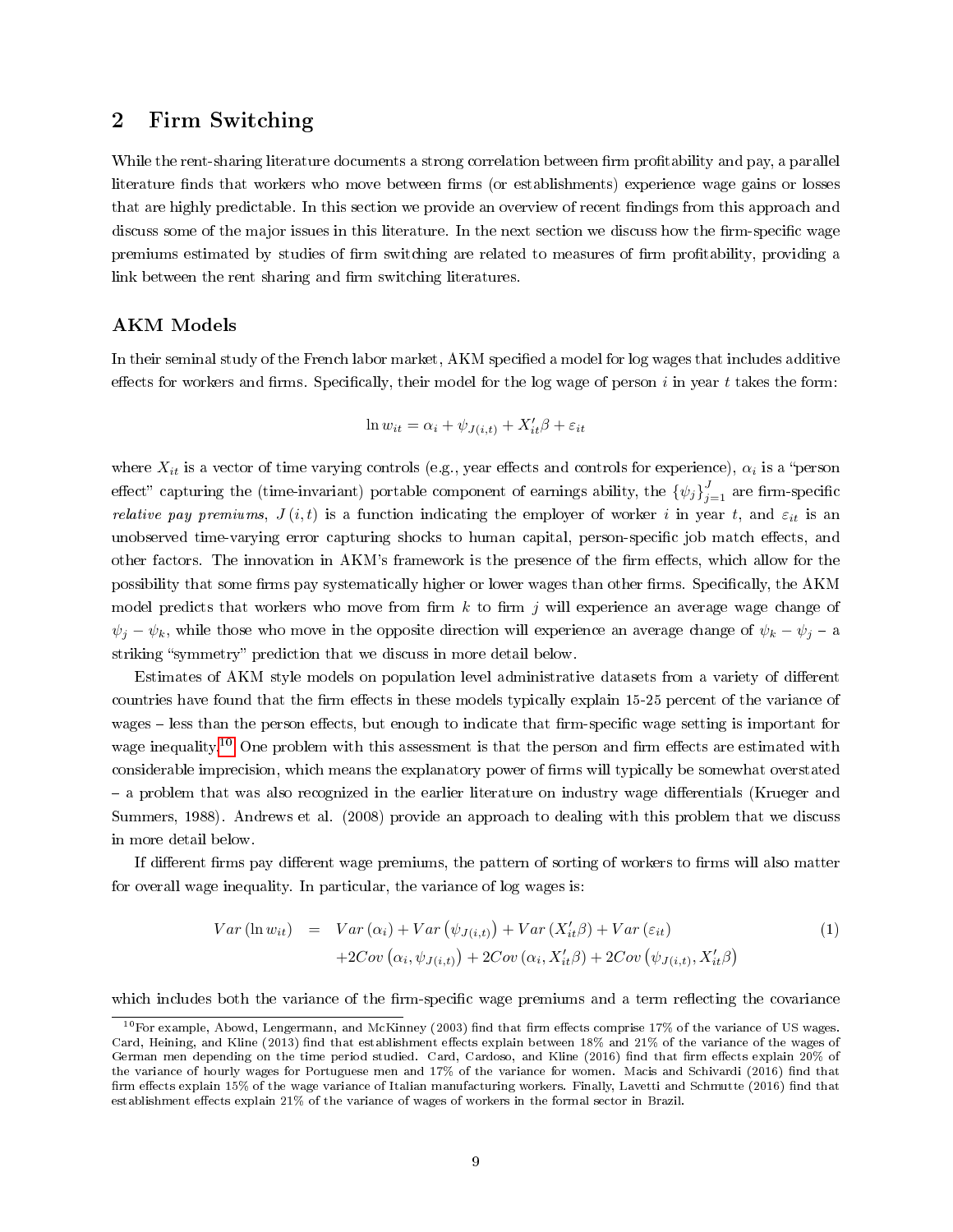# 2 Firm Switching

While the rent-sharing literature documents a strong correlation between firm profitability and pay, a parallel literature finds that workers who move between firms (or establishments) experience wage gains or losses that are highly predictable. In this section we provide an overview of recent ndings from this approach and discuss some of the major issues in this literature. In the next section we discuss how the firm-specific wage premiums estimated by studies of firm switching are related to measures of firm profitability, providing a link between the rent sharing and firm switching literatures.

## AKM Models

In their seminal study of the French labor market, AKM specified a model for log wages that includes additive effects for workers and firms. Specifically, their model for the log wage of person  $i$  in year  $t$  takes the form:

$$
\ln w_{it} = \alpha_i + \psi_{J(i,t)} + X'_{it}\beta + \varepsilon_{it}
$$

where  $X_{it}$  is a vector of time varying controls (e.g., year effects and controls for experience),  $\alpha_i$  is a "person effect" capturing the (time-invariant) portable component of earnings ability, the  $\{\psi_j\}_{j=1}^J$  are firm-specific *relative pay premiums,*  $J(i, t)$  is a function indicating the employer of worker i in year t, and  $\varepsilon_{it}$  is an unobserved time-varying error capturing shocks to human capital, person-specific job match effects, and other factors. The innovation in AKM's framework is the presence of the firm effects, which allow for the possibility that some firms pay systematically higher or lower wages than other firms. Specifically, the AKM model predicts that workers who move from firm  $k$  to firm j will experience an average wage change of  $\psi_j - \psi_k$ , while those who move in the opposite direction will experience an average change of  $\psi_k - \psi_j - a$ striking "symmetry" prediction that we discuss in more detail below.

Estimates of AKM style models on population level administrative datasets from a variety of different countries have found that the firm effects in these models typically explain 15-25 percent of the variance of wages – less than the person effects, but enough to indicate that firm-specific wage setting is important for wage inequality.<sup>[10](#page-10-0)</sup> One problem with this assessment is that the person and firm effects are estimated with considerable imprecision, which means the explanatory power of firms will typically be somewhat overstated - a problem that was also recognized in the earlier literature on industry wage differentials (Krueger and Summers, 1988). Andrews et al. (2008) provide an approach to dealing with this problem that we discuss in more detail below.

If different firms pay different wage premiums, the pattern of sorting of workers to firms will also matter for overall wage inequality. In particular, the variance of log wages is:

$$
Var(\ln w_{it}) = Var(\alpha_i) + Var(\psi_{J(i,t)}) + Var(X'_{it}\beta) + Var(\varepsilon_{it})
$$
  
+2Cov(\alpha\_i, \psi\_{J(i,t)}) + 2Cov(\alpha\_i, X'\_{it}\beta) + 2Cov(\psi\_{J(i,t)}, X'\_{it}\beta) (1)

which includes both the variance of the firm-specific wage premiums and a term reflecting the covariance

<span id="page-10-0"></span> $10$  For example, Abowd, Lengermann, and McKinney (2003) find that firm effects comprise 17% of the variance of US wages. Card, Heining, and Kline (2013) find that establishment effects explain between 18% and 21% of the variance of the wages of German men depending on the time period studied. Card, Cardoso, and Kline (2016) find that firm effects explain 20% of the variance of hourly wages for Portuguese men and 17% of the variance for women. Macis and Schivardi (2016) find that firm effects explain 15% of the wage variance of Italian manufacturing workers. Finally, Lavetti and Schmutte (2016) find that establishment effects explain 21% of the variance of wages of workers in the formal sector in Brazil.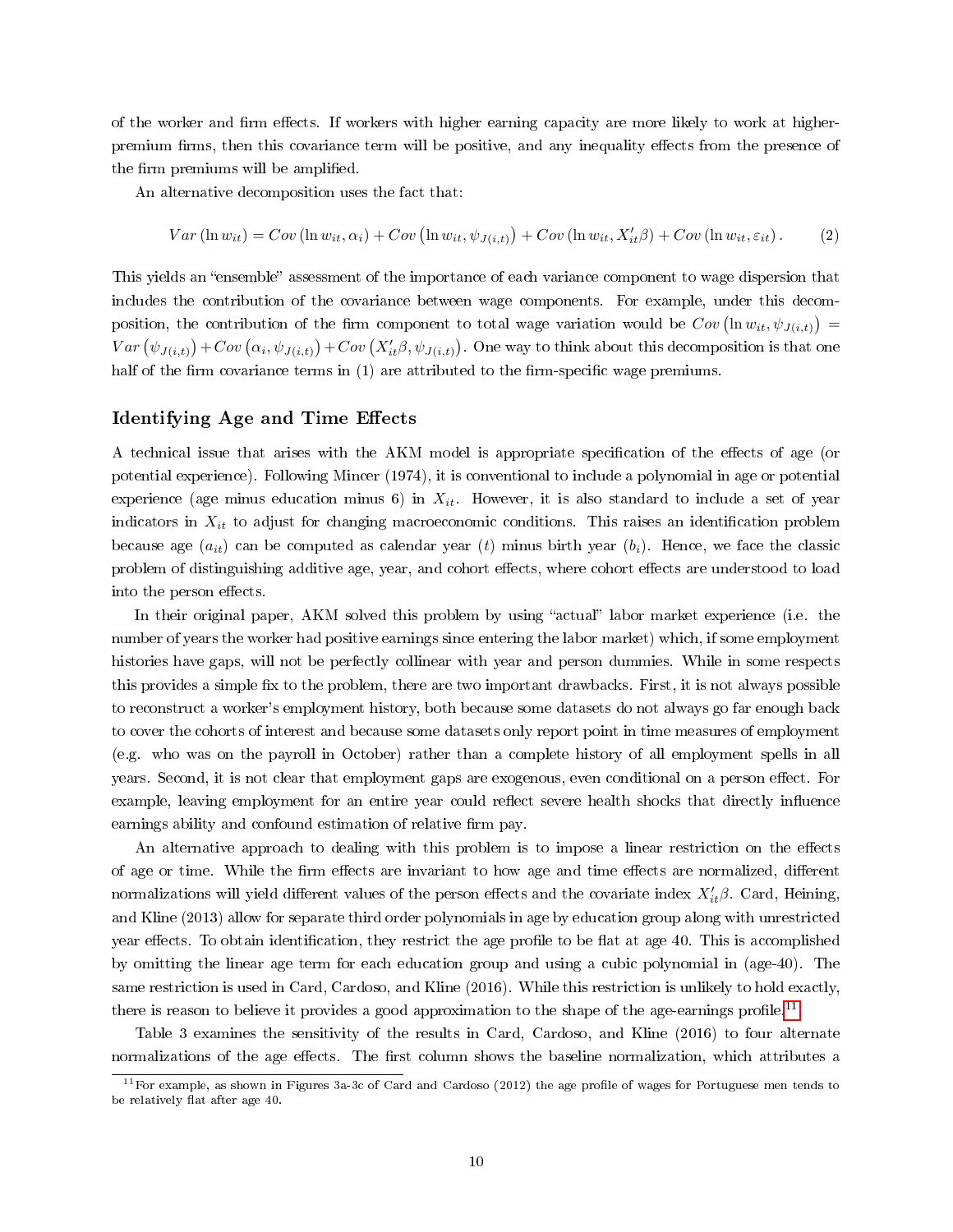of the worker and firm effects. If workers with higher earning capacity are more likely to work at higherpremium firms, then this covariance term will be positive, and any inequality effects from the presence of the firm premiums will be amplified.

An alternative decomposition uses the fact that:

$$
Var(\ln w_{it}) = Cov(\ln w_{it}, \alpha_i) + Cov(\ln w_{it}, \psi_{J(i,t)}) + Cov(\ln w_{it}, X'_{it}\beta) + Cov(\ln w_{it}, \varepsilon_{it}).
$$
 (2)

This yields an "ensemble" assessment of the importance of each variance component to wage dispersion that includes the contribution of the covariance between wage components. For example, under this decomposition, the contribution of the firm component to total wage variation would be  $Cov\left(\ln w_{it}, \psi_{J(i,t)}\right)$  $Var\left(\psi_{J(i,t)}\right)+Cov\left(\alpha_i,\psi_{J(i,t)}\right)+Cov\left(X_{it}'\beta,\psi_{J(i,t)}\right).$  One way to think about this decomposition is that one half of the firm covariance terms in  $(1)$  are attributed to the firm-specific wage premiums.

## Identifying Age and Time Effects

A technical issue that arises with the AKM model is appropriate specification of the effects of age (or potential experience). Following Mincer (1974), it is conventional to include a polynomial in age or potential experience (age minus education minus 6) in  $X_{it}$ . However, it is also standard to include a set of year indicators in  $X_{it}$  to adjust for changing macroeconomic conditions. This raises an identification problem because age  $(a_{it})$  can be computed as calendar year (t) minus birth year  $(b_i)$ . Hence, we face the classic problem of distinguishing additive age, year, and cohort effects, where cohort effects are understood to load into the person effects.

In their original paper, AKM solved this problem by using "actual" labor market experience (i.e. the number of years the worker had positive earnings since entering the labor market) which, if some employment histories have gaps, will not be perfectly collinear with year and person dummies. While in some respects this provides a simple fix to the problem, there are two important drawbacks. First, it is not always possible to reconstruct a worker's employment history, both because some datasets do not always go far enough back to cover the cohorts of interest and because some datasets only report point in time measures of employment (e.g. who was on the payroll in October) rather than a complete history of all employment spells in all years. Second, it is not clear that employment gaps are exogenous, even conditional on a person effect. For example, leaving employment for an entire year could reflect severe health shocks that directly influence earnings ability and confound estimation of relative firm pay.

An alternative approach to dealing with this problem is to impose a linear restriction on the effects of age or time. While the firm effects are invariant to how age and time effects are normalized, different normalizations will yield different values of the person effects and the covariate index  $X_{it}'\beta$ . Card, Heining, and Kline (2013) allow for separate third order polynomials in age by education group along with unrestricted year effects. To obtain identification, they restrict the age profile to be flat at age 40. This is accomplished by omitting the linear age term for each education group and using a cubic polynomial in (age-40). The same restriction is used in Card, Cardoso, and Kline (2016). While this restriction is unlikely to hold exactly, there is reason to believe it provides a good approximation to the shape of the age-earnings profile.<sup>[11](#page-11-0)</sup>

Table 3 examines the sensitivity of the results in Card, Cardoso, and Kline (2016) to four alternate normalizations of the age effects. The first column shows the baseline normalization, which attributes a

<span id="page-11-0"></span> $11$  For example, as shown in Figures 3a-3c of Card and Cardoso (2012) the age profile of wages for Portuguese men tends to be relatively flat after age 40.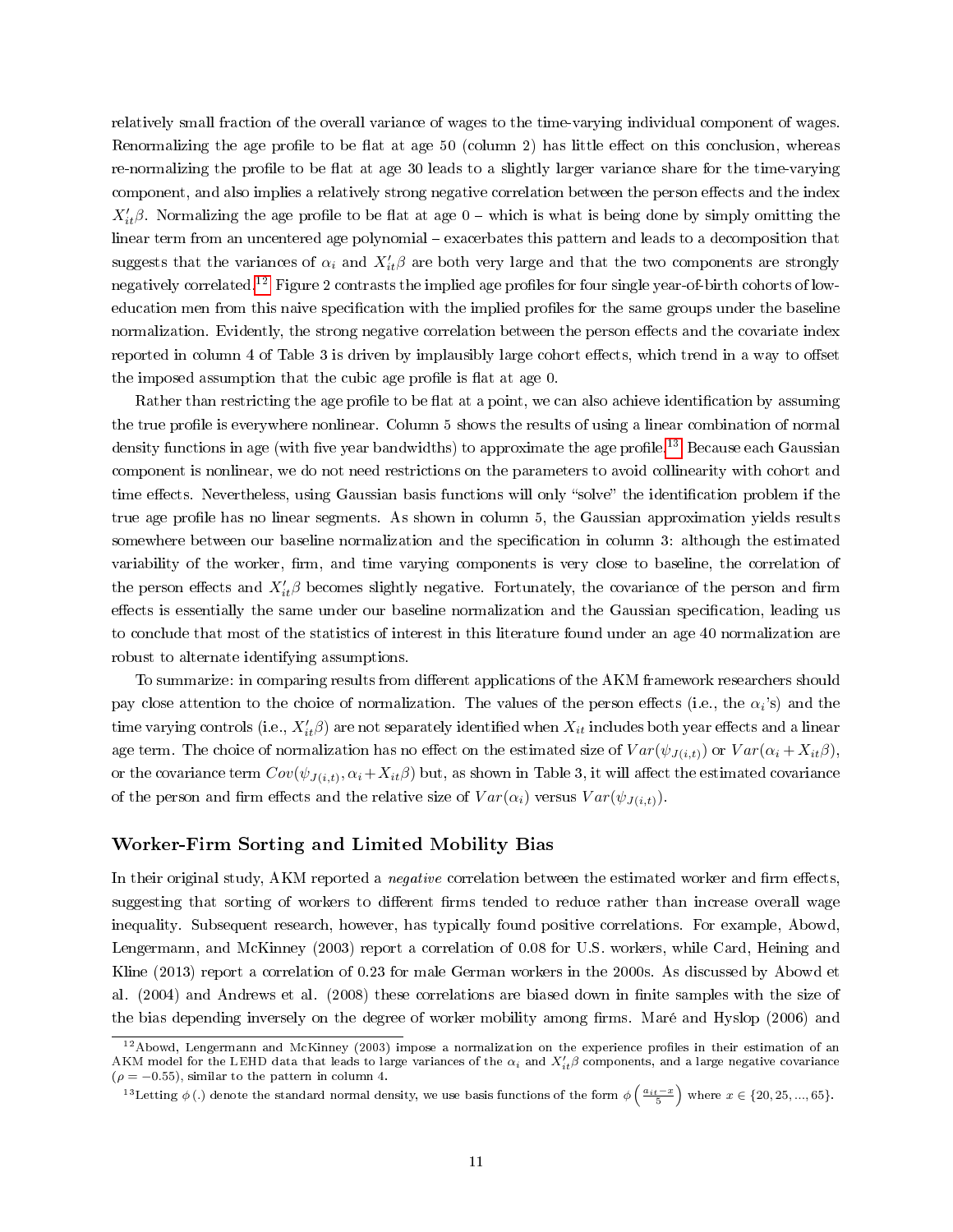relatively small fraction of the overall variance of wages to the time-varying individual component of wages. Renormalizing the age profile to be flat at age  $50$  (column 2) has little effect on this conclusion, whereas re-normalizing the profile to be flat at age 30 leads to a slightly larger variance share for the time-varying component, and also implies a relatively strong negative correlation between the person effects and the index  $X_{it}'\beta$ . Normalizing the age profile to be flat at age 0 – which is what is being done by simply omitting the linear term from an uncentered age polynomial - exacerbates this pattern and leads to a decomposition that suggests that the variances of  $\alpha_i$  and  $X'_{it} \beta$  are both very large and that the two components are strongly negatively correlated.<sup>[12](#page-12-0)</sup> Figure 2 contrasts the implied age profiles for four single year-of-birth cohorts of loweducation men from this naive specification with the implied profiles for the same groups under the baseline normalization. Evidently, the strong negative correlation between the person effects and the covariate index reported in column 4 of Table 3 is driven by implausibly large cohort effects, which trend in a way to offset the imposed assumption that the cubic age profile is flat at age 0.

Rather than restricting the age profile to be flat at a point, we can also achieve identification by assuming the true profile is everywhere nonlinear. Column 5 shows the results of using a linear combination of normal density functions in age (with five year bandwidths) to approximate the age profile.<sup>[13](#page-12-1)</sup> Because each Gaussian component is nonlinear, we do not need restrictions on the parameters to avoid collinearity with cohort and time effects. Nevertheless, using Gaussian basis functions will only "solve" the identification problem if the true age profile has no linear segments. As shown in column 5, the Gaussian approximation yields results somewhere between our baseline normalization and the specification in column 3: although the estimated variability of the worker, firm, and time varying components is very close to baseline, the correlation of the person effects and  $X_{it}^{\prime}\beta$  becomes slightly negative. Fortunately, the covariance of the person and firm effects is essentially the same under our baseline normalization and the Gaussian specification, leading us to conclude that most of the statistics of interest in this literature found under an age 40 normalization are robust to alternate identifying assumptions.

To summarize: in comparing results from different applications of the AKM framework researchers should pay close attention to the choice of normalization. The values of the person effects (i.e., the  $\alpha_i$ 's) and the time varying controls (i.e.,  $X_{it}'\beta)$  are not separately identified when  $X_{it}$  includes both year effects and a linear age term. The choice of normalization has no effect on the estimated size of  $Var(\psi_{J(i,t)})$  or  $Var(\alpha_i + X_{it}\beta)$ , or the covariance term  $Cov(\psi_{J(i,t)},\alpha_i+X_{it}\beta)$  but, as shown in Table 3, it will affect the estimated covariance of the person and firm effects and the relative size of  $Var(\alpha_i)$  versus  $Var(\psi_{J(i,t)})$ .

## Worker-Firm Sorting and Limited Mobility Bias

In their original study, AKM reported a *negative* correlation between the estimated worker and firm effects, suggesting that sorting of workers to different firms tended to reduce rather than increase overall wage inequality. Subsequent research, however, has typically found positive correlations. For example, Abowd, Lengermann, and McKinney (2003) report a correlation of 0.08 for U.S. workers, while Card, Heining and Kline (2013) report a correlation of 0.23 for male German workers in the 2000s. As discussed by Abowd et al. (2004) and Andrews et al. (2008) these correlations are biased down in finite samples with the size of the bias depending inversely on the degree of worker mobility among firms. Maré and Hyslop (2006) and

<span id="page-12-0"></span> $12$ Abowd, Lengermann and McKinney (2003) impose a normalization on the experience profiles in their estimation of an AKM model for the LEHD data that leads to large variances of the  $\alpha_i$  and  $X_{it}'\beta$  components, and a large negative covariance  $(\rho = -0.55)$ , similar to the pattern in column 4.

<span id="page-12-1"></span><sup>&</sup>lt;sup>13</sup>Letting  $\phi$  (.) denote the standard normal density, we use basis functions of the form  $\phi\left(\frac{a_{it}-x}{5}\right)$  where  $x \in \{20, 25, ..., 65\}$ .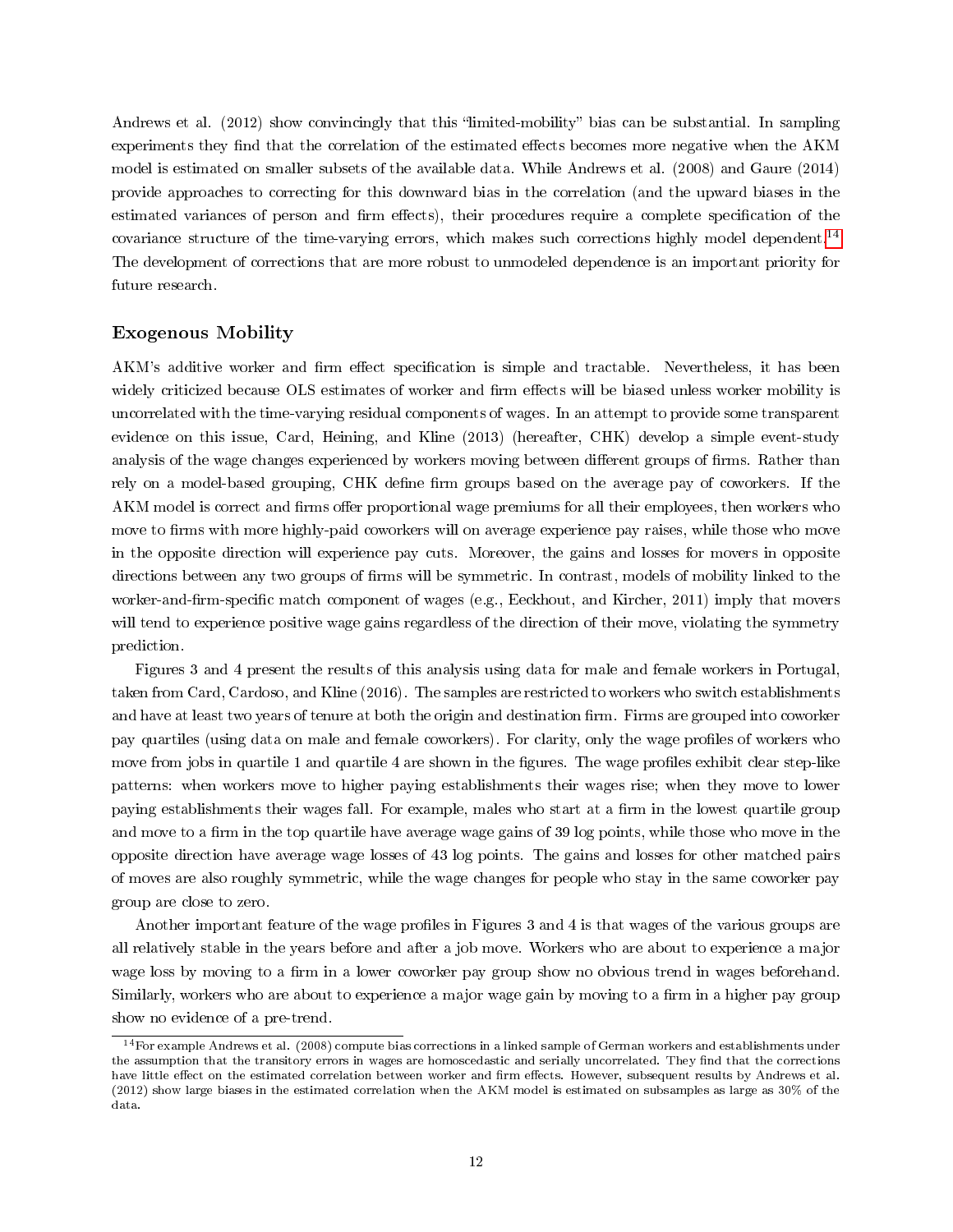Andrews et al.  $(2012)$  show convincingly that this "limited-mobility" bias can be substantial. In sampling experiments they find that the correlation of the estimated effects becomes more negative when the AKM model is estimated on smaller subsets of the available data. While Andrews et al. (2008) and Gaure (2014) provide approaches to correcting for this downward bias in the correlation (and the upward biases in the estimated variances of person and firm effects), their procedures require a complete specification of the covariance structure of the time-varying errors, which makes such corrections highly model dependent.[14](#page-13-0) The development of corrections that are more robust to unmodeled dependence is an important priority for future research.

## Exogenous Mobility

AKM's additive worker and firm effect specification is simple and tractable. Nevertheless, it has been widely criticized because OLS estimates of worker and firm effects will be biased unless worker mobility is uncorrelated with the time-varying residual components of wages. In an attempt to provide some transparent evidence on this issue, Card, Heining, and Kline (2013) (hereafter, CHK) develop a simple event-study analysis of the wage changes experienced by workers moving between different groups of firms. Rather than rely on a model-based grouping, CHK define firm groups based on the average pay of coworkers. If the AKM model is correct and firms offer proportional wage premiums for all their employees, then workers who move to firms with more highly-paid coworkers will on average experience pay raises, while those who move in the opposite direction will experience pay cuts. Moreover, the gains and losses for movers in opposite directions between any two groups of firms will be symmetric. In contrast, models of mobility linked to the worker-and-firm-specific match component of wages (e.g., Eeckhout, and Kircher, 2011) imply that movers will tend to experience positive wage gains regardless of the direction of their move, violating the symmetry prediction.

Figures 3 and 4 present the results of this analysis using data for male and female workers in Portugal, taken from Card, Cardoso, and Kline (2016). The samples are restricted to workers who switch establishments and have at least two years of tenure at both the origin and destination firm. Firms are grouped into coworker pay quartiles (using data on male and female coworkers). For clarity, only the wage profiles of workers who move from jobs in quartile 1 and quartile 4 are shown in the figures. The wage profiles exhibit clear step-like patterns: when workers move to higher paying establishments their wages rise; when they move to lower paying establishments their wages fall. For example, males who start at a firm in the lowest quartile group and move to a firm in the top quartile have average wage gains of 39 log points, while those who move in the opposite direction have average wage losses of 43 log points. The gains and losses for other matched pairs of moves are also roughly symmetric, while the wage changes for people who stay in the same coworker pay group are close to zero.

Another important feature of the wage profiles in Figures 3 and 4 is that wages of the various groups are all relatively stable in the years before and after a job move. Workers who are about to experience a major wage loss by moving to a firm in a lower coworker pay group show no obvious trend in wages beforehand. Similarly, workers who are about to experience a major wage gain by moving to a firm in a higher pay group show no evidence of a pre-trend.

<span id="page-13-0"></span><sup>&</sup>lt;sup>14</sup>For example Andrews et al. (2008) compute bias corrections in a linked sample of German workers and establishments under the assumption that the transitory errors in wages are homoscedastic and serially uncorrelated. They find that the corrections have little effect on the estimated correlation between worker and firm effects. However, subsequent results by Andrews et al. (2012) show large biases in the estimated correlation when the AKM model is estimated on subsamples as large as 30% of the data.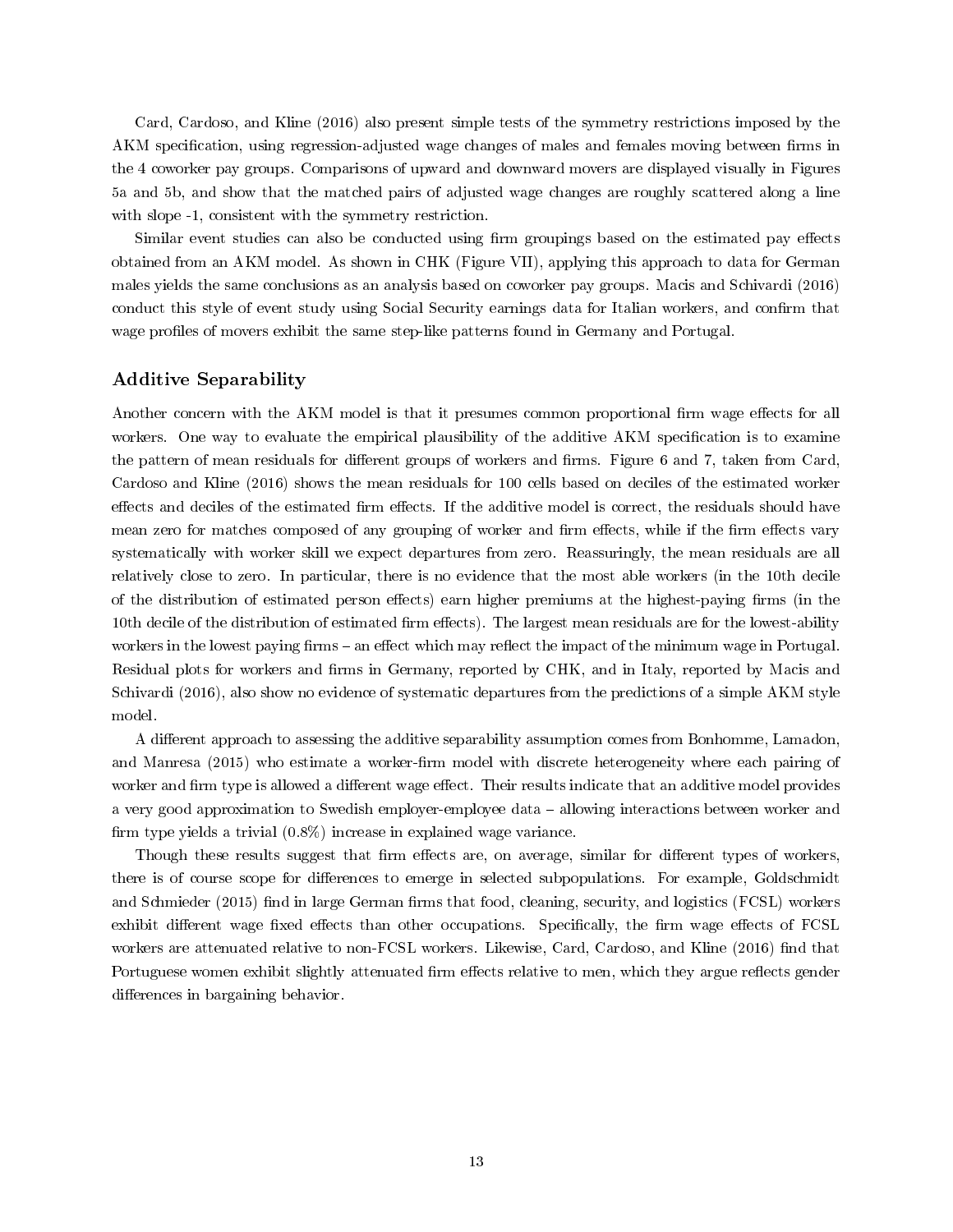Card, Cardoso, and Kline (2016) also present simple tests of the symmetry restrictions imposed by the AKM specification, using regression-adjusted wage changes of males and females moving between firms in the 4 coworker pay groups. Comparisons of upward and downward movers are displayed visually in Figures 5a and 5b, and show that the matched pairs of adjusted wage changes are roughly scattered along a line with slope  $-1$ , consistent with the symmetry restriction.

Similar event studies can also be conducted using firm groupings based on the estimated pay effects obtained from an AKM model. As shown in CHK (Figure VII), applying this approach to data for German males yields the same conclusions as an analysis based on coworker pay groups. Macis and Schivardi (2016) conduct this style of event study using Social Security earnings data for Italian workers, and confirm that wage profiles of movers exhibit the same step-like patterns found in Germany and Portugal.

## Additive Separability

Another concern with the AKM model is that it presumes common proportional firm wage effects for all workers. One way to evaluate the empirical plausibility of the additive AKM specification is to examine the pattern of mean residuals for different groups of workers and firms. Figure 6 and 7, taken from Card, Cardoso and Kline (2016) shows the mean residuals for 100 cells based on deciles of the estimated worker effects and deciles of the estimated firm effects. If the additive model is correct, the residuals should have mean zero for matches composed of any grouping of worker and firm effects, while if the firm effects vary systematically with worker skill we expect departures from zero. Reassuringly, the mean residuals are all relatively close to zero. In particular, there is no evidence that the most able workers (in the 10th decile of the distribution of estimated person effects) earn higher premiums at the highest-paying firms (in the 10th decile of the distribution of estimated firm effects). The largest mean residuals are for the lowest-ability workers in the lowest paying firms – an effect which may reflect the impact of the minimum wage in Portugal. Residual plots for workers and firms in Germany, reported by CHK, and in Italy, reported by Macis and Schivardi (2016), also show no evidence of systematic departures from the predictions of a simple AKM style model.

A different approach to assessing the additive separability assumption comes from Bonhomme, Lamadon, and Manresa (2015) who estimate a worker-firm model with discrete heterogeneity where each pairing of worker and firm type is allowed a different wage effect. Their results indicate that an additive model provides a very good approximation to Swedish employer-employee data allowing interactions between worker and firm type yields a trivial  $(0.8\%)$  increase in explained wage variance.

Though these results suggest that firm effects are, on average, similar for different types of workers, there is of course scope for differences to emerge in selected subpopulations. For example, Goldschmidt and Schmieder (2015) find in large German firms that food, cleaning, security, and logistics (FCSL) workers exhibit different wage fixed effects than other occupations. Specifically, the firm wage effects of FCSL workers are attenuated relative to non-FCSL workers. Likewise, Card, Cardoso, and Kline (2016) find that Portuguese women exhibit slightly attenuated firm effects relative to men, which they argue reflects gender differences in bargaining behavior.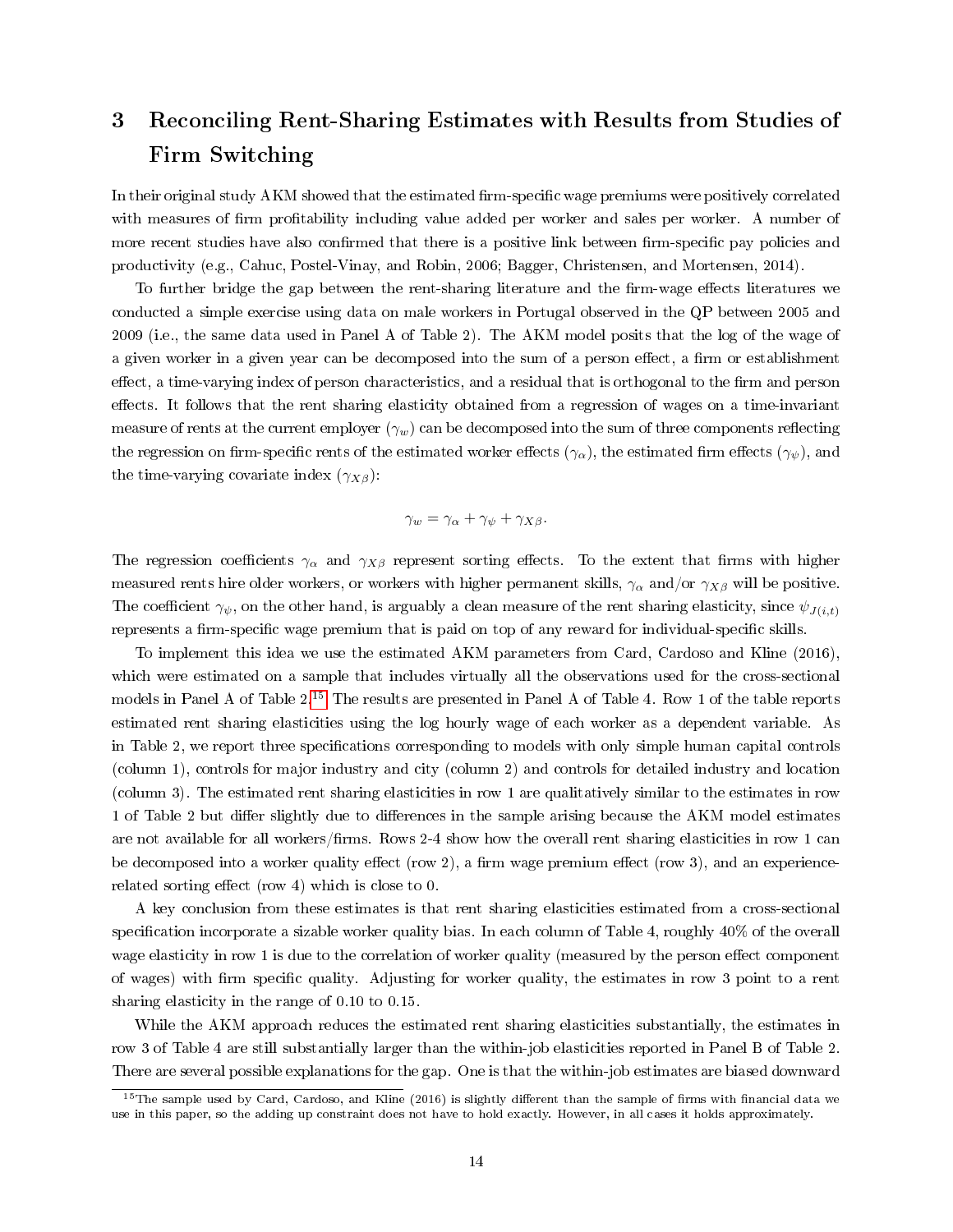# 3 Reconciling Rent-Sharing Estimates with Results from Studies of Firm Switching

In their original study AKM showed that the estimated firm-specific wage premiums were positively correlated with measures of firm profitability including value added per worker and sales per worker. A number of more recent studies have also confirmed that there is a positive link between firm-specific pay policies and productivity (e.g., Cahuc, Postel-Vinay, and Robin, 2006; Bagger, Christensen, and Mortensen, 2014).

To further bridge the gap between the rent-sharing literature and the firm-wage effects literatures we conducted a simple exercise using data on male workers in Portugal observed in the QP between 2005 and 2009 (i.e., the same data used in Panel A of Table 2). The AKM model posits that the log of the wage of a given worker in a given year can be decomposed into the sum of a person effect, a firm or establishment effect, a time-varying index of person characteristics, and a residual that is orthogonal to the firm and person effects. It follows that the rent sharing elasticity obtained from a regression of wages on a time-invariant measure of rents at the current employer  $(\gamma_w)$  can be decomposed into the sum of three components reflecting the regression on firm-specific rents of the estimated worker effects ( $\gamma_{\alpha}$ ), the estimated firm effects ( $\gamma_{\psi}$ ), and the time-varying covariate index  $(\gamma_{X\beta})$ :

$$
\gamma_w = \gamma_\alpha + \gamma_\psi + \gamma_{X\beta}.
$$

The regression coefficients  $\gamma_{\alpha}$  and  $\gamma_{X\beta}$  represent sorting effects. To the extent that firms with higher measured rents hire older workers, or workers with higher permanent skills,  $\gamma_{\alpha}$  and/or  $\gamma_{X\beta}$  will be positive. The coefficient  $\gamma_{\psi}$ , on the other hand, is arguably a clean measure of the rent sharing elasticity, since  $\psi_{J(i,t)}$ represents a firm-specific wage premium that is paid on top of any reward for individual-specific skills.

To implement this idea we use the estimated AKM parameters from Card, Cardoso and Kline (2016), which were estimated on a sample that includes virtually all the observations used for the cross-sectional models in Panel A of Table 2.[15](#page-15-0) The results are presented in Panel A of Table 4. Row 1 of the table reports estimated rent sharing elasticities using the log hourly wage of each worker as a dependent variable. As in Table 2, we report three specifications corresponding to models with only simple human capital controls (column 1), controls for major industry and city (column 2) and controls for detailed industry and location (column 3). The estimated rent sharing elasticities in row 1 are qualitatively similar to the estimates in row 1 of Table 2 but differ slightly due to differences in the sample arising because the AKM model estimates are not available for all workers/firms. Rows 2-4 show how the overall rent sharing elasticities in row 1 can be decomposed into a worker quality effect (row 2), a firm wage premium effect (row 3), and an experiencerelated sorting effect (row 4) which is close to  $0$ .

A key conclusion from these estimates is that rent sharing elasticities estimated from a cross-sectional specification incorporate a sizable worker quality bias. In each column of Table 4, roughly  $40\%$  of the overall wage elasticity in row 1 is due to the correlation of worker quality (measured by the person effect component of wages) with firm specific quality. Adjusting for worker quality, the estimates in row 3 point to a rent sharing elasticity in the range of 0.10 to 0.15.

While the AKM approach reduces the estimated rent sharing elasticities substantially, the estimates in row 3 of Table 4 are still substantially larger than the within-job elasticities reported in Panel B of Table 2. There are several possible explanations for the gap. One is that the within-job estimates are biased downward

<span id="page-15-0"></span> $15$ The sample used by Card, Cardoso, and Kline (2016) is slightly different than the sample of firms with financial data we use in this paper, so the adding up constraint does not have to hold exactly. However, in all cases it holds approximately.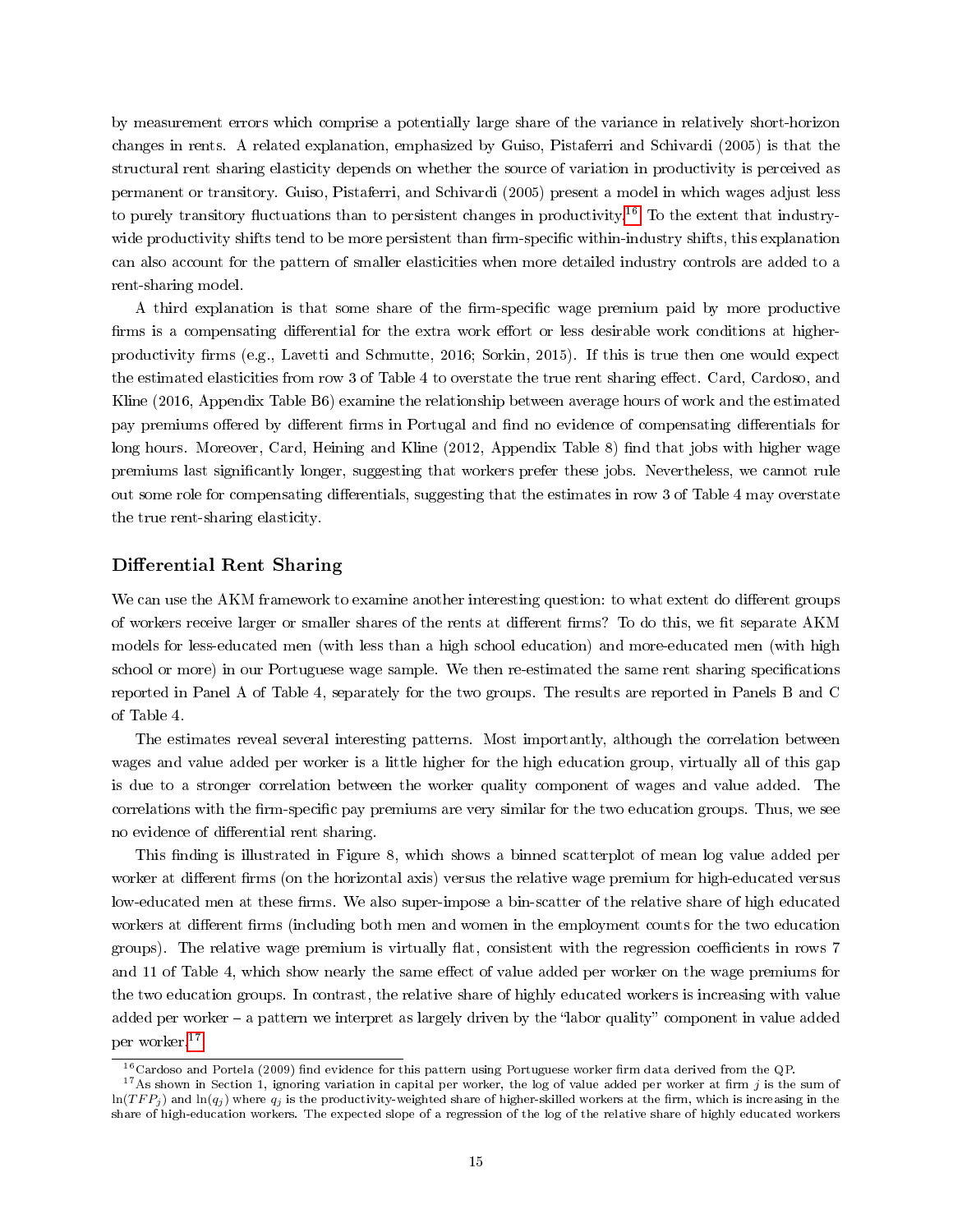by measurement errors which comprise a potentially large share of the variance in relatively short-horizon changes in rents. A related explanation, emphasized by Guiso, Pistaferri and Schivardi (2005) is that the structural rent sharing elasticity depends on whether the source of variation in productivity is perceived as permanent or transitory. Guiso, Pistaferri, and Schivardi (2005) present a model in which wages adjust less to purely transitory fluctuations than to persistent changes in productivity.<sup>[16](#page-16-0)</sup> To the extent that industrywide productivity shifts tend to be more persistent than firm-specific within-industry shifts, this explanation can also account for the pattern of smaller elasticities when more detailed industry controls are added to a rent-sharing model.

A third explanation is that some share of the firm-specific wage premium paid by more productive firms is a compensating differential for the extra work effort or less desirable work conditions at higherproductivity firms (e.g., Lavetti and Schmutte, 2016; Sorkin, 2015). If this is true then one would expect the estimated elasticities from row 3 of Table 4 to overstate the true rent sharing effect. Card, Cardoso, and Kline (2016, Appendix Table B6) examine the relationship between average hours of work and the estimated pay premiums offered by different firms in Portugal and find no evidence of compensating differentials for long hours. Moreover, Card, Heining and Kline (2012, Appendix Table 8) find that jobs with higher wage premiums last signicantly longer, suggesting that workers prefer these jobs. Nevertheless, we cannot rule out some role for compensating differentials, suggesting that the estimates in row 3 of Table 4 may overstate the true rent-sharing elasticity.

### Differential Rent Sharing

We can use the AKM framework to examine another interesting question: to what extent do different groups of workers receive larger or smaller shares of the rents at different firms? To do this, we fit separate AKM models for less-educated men (with less than a high school education) and more-educated men (with high school or more) in our Portuguese wage sample. We then re-estimated the same rent sharing specifications reported in Panel A of Table 4, separately for the two groups. The results are reported in Panels B and C of Table 4.

The estimates reveal several interesting patterns. Most importantly, although the correlation between wages and value added per worker is a little higher for the high education group, virtually all of this gap is due to a stronger correlation between the worker quality component of wages and value added. The correlations with the firm-specific pay premiums are very similar for the two education groups. Thus, we see no evidence of differential rent sharing.

This finding is illustrated in Figure 8, which shows a binned scatterplot of mean log value added per worker at different firms (on the horizontal axis) versus the relative wage premium for high-educated versus low-educated men at these firms. We also super-impose a bin-scatter of the relative share of high educated workers at different firms (including both men and women in the employment counts for the two education groups). The relative wage premium is virtually flat, consistent with the regression coefficients in rows 7 and 11 of Table 4, which show nearly the same effect of value added per worker on the wage premiums for the two education groups. In contrast, the relative share of highly educated workers is increasing with value added per worker – a pattern we interpret as largely driven by the "labor quality" component in value added per worker.[17](#page-16-1)

<span id="page-16-1"></span><span id="page-16-0"></span> $16$ Cardoso and Portela (2009) find evidence for this pattern using Portuguese worker firm data derived from the QP.

<sup>&</sup>lt;sup>17</sup>As shown in Section 1, ignoring variation in capital per worker, the log of value added per worker at firm j is the sum of  $\ln(TFP_i)$  and  $\ln(q_i)$  where  $q_i$  is the productivity-weighted share of higher-skilled workers at the firm, which is increasing in the share of high-education workers. The expected slope of a regression of the log of the relative share of highly educated workers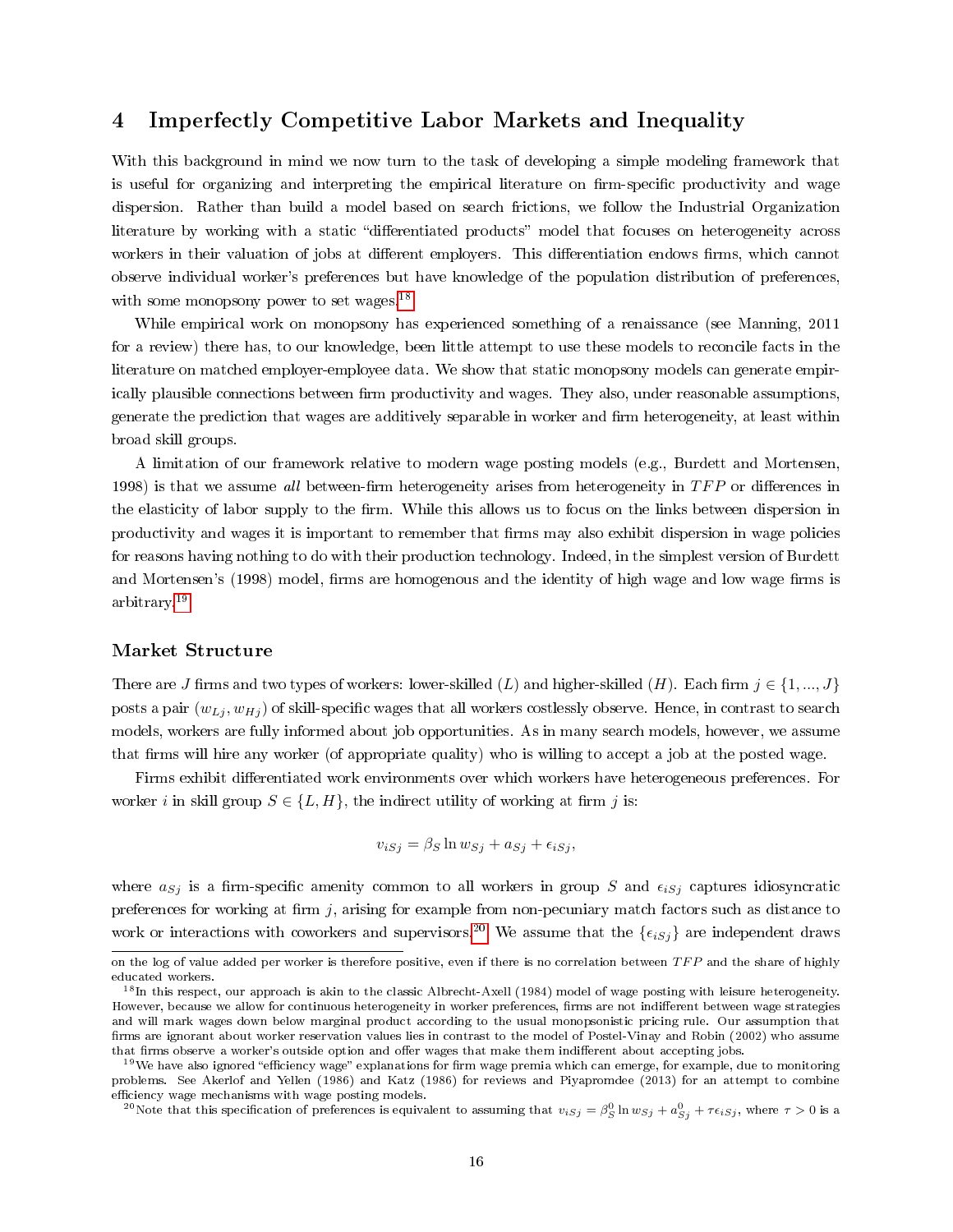# 4 Imperfectly Competitive Labor Markets and Inequality

With this background in mind we now turn to the task of developing a simple modeling framework that is useful for organizing and interpreting the empirical literature on firm-specific productivity and wage dispersion. Rather than build a model based on search frictions, we follow the Industrial Organization literature by working with a static "differentiated products" model that focuses on heterogeneity across workers in their valuation of jobs at different employers. This differentiation endows firms, which cannot observe individual worker's preferences but have knowledge of the population distribution of preferences, with some monopsony power to set wages.<sup>[18](#page-17-0)</sup>

While empirical work on monopsony has experienced something of a renaissance (see Manning, 2011 for a review) there has, to our knowledge, been little attempt to use these models to reconcile facts in the literature on matched employer-employee data. We show that static monopsony models can generate empirically plausible connections between firm productivity and wages. They also, under reasonable assumptions, generate the prediction that wages are additively separable in worker and firm heterogeneity, at least within broad skill groups.

A limitation of our framework relative to modern wage posting models (e.g., Burdett and Mortensen, 1998) is that we assume all between-firm heterogeneity arises from heterogeneity in  $TFP$  or differences in the elasticity of labor supply to the firm. While this allows us to focus on the links between dispersion in productivity and wages it is important to remember that firms may also exhibit dispersion in wage policies for reasons having nothing to do with their production technology. Indeed, in the simplest version of Burdett and Mortensen's (1998) model, firms are homogenous and the identity of high wage and low wage firms is arbitrary.[19](#page-17-1)

## Market Structure

There are J firms and two types of workers: lower-skilled (L) and higher-skilled (H). Each firm  $j \in \{1, ..., J\}$ posts a pair  $(w_{Lj}, w_{Hj})$  of skill-specific wages that all workers costlessly observe. Hence, in contrast to search models, workers are fully informed about job opportunities. As in many search models, however, we assume that firms will hire any worker (of appropriate quality) who is willing to accept a job at the posted wage.

Firms exhibit differentiated work environments over which workers have heterogeneous preferences. For worker i in skill group  $S \in \{L, H\}$ , the indirect utility of working at firm j is:

$$
v_{iSj} = \beta_S \ln w_{Sj} + a_{Sj} + \epsilon_{iSj},
$$

where  $a_{Sj}$  is a firm-specific amenity common to all workers in group S and  $\epsilon_{iSj}$  captures idiosyncratic preferences for working at firm  $j$ , arising for example from non-pecuniary match factors such as distance to work or interactions with coworkers and supervisors.<sup>[20](#page-17-2)</sup> We assume that the  $\{\epsilon_{iSj}\}\$ are independent draws

<span id="page-17-2"></span><sup>20</sup>Note that this specification of preferences is equivalent to assuming that  $v_{iSj}=\beta_S^0\ln w_{Sj}+a_{Sj}^0+\tau\epsilon_{iSj},$  where  $\tau>0$  is a

on the log of value added per worker is therefore positive, even if there is no correlation between  $TFP$  and the share of highly educated workers.

<span id="page-17-0"></span><sup>&</sup>lt;sup>18</sup>In this respect, our approach is akin to the classic Albrecht-Axell (1984) model of wage posting with leisure heterogeneity. However, because we allow for continuous heterogeneity in worker preferences, firms are not indifferent between wage strategies and will mark wages down below marginal product according to the usual monopsonistic pricing rule. Our assumption that firms are ignorant about worker reservation values lies in contrast to the model of Postel-Vinay and Robin (2002) who assume that firms observe a worker's outside option and offer wages that make them indifferent about accepting jobs.

<span id="page-17-1"></span> $19$ We have also ignored "efficiency wage" explanations for firm wage premia which can emerge, for example, due to monitoring problems. See Akerlof and Yellen (1986) and Katz (1986) for reviews and Piyapromdee (2013) for an attempt to combine efficiency wage mechanisms with wage posting models.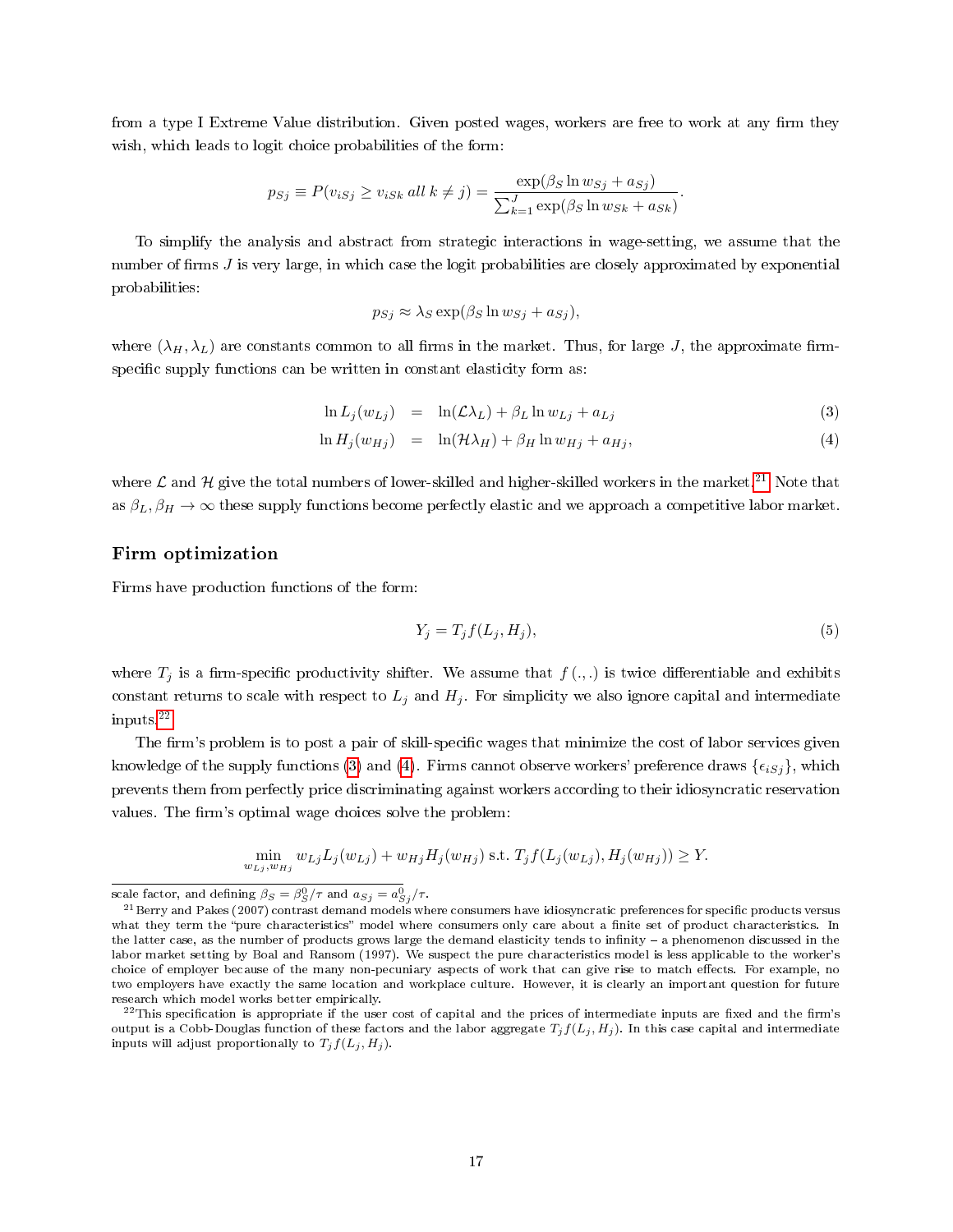from a type I Extreme Value distribution. Given posted wages, workers are free to work at any firm they wish, which leads to logit choice probabilities of the form:

$$
p_{Sj} \equiv P(v_{iSj} \ge v_{iSk} \text{ all } k \neq j) = \frac{\exp(\beta_S \ln w_{Sj} + a_{Sj})}{\sum_{k=1}^J \exp(\beta_S \ln w_{Sk} + a_{Sk})}.
$$

To simplify the analysis and abstract from strategic interactions in wage-setting, we assume that the number of firms  $J$  is very large, in which case the logit probabilities are closely approximated by exponential probabilities:

$$
p_{Sj} \approx \lambda_S \exp(\beta_S \ln w_{Sj} + a_{Sj}),
$$

where  $(\lambda_H, \lambda_L)$  are constants common to all firms in the market. Thus, for large J, the approximate firmspecific supply functions can be written in constant elasticity form as:

<span id="page-18-2"></span>
$$
\ln L_j(w_{Lj}) = \ln(\mathcal{L}\lambda_L) + \beta_L \ln w_{Lj} + a_{Lj}
$$
\n(3)

$$
\ln H_j(w_{Hj}) = \ln(\mathcal{H}\lambda_H) + \beta_H \ln w_{Hj} + a_{Hj},\tag{4}
$$

where  $\mathcal L$  and  $\mathcal H$  give the total numbers of lower-skilled and higher-skilled workers in the market.<sup>[21](#page-18-0)</sup> Note that as  $\beta_L, \beta_H \to \infty$  these supply functions become perfectly elastic and we approach a competitive labor market.

## Firm optimization

Firms have production functions of the form:

$$
Y_j = T_j f(L_j, H_j),\tag{5}
$$

where  $T_j$  is a firm-specific productivity shifter. We assume that  $f(.)$ , is twice differentiable and exhibits constant returns to scale with respect to  $L_j$  and  $H_j$ . For simplicity we also ignore capital and intermediate inputs.[22](#page-18-1)

The firm's problem is to post a pair of skill-specific wages that minimize the cost of labor services given knowledge of the supply functions [\(3\)](#page-18-2) and [\(4\)](#page-18-2). Firms cannot observe workers' preference draws  $\{\epsilon_{iSj}\}\$ , which prevents them from perfectly price discriminating against workers according to their idiosyncratic reservation values. The firm's optimal wage choices solve the problem:

$$
\min_{w_{Lj}, w_{Hj}} w_{Lj} L_j(w_{Lj}) + w_{Hj} H_j(w_{Hj}) \text{ s.t. } T_j f(L_j(w_{Lj}), H_j(w_{Hj})) \ge Y.
$$

scale factor, and defining  $\beta_S = \beta_S^0/\tau$  and  $a_{Sj} = a_{Sj}^0/\tau$ .

<span id="page-18-0"></span><sup>&</sup>lt;sup>21</sup> Berry and Pakes (2007) contrast demand models where consumers have idiosyncratic preferences for specific products versus what they term the "pure characteristics" model where consumers only care about a finite set of product characteristics. In the latter case, as the number of products grows large the demand elasticity tends to infinity - a phenomenon discussed in the labor market setting by Boal and Ransom (1997). We suspect the pure characteristics model is less applicable to the worker's choice of employer because of the many non-pecuniary aspects of work that can give rise to match effects. For example, no two employers have exactly the same location and workplace culture. However, it is clearly an important question for future research which model works better empirically.

<span id="page-18-1"></span> $^{22}$ This specification is appropriate if the user cost of capital and the prices of intermediate inputs are fixed and the firm's output is a Cobb-Douglas function of these factors and the labor aggregate  $T_j f(L_j, H_j)$ . In this case capital and intermediate inputs will adjust proportionally to  $T_j f(L_j, H_j)$ .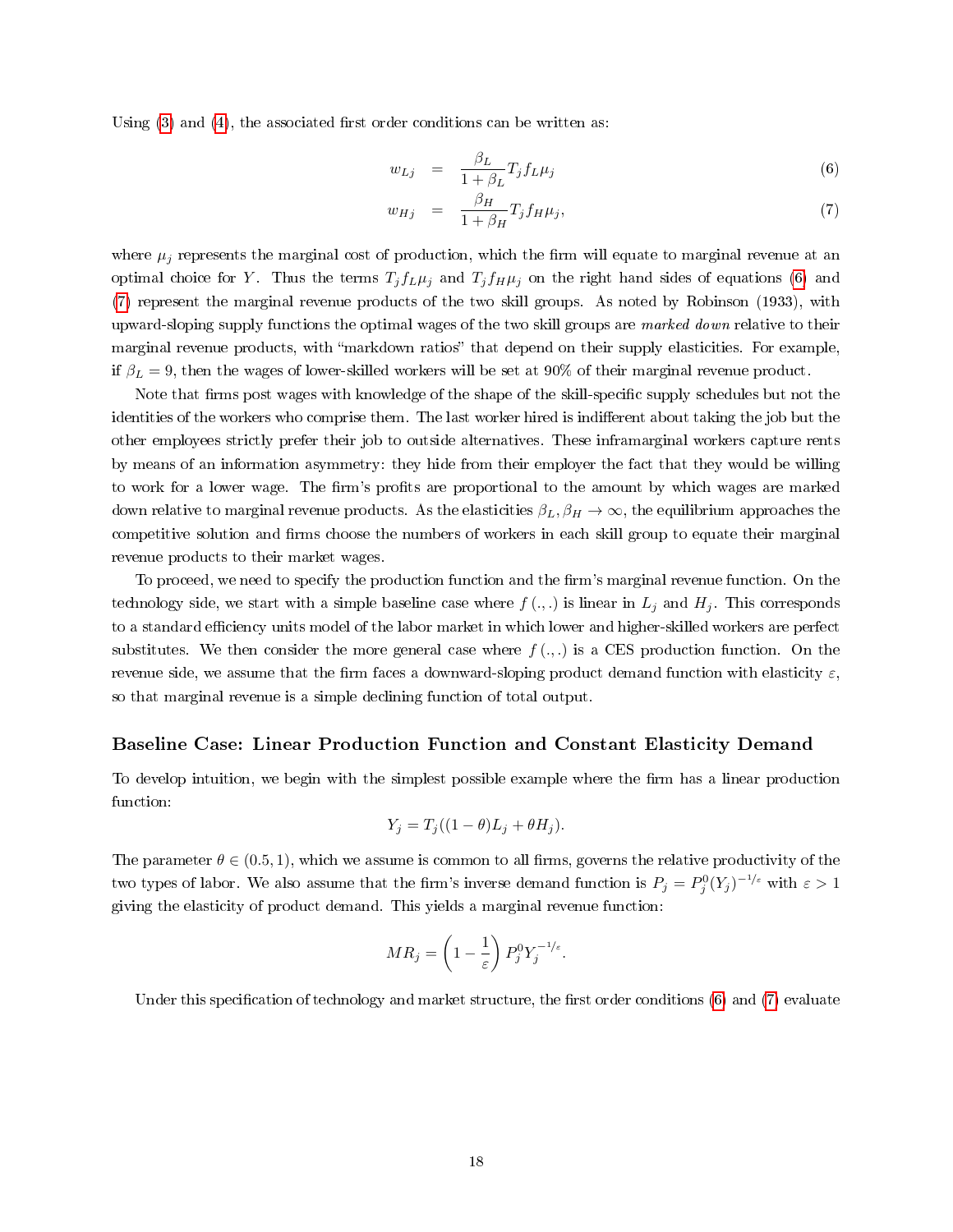Using  $(3)$  and  $(4)$ , the associated first order conditions can be written as:

<span id="page-19-0"></span>
$$
w_{Lj} = \frac{\beta_L}{1 + \beta_L} T_j f_L \mu_j \tag{6}
$$

$$
w_{Hj} = \frac{\beta_H}{1 + \beta_H} T_j f_H \mu_j, \tag{7}
$$

where  $\mu_j$  represents the marginal cost of production, which the firm will equate to marginal revenue at an optimal choice for Y. Thus the terms  $T_j f_L \mu_j$  and  $T_j f_H \mu_j$  on the right hand sides of equations [\(6\)](#page-19-0) and [\(7\)](#page-19-0) represent the marginal revenue products of the two skill groups. As noted by Robinson (1933), with upward-sloping supply functions the optimal wages of the two skill groups are marked down relative to their marginal revenue products, with "markdown ratios" that depend on their supply elasticities. For example, if  $\beta_L = 9$ , then the wages of lower-skilled workers will be set at 90% of their marginal revenue product.

Note that firms post wages with knowledge of the shape of the skill-specific supply schedules but not the identities of the workers who comprise them. The last worker hired is indifferent about taking the job but the other employees strictly prefer their job to outside alternatives. These inframarginal workers capture rents by means of an information asymmetry: they hide from their employer the fact that they would be willing to work for a lower wage. The firm's profits are proportional to the amount by which wages are marked down relative to marginal revenue products. As the elasticities  $\beta_L, \beta_H \to \infty$ , the equilibrium approaches the competitive solution and firms choose the numbers of workers in each skill group to equate their marginal revenue products to their market wages.

To proceed, we need to specify the production function and the firm's marginal revenue function. On the technology side, we start with a simple baseline case where  $f(.)$  is linear in  $L_j$  and  $H_j$ . This corresponds to a standard efficiency units model of the labor market in which lower and higher-skilled workers are perfect substitutes. We then consider the more general case where  $f(\cdot, \cdot)$  is a CES production function. On the revenue side, we assume that the firm faces a downward-sloping product demand function with elasticity  $\varepsilon$ , so that marginal revenue is a simple declining function of total output.

#### Baseline Case: Linear Production Function and Constant Elasticity Demand

To develop intuition, we begin with the simplest possible example where the firm has a linear production function:

$$
Y_j = T_j((1 - \theta)L_j + \theta H_j).
$$

The parameter  $\theta \in (0.5, 1)$ , which we assume is common to all firms, governs the relative productivity of the two types of labor. We also assume that the firm's inverse demand function is  $P_j = P_j^0 (Y_j)^{-1/\varepsilon}$  with  $\varepsilon > 1$ giving the elasticity of product demand. This yields a marginal revenue function:

$$
MR_j = \left(1 - \frac{1}{\varepsilon}\right) P_j^0 Y_j^{-1/\varepsilon}.
$$

Under this specification of technology and market structure, the first order conditions  $(6)$  and  $(7)$  evaluate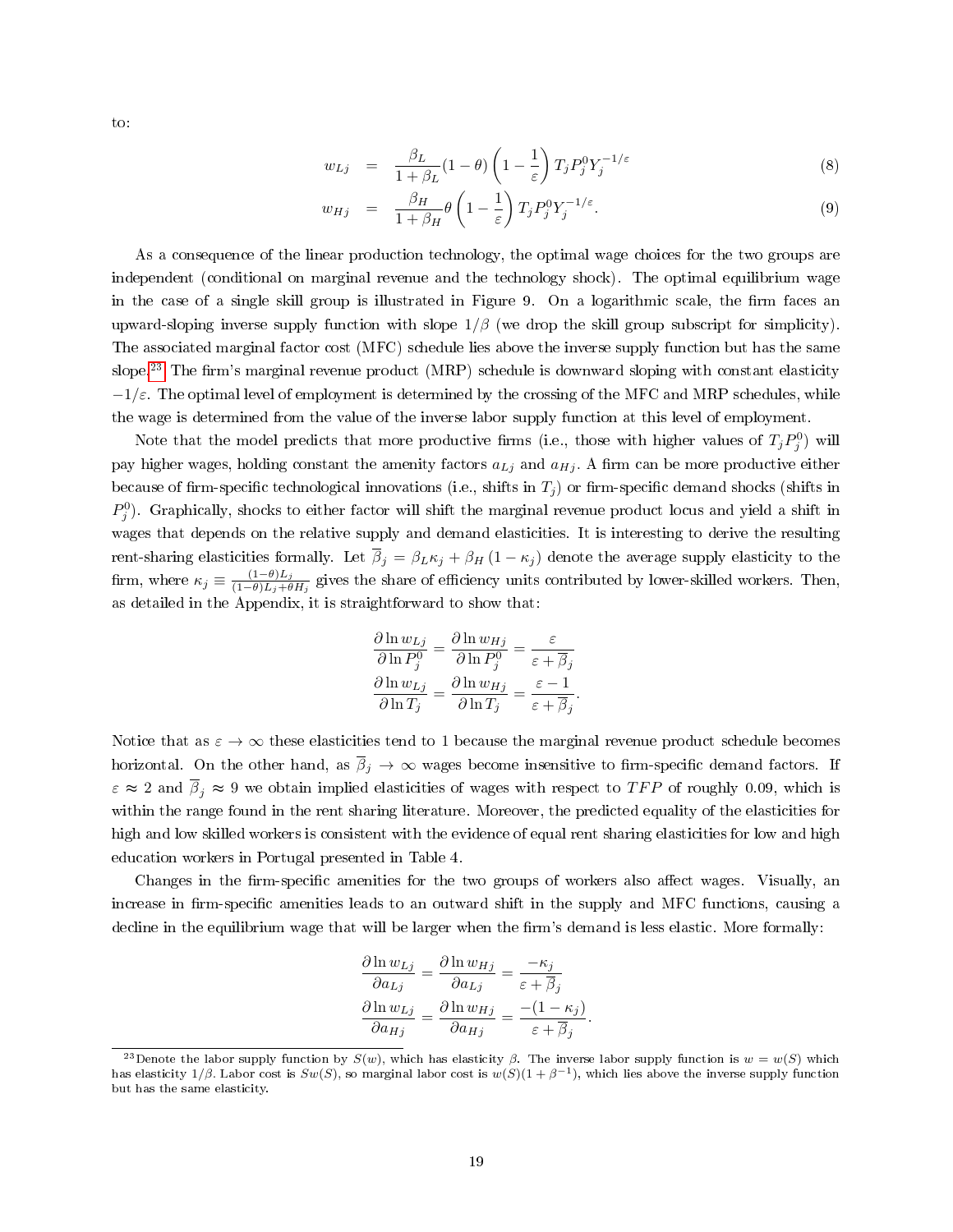to:

<span id="page-20-1"></span>
$$
w_{Lj} = \frac{\beta_L}{1 + \beta_L} (1 - \theta) \left( 1 - \frac{1}{\varepsilon} \right) T_j P_j^0 Y_j^{-1/\varepsilon}
$$
\n
$$
(8)
$$

$$
w_{Hj} = \frac{\beta_H}{1 + \beta_H} \theta \left( 1 - \frac{1}{\varepsilon} \right) T_j P_j^0 Y_j^{-1/\varepsilon}.
$$
\n(9)

As a consequence of the linear production technology, the optimal wage choices for the two groups are independent (conditional on marginal revenue and the technology shock). The optimal equilibrium wage in the case of a single skill group is illustrated in Figure 9. On a logarithmic scale, the firm faces an upward-sloping inverse supply function with slope  $1/\beta$  (we drop the skill group subscript for simplicity). The associated marginal factor cost (MFC) schedule lies above the inverse supply function but has the same slope.<sup>[23](#page-20-0)</sup> The firm's marginal revenue product (MRP) schedule is downward sloping with constant elasticity  $-1/\varepsilon$ . The optimal level of employment is determined by the crossing of the MFC and MRP schedules, while the wage is determined from the value of the inverse labor supply function at this level of employment.

Note that the model predicts that more productive firms (i.e., those with higher values of  $T_jP_j^0$ ) will pay higher wages, holding constant the amenity factors  $a_{Lj}$  and  $a_{Hj}$ . A firm can be more productive either because of firm-specific technological innovations (i.e., shifts in  $T_i$ ) or firm-specific demand shocks (shifts in  $P_j^0$ ). Graphically, shocks to either factor will shift the marginal revenue product locus and yield a shift in wages that depends on the relative supply and demand elasticities. It is interesting to derive the resulting rent-sharing elasticities formally. Let  $\overline{\beta}_j = \beta_L \kappa_j + \beta_H (1 - \kappa_j)$  denote the average supply elasticity to the firm, where  $\kappa_j \equiv \frac{(1-\theta)L_j}{(1-\theta)L_i+\theta}$  $\frac{(1-\theta)L_j}{(1-\theta)L_j+\theta H_j}$  gives the share of efficiency units contributed by lower-skilled workers. Then, as detailed in the Appendix, it is straightforward to show that:

$$
\frac{\partial \ln w_{Lj}}{\partial \ln P_j^0} = \frac{\partial \ln w_{Hj}}{\partial \ln P_j^0} = \frac{\varepsilon}{\varepsilon + \overline{\beta}_j}
$$

$$
\frac{\partial \ln w_{Lj}}{\partial \ln T_j} = \frac{\partial \ln w_{Hj}}{\partial \ln T_j} = \frac{\varepsilon - 1}{\varepsilon + \overline{\beta}_j}.
$$

Notice that as  $\varepsilon \to \infty$  these elasticities tend to 1 because the marginal revenue product schedule becomes horizontal. On the other hand, as  $\overline{\beta}_j \to \infty$  wages become insensitive to firm-specific demand factors. If  $\varepsilon \approx 2$  and  $\overline{\beta}_i \approx 9$  we obtain implied elasticities of wages with respect to TFP of roughly 0.09, which is within the range found in the rent sharing literature. Moreover, the predicted equality of the elasticities for high and low skilled workers is consistent with the evidence of equal rent sharing elasticities for low and high education workers in Portugal presented in Table 4.

Changes in the firm-specific amenities for the two groups of workers also affect wages. Visually, an increase in firm-specific amenities leads to an outward shift in the supply and MFC functions, causing a decline in the equilibrium wage that will be larger when the firm's demand is less elastic. More formally:

$$
\frac{\partial \ln w_{Lj}}{\partial a_{Lj}} = \frac{\partial \ln w_{Hj}}{\partial a_{Lj}} = \frac{-\kappa_j}{\varepsilon + \overline{\beta}_j}
$$

$$
\frac{\partial \ln w_{Lj}}{\partial a_{Hj}} = \frac{\partial \ln w_{Hj}}{\partial a_{Hj}} = \frac{-(1 - \kappa_j)}{\varepsilon + \overline{\beta}_j}.
$$

<span id="page-20-0"></span><sup>&</sup>lt;sup>23</sup>Denote the labor supply function by  $S(w)$ , which has elasticity  $\beta$ . The inverse labor supply function is  $w = w(S)$  which has elasticity 1/β. Labor cost is  $Sw(S)$ , so marginal labor cost is  $w(S)(1 + \beta^{-1})$ , which lies above the inverse supply function but has the same elasticity.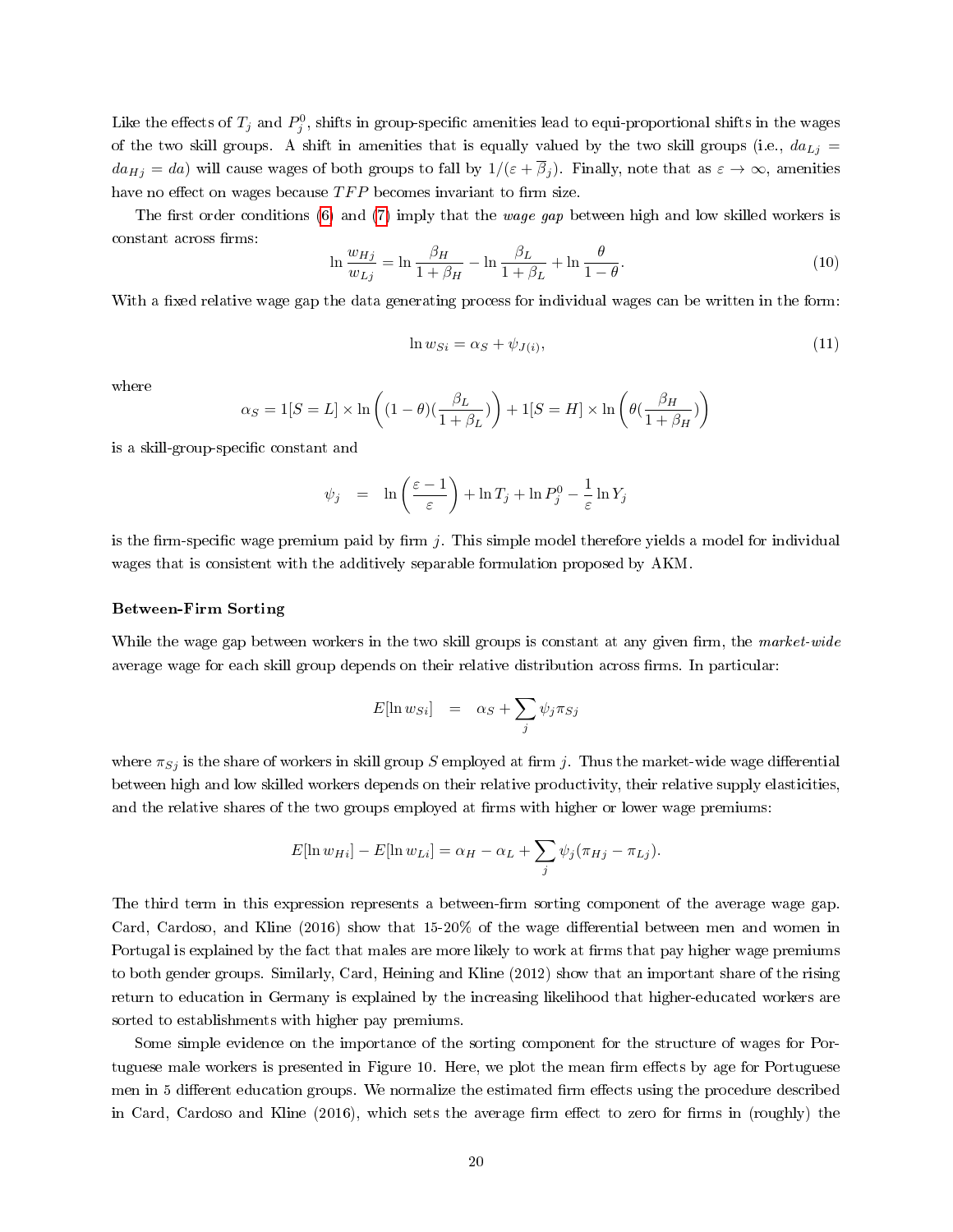Like the effects of  $T_j$  and  $P_j^0$ , shifts in group-specific amenities lead to equi-proportional shifts in the wages of the two skill groups. A shift in amenities that is equally valued by the two skill groups (i.e.,  $da_{Lj}$  =  $da_{Hj} = da$ ) will cause wages of both groups to fall by  $1/(\varepsilon + \overline{\beta}_j)$ . Finally, note that as  $\varepsilon \to \infty$ , amenities have no effect on wages because  $TFP$  becomes invariant to firm size.

The first order conditions [\(6\)](#page-19-0) and [\(7\)](#page-19-0) imply that the *wage gap* between high and low skilled workers is constant across firms:

$$
\ln \frac{w_{Hj}}{w_{Lj}} = \ln \frac{\beta_H}{1 + \beta_H} - \ln \frac{\beta_L}{1 + \beta_L} + \ln \frac{\theta}{1 - \theta}.
$$
\n(10)

With a fixed relative wage gap the data generating process for individual wages can be written in the form:

$$
\ln w_{Si} = \alpha_S + \psi_{J(i)},\tag{11}
$$

where

$$
\alpha_S = 1[S = L] \times \ln\left((1 - \theta)\left(\frac{\beta_L}{1 + \beta_L}\right)\right) + 1[S = H] \times \ln\left(\theta\left(\frac{\beta_H}{1 + \beta_H}\right)\right)
$$

is a skill-group-specific constant and

$$
\psi_j = \ln\left(\frac{\varepsilon - 1}{\varepsilon}\right) + \ln T_j + \ln P_j^0 - \frac{1}{\varepsilon} \ln Y_j
$$

is the firm-specific wage premium paid by firm j. This simple model therefore yields a model for individual wages that is consistent with the additively separable formulation proposed by AKM.

#### Between-Firm Sorting

While the wage gap between workers in the two skill groups is constant at any given firm, the market-wide average wage for each skill group depends on their relative distribution across firms. In particular:

$$
E[\ln w_{Si}] = \alpha_S + \sum_j \psi_j \pi_{Sj}
$$

where  $\pi_{Sj}$  is the share of workers in skill group S employed at firm j. Thus the market-wide wage differential between high and low skilled workers depends on their relative productivity, their relative supply elasticities, and the relative shares of the two groups employed at firms with higher or lower wage premiums:

$$
E[\ln w_{Hi}] - E[\ln w_{Li}] = \alpha_H - \alpha_L + \sum_j \psi_j (\pi_{Hj} - \pi_{Lj}).
$$

The third term in this expression represents a between-firm sorting component of the average wage gap. Card, Cardoso, and Kline (2016) show that 15-20% of the wage differential between men and women in Portugal is explained by the fact that males are more likely to work at firms that pay higher wage premiums to both gender groups. Similarly, Card, Heining and Kline (2012) show that an important share of the rising return to education in Germany is explained by the increasing likelihood that higher-educated workers are sorted to establishments with higher pay premiums.

Some simple evidence on the importance of the sorting component for the structure of wages for Portuguese male workers is presented in Figure 10. Here, we plot the mean firm effects by age for Portuguese men in 5 different education groups. We normalize the estimated firm effects using the procedure described in Card, Cardoso and Kline (2016), which sets the average firm effect to zero for firms in (roughly) the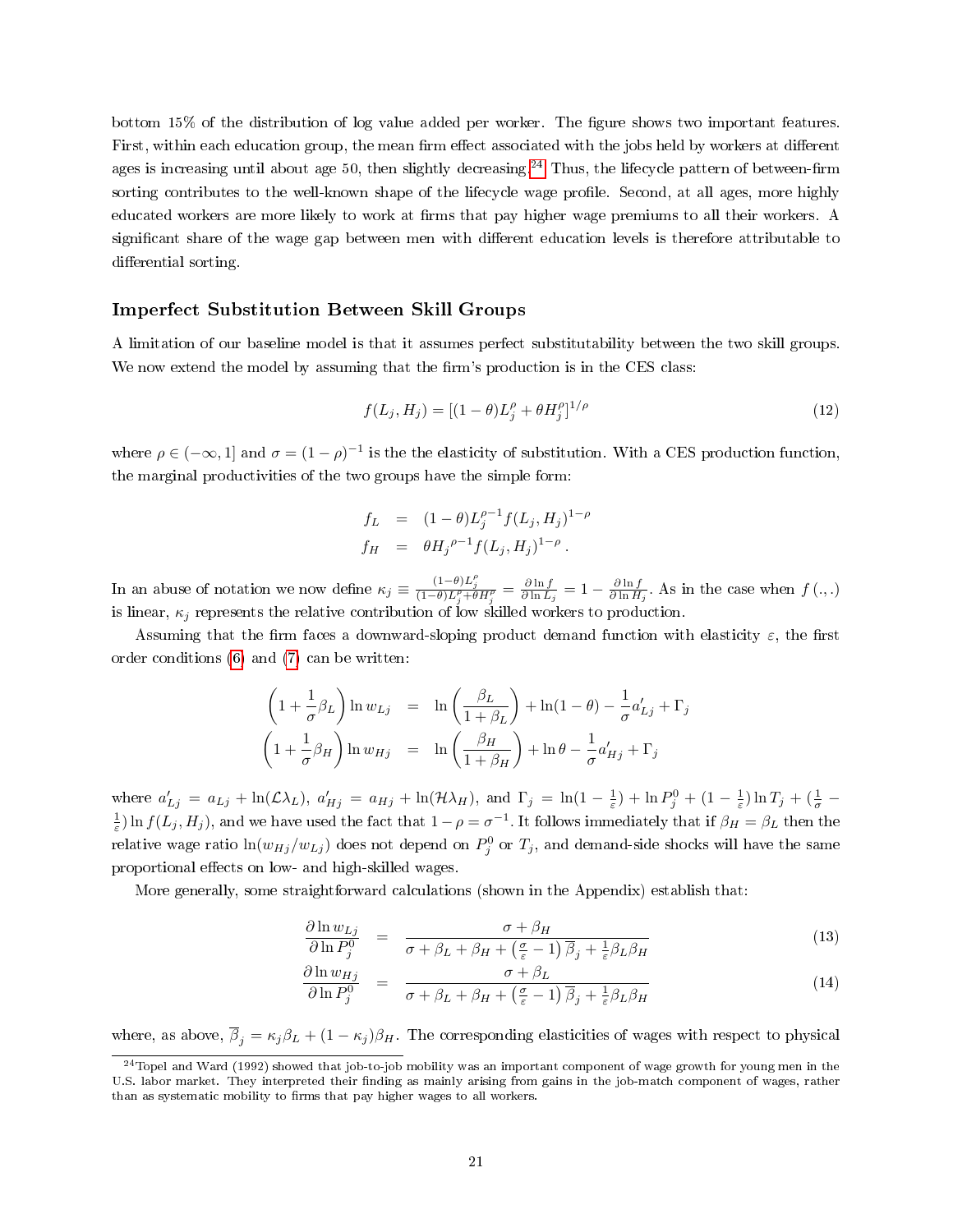bottom 15% of the distribution of log value added per worker. The figure shows two important features. First, within each education group, the mean firm effect associated with the jobs held by workers at different ages is increasing until about age 50, then slightly decreasing.<sup>[24](#page-22-0)</sup> Thus, the lifecycle pattern of between-firm sorting contributes to the well-known shape of the lifecycle wage profile. Second, at all ages, more highly educated workers are more likely to work at firms that pay higher wage premiums to all their workers. A significant share of the wage gap between men with different education levels is therefore attributable to differential sorting.

#### Imperfect Substitution Between Skill Groups

A limitation of our baseline model is that it assumes perfect substitutability between the two skill groups. We now extend the model by assuming that the firm's production is in the CES class:

$$
f(L_j, H_j) = [(1 - \theta)L_j^{\rho} + \theta H_j^{\rho}]^{1/\rho}
$$
\n(12)

where  $\rho \in (-\infty, 1]$  and  $\sigma = (1 - \rho)^{-1}$  is the the elasticity of substitution. With a CES production function, the marginal productivities of the two groups have the simple form:

$$
f_L = (1 - \theta)L_j^{\rho - 1}f(L_j, H_j)^{1 - \rho}
$$
  
\n
$$
f_H = \theta H_j^{\rho - 1}f(L_j, H_j)^{1 - \rho}.
$$

In an abuse of notation we now define  $\kappa_j \equiv \frac{(1-\theta)L_j^{\rho}}{(1-\theta)L_j^{\rho}+\theta H_j^{\rho}} = \frac{\partial \ln f}{\partial \ln L_j} = 1 - \frac{\partial \ln f}{\partial \ln H_j}$ . As in the case when  $f(\cdot, \cdot)$ is linear,  $\kappa_j$  represents the relative contribution of low skilled workers to production.

Assuming that the firm faces a downward-sloping product demand function with elasticity  $\varepsilon$ , the first order conditions [\(6\)](#page-19-0) and [\(7\)](#page-19-0) can be written:

$$
\left(1 + \frac{1}{\sigma}\beta_L\right)\ln w_{Lj} = \ln\left(\frac{\beta_L}{1 + \beta_L}\right) + \ln(1 - \theta) - \frac{1}{\sigma}a'_{Lj} + \Gamma_j
$$

$$
\left(1 + \frac{1}{\sigma}\beta_H\right)\ln w_{Hj} = \ln\left(\frac{\beta_H}{1 + \beta_H}\right) + \ln\theta - \frac{1}{\sigma}a'_{Hj} + \Gamma_j
$$

where  $a'_{Lj} = a_{Lj} + \ln(\mathcal{L}\lambda_L)$ ,  $a'_{Hj} = a_{Hj} + \ln(\mathcal{H}\lambda_H)$ , and  $\Gamma_j = \ln(1 - \frac{1}{\varepsilon}) + \ln P_j^0 + (1 - \frac{1}{\varepsilon})\ln T_j + (\frac{1}{\sigma} - \frac{1}{\varepsilon})$  $\frac{1}{\varepsilon}$ ) ln  $f(L_j, H_j)$ , and we have used the fact that  $1-\rho = \sigma^{-1}$ . It follows immediately that if  $\beta_H = \beta_L$  then the relative wage ratio  $\ln(w_{Hj}/w_{Lj})$  does not depend on  $P^0_j$  or  $T_j$ , and demand-side shocks will have the same proportional effects on low- and high-skilled wages.

More generally, some straightforward calculations (shown in the Appendix) establish that:

$$
\frac{\partial \ln w_{Lj}}{\partial \ln P_j^0} = \frac{\sigma + \beta_H}{\sigma + \beta_L + \beta_H + \left(\frac{\sigma}{\varepsilon} - 1\right) \overline{\beta}_j + \frac{1}{\varepsilon} \beta_L \beta_H} \tag{13}
$$

$$
\frac{\partial \ln w_{Hj}}{\partial \ln P_j^0} = \frac{\sigma + \beta_L}{\sigma + \beta_L + \beta_H + \left(\frac{\sigma}{\varepsilon} - 1\right) \overline{\beta}_j + \frac{1}{\varepsilon} \beta_L \beta_H} \tag{14}
$$

where, as above,  $\overline{\beta}_j = \kappa_j \beta_L + (1 - \kappa_j) \beta_H$ . The corresponding elasticities of wages with respect to physical

<span id="page-22-0"></span> $24$ Topel and Ward (1992) showed that job-to-job mobility was an important component of wage growth for young men in the U.S. labor market. They interpreted their finding as mainly arising from gains in the job-match component of wages, rather than as systematic mobility to firms that pay higher wages to all workers.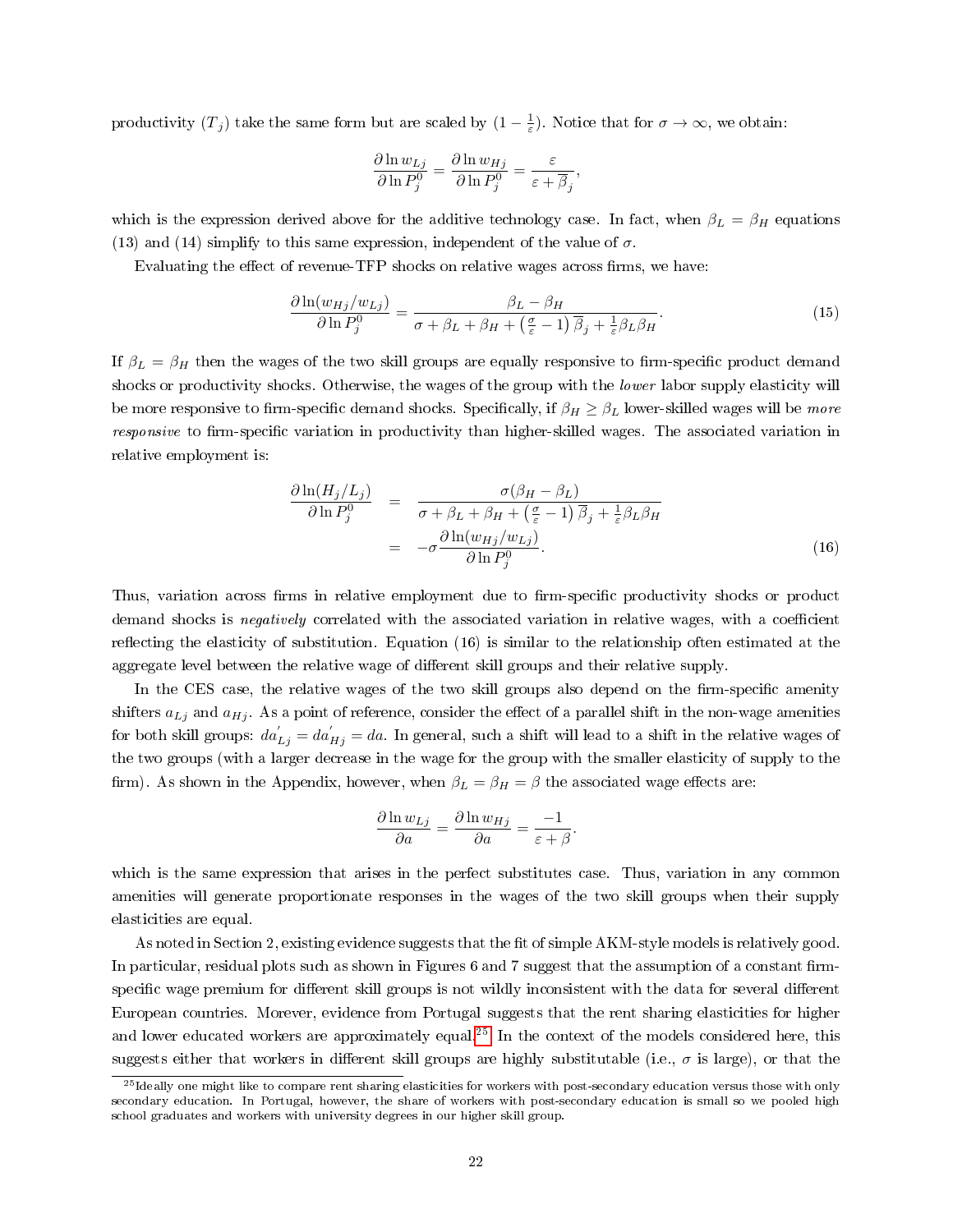productivity  $(T_j)$  take the same form but are scaled by  $(1-\frac{1}{\varepsilon})$ . Notice that for  $\sigma \to \infty$ , we obtain:

$$
\frac{\partial \ln w_{Lj}}{\partial \ln P_j^0} = \frac{\partial \ln w_{Hj}}{\partial \ln P_j^0} = \frac{\varepsilon}{\varepsilon + \overline{\beta}_j},
$$

which is the expression derived above for the additive technology case. In fact, when  $\beta_L = \beta_H$  equations (13) and (14) simplify to this same expression, independent of the value of  $\sigma$ .

Evaluating the effect of revenue-TFP shocks on relative wages across firms, we have:

$$
\frac{\partial \ln(w_{Hj}/w_{Lj})}{\partial \ln P_j^0} = \frac{\beta_L - \beta_H}{\sigma + \beta_L + \beta_H + \left(\frac{\sigma}{\varepsilon} - 1\right) \overline{\beta}_j + \frac{1}{\varepsilon} \beta_L \beta_H}.
$$
(15)

If  $\beta_L = \beta_H$  then the wages of the two skill groups are equally responsive to firm-specific product demand shocks or productivity shocks. Otherwise, the wages of the group with the lower labor supply elasticity will be more responsive to firm-specific demand shocks. Specifically, if  $\beta_H \geq \beta_L$  lower-skilled wages will be more responsive to firm-specific variation in productivity than higher-skilled wages. The associated variation in relative employment is:

$$
\frac{\partial \ln(H_j/L_j)}{\partial \ln P_j^0} = \frac{\sigma(\beta_H - \beta_L)}{\sigma + \beta_L + \beta_H + (\frac{\sigma}{\varepsilon} - 1)\overline{\beta}_j + \frac{1}{\varepsilon}\beta_L\beta_H}
$$

$$
= -\sigma \frac{\partial \ln(w_{Hj}/w_{Lj})}{\partial \ln P_j^0}.
$$
(16)

Thus, variation across firms in relative employment due to firm-specific productivity shocks or product demand shocks is *negatively* correlated with the associated variation in relative wages, with a coefficient reflecting the elasticity of substitution. Equation  $(16)$  is similar to the relationship often estimated at the aggregate level between the relative wage of different skill groups and their relative supply.

In the CES case, the relative wages of the two skill groups also depend on the firm-specific amenity shifters  $a_{Lj}$  and  $a_{Hj}$ . As a point of reference, consider the effect of a parallel shift in the non-wage amenities for both skill groups:  $da_{Lj}^{'} = da_{Hj}^{'} = da$ . In general, such a shift will lead to a shift in the relative wages of the two groups (with a larger decrease in the wage for the group with the smaller elasticity of supply to the firm). As shown in the Appendix, however, when  $\beta_L = \beta_H = \beta$  the associated wage effects are:

$$
\frac{\partial \ln w_{Lj}}{\partial a} = \frac{\partial \ln w_{Hj}}{\partial a} = \frac{-1}{\varepsilon + \beta}.
$$

which is the same expression that arises in the perfect substitutes case. Thus, variation in any common amenities will generate proportionate responses in the wages of the two skill groups when their supply elasticities are equal.

As noted in Section 2, existing evidence suggests that the fit of simple AKM-style models is relatively good. In particular, residual plots such as shown in Figures 6 and 7 suggest that the assumption of a constant firmspecific wage premium for different skill groups is not wildly inconsistent with the data for several different European countries. Morever, evidence from Portugal suggests that the rent sharing elasticities for higher and lower educated workers are approximately equal.<sup>[25](#page-23-0)</sup> In the context of the models considered here, this suggests either that workers in different skill groups are highly substitutable (i.e.,  $\sigma$  is large), or that the

<span id="page-23-0"></span><sup>&</sup>lt;sup>25</sup> Ideally one might like to compare rent sharing elasticities for workers with post-secondary education versus those with only secondary education. In Portugal, however, the share of workers with post-secondary education is small so we pooled high school graduates and workers with university degrees in our higher skill group.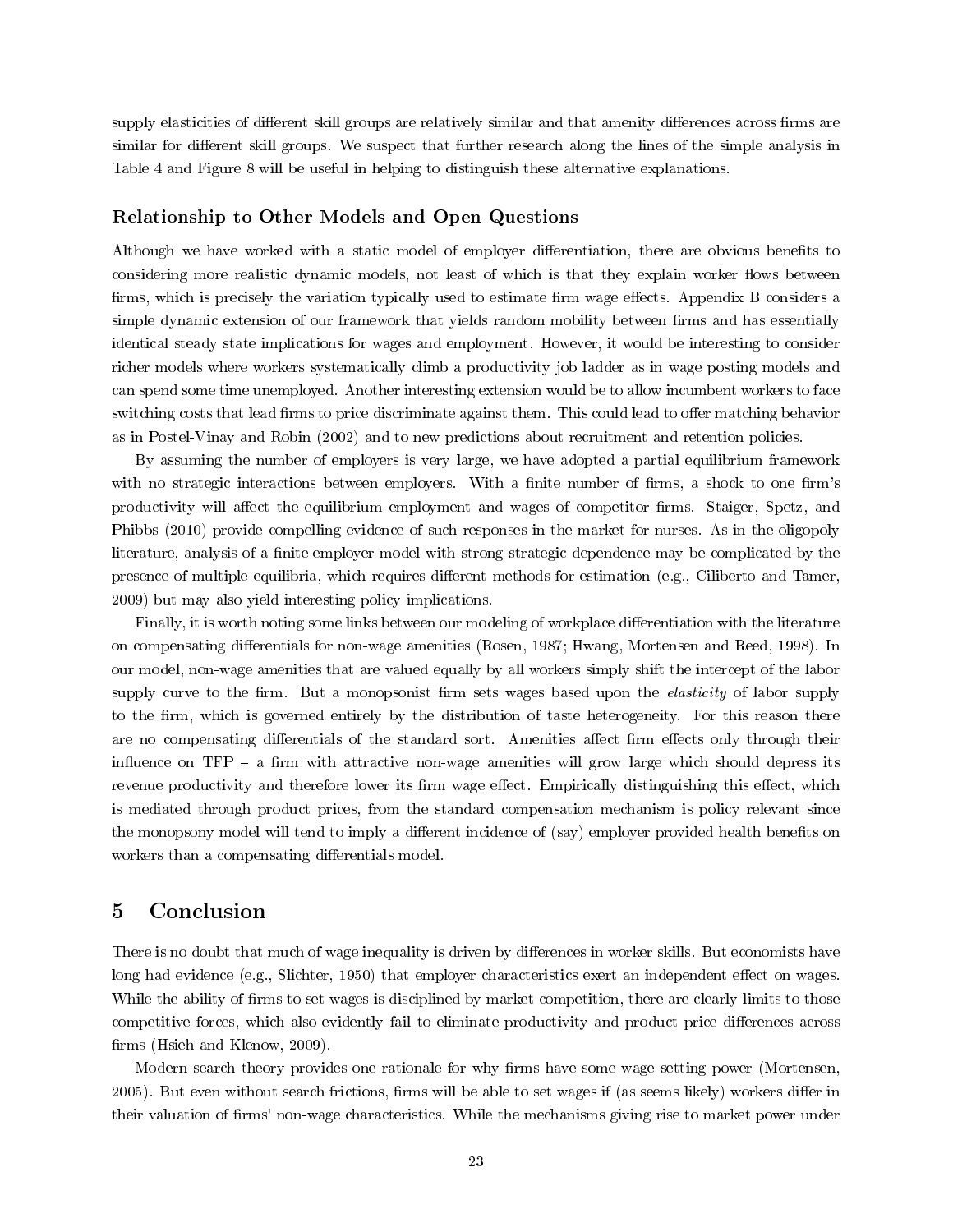supply elasticities of different skill groups are relatively similar and that amenity differences across firms are similar for different skill groups. We suspect that further research along the lines of the simple analysis in Table 4 and Figure 8 will be useful in helping to distinguish these alternative explanations.

#### Relationship to Other Models and Open Questions

Although we have worked with a static model of employer differentiation, there are obvious benefits to considering more realistic dynamic models, not least of which is that they explain worker flows between firms, which is precisely the variation typically used to estimate firm wage effects. Appendix B considers a simple dynamic extension of our framework that yields random mobility between firms and has essentially identical steady state implications for wages and employment. However, it would be interesting to consider richer models where workers systematically climb a productivity job ladder as in wage posting models and can spend some time unemployed. Another interesting extension would be to allow incumbent workers to face switching costs that lead firms to price discriminate against them. This could lead to offer matching behavior as in Postel-Vinay and Robin (2002) and to new predictions about recruitment and retention policies.

By assuming the number of employers is very large, we have adopted a partial equilibrium framework with no strategic interactions between employers. With a finite number of firms, a shock to one firm's productivity will affect the equilibrium employment and wages of competitor firms. Staiger, Spetz, and Phibbs (2010) provide compelling evidence of such responses in the market for nurses. As in the oligopoly literature, analysis of a finite employer model with strong strategic dependence may be complicated by the presence of multiple equilibria, which requires different methods for estimation (e.g., Ciliberto and Tamer, 2009) but may also yield interesting policy implications.

Finally, it is worth noting some links between our modeling of workplace differentiation with the literature on compensating differentials for non-wage amenities (Rosen, 1987; Hwang, Mortensen and Reed, 1998). In our model, non-wage amenities that are valued equally by all workers simply shift the intercept of the labor supply curve to the firm. But a monopsonist firm sets wages based upon the *elasticity* of labor supply to the firm, which is governed entirely by the distribution of taste heterogeneity. For this reason there are no compensating differentials of the standard sort. Amenities affect firm effects only through their influence on  $TFP - a$  firm with attractive non-wage amenities will grow large which should depress its revenue productivity and therefore lower its firm wage effect. Empirically distinguishing this effect, which is mediated through product prices, from the standard compensation mechanism is policy relevant since the monopsony model will tend to imply a different incidence of (say) employer provided health benefits on workers than a compensating differentials model.

# 5 Conclusion

There is no doubt that much of wage inequality is driven by differences in worker skills. But economists have long had evidence (e.g., Slichter, 1950) that employer characteristics exert an independent effect on wages. While the ability of firms to set wages is disciplined by market competition, there are clearly limits to those competitive forces, which also evidently fail to eliminate productivity and product price differences across firms (Hsieh and Klenow, 2009).

Modern search theory provides one rationale for why firms have some wage setting power (Mortensen, 2005). But even without search frictions, firms will be able to set wages if (as seems likely) workers differ in their valuation of firms' non-wage characteristics. While the mechanisms giving rise to market power under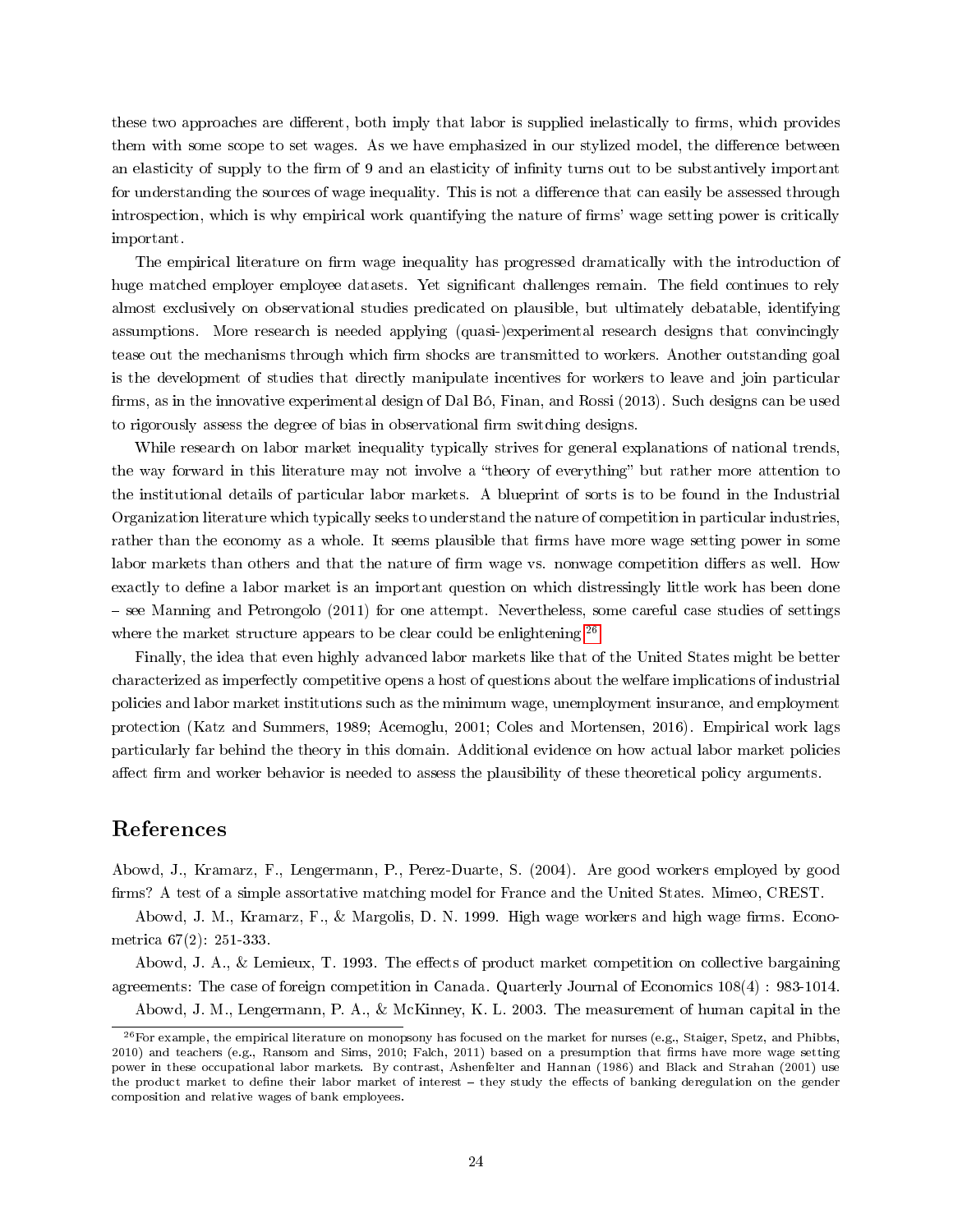these two approaches are different, both imply that labor is supplied inelastically to firms, which provides them with some scope to set wages. As we have emphasized in our stylized model, the difference between an elasticity of supply to the firm of 9 and an elasticity of infinity turns out to be substantively important for understanding the sources of wage inequality. This is not a difference that can easily be assessed through introspection, which is why empirical work quantifying the nature of firms' wage setting power is critically important.

The empirical literature on firm wage inequality has progressed dramatically with the introduction of huge matched employer employee datasets. Yet significant challenges remain. The field continues to rely almost exclusively on observational studies predicated on plausible, but ultimately debatable, identifying assumptions. More research is needed applying (quasi-)experimental research designs that convincingly tease out the mechanisms through which firm shocks are transmitted to workers. Another outstanding goal is the development of studies that directly manipulate incentives for workers to leave and join particular firms, as in the innovative experimental design of Dal Bó, Finan, and Rossi (2013). Such designs can be used to rigorously assess the degree of bias in observational firm switching designs.

While research on labor market inequality typically strives for general explanations of national trends, the way forward in this literature may not involve a "theory of everything" but rather more attention to the institutional details of particular labor markets. A blueprint of sorts is to be found in the Industrial Organization literature which typically seeks to understand the nature of competition in particular industries, rather than the economy as a whole. It seems plausible that firms have more wage setting power in some labor markets than others and that the nature of firm wage vs. nonwage competition differs as well. How exactly to define a labor market is an important question on which distressingly little work has been done see Manning and Petrongolo (2011) for one attempt. Nevertheless, some careful case studies of settings where the market structure appears to be clear could be enlightening.<sup>[26](#page-25-0)</sup>

Finally, the idea that even highly advanced labor markets like that of the United States might be better characterized as imperfectly competitive opens a host of questions about the welfare implications of industrial policies and labor market institutions such as the minimum wage, unemployment insurance, and employment protection (Katz and Summers, 1989; Acemoglu, 2001; Coles and Mortensen, 2016). Empirical work lags particularly far behind the theory in this domain. Additional evidence on how actual labor market policies affect firm and worker behavior is needed to assess the plausibility of these theoretical policy arguments.

# References

Abowd, J., Kramarz, F., Lengermann, P., Perez-Duarte, S. (2004). Are good workers employed by good firms? A test of a simple assortative matching model for France and the United States. Mimeo, CREST.

Abowd, J. M., Kramarz, F., & Margolis, D. N. 1999. High wage workers and high wage firms. Econometrica 67(2): 251-333.

Abowd, J. A., & Lemieux, T. 1993. The effects of product market competition on collective bargaining agreements: The case of foreign competition in Canada. Quarterly Journal of Economics 108(4) : 983-1014.

<span id="page-25-0"></span>Abowd, J. M., Lengermann, P. A., & McKinney, K. L. 2003. The measurement of human capital in the

 $^{26}$  For example, the empirical literature on monopsony has focused on the market for nurses (e.g., Staiger, Spetz, and Phibbs, 2010) and teachers (e.g., Ransom and Sims, 2010; Falch, 2011) based on a presumption that firms have more wage setting power in these occupational labor markets. By contrast, Ashenfelter and Hannan (1986) and Black and Strahan (2001) use the product market to define their labor market of interest - they study the effects of banking deregulation on the gender composition and relative wages of bank employees.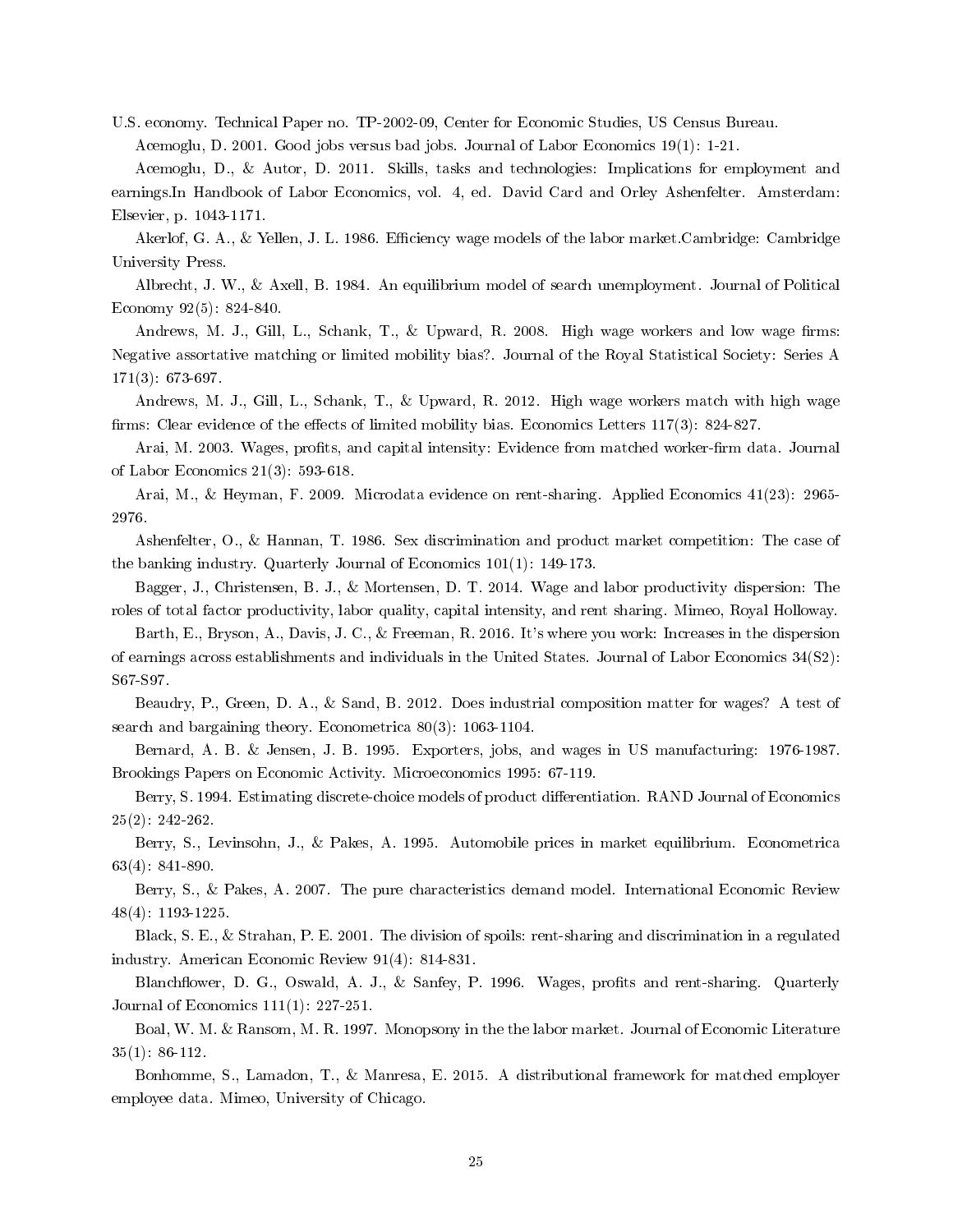U.S. economy. Technical Paper no. TP-2002-09, Center for Economic Studies, US Census Bureau. Acemoglu, D. 2001. Good jobs versus bad jobs. Journal of Labor Economics 19(1): 1-21.

Acemoglu, D., & Autor, D. 2011. Skills, tasks and technologies: Implications for employment and earnings.In Handbook of Labor Economics, vol. 4, ed. David Card and Orley Ashenfelter. Amsterdam: Elsevier, p. 1043-1171.

Akerlof, G. A., & Yellen, J. L. 1986. Efficiency wage models of the labor market.Cambridge: Cambridge University Press.

Albrecht, J. W., & Axell, B. 1984. An equilibrium model of search unemployment. Journal of Political Economy 92(5): 824-840.

Andrews, M. J., Gill, L., Schank, T., & Upward, R. 2008. High wage workers and low wage firms: Negative assortative matching or limited mobility bias?. Journal of the Royal Statistical Society: Series A 171(3): 673-697.

Andrews, M. J., Gill, L., Schank, T., & Upward, R. 2012. High wage workers match with high wage firms: Clear evidence of the effects of limited mobility bias. Economics Letters  $117(3)$ : 824-827.

Arai, M. 2003. Wages, profits, and capital intensity: Evidence from matched worker-firm data. Journal of Labor Economics 21(3): 593-618.

Arai, M., & Heyman, F. 2009. Microdata evidence on rent-sharing. Applied Economics 41(23): 2965- 2976.

Ashenfelter, O., & Hannan, T. 1986. Sex discrimination and product market competition: The case of the banking industry. Quarterly Journal of Economics 101(1): 149-173.

Bagger, J., Christensen, B. J., & Mortensen, D. T. 2014. Wage and labor productivity dispersion: The roles of total factor productivity, labor quality, capital intensity, and rent sharing. Mimeo, Royal Holloway.

Barth, E., Bryson, A., Davis, J. C., & Freeman, R. 2016. It's where you work: Increases in the dispersion of earnings across establishments and individuals in the United States. Journal of Labor Economics 34(S2): S67-S97.

Beaudry, P., Green, D. A., & Sand, B. 2012. Does industrial composition matter for wages? A test of search and bargaining theory. Econometrica 80(3): 1063-1104.

Bernard, A. B. & Jensen, J. B. 1995. Exporters, jobs, and wages in US manufacturing: 1976-1987. Brookings Papers on Economic Activity. Microeconomics 1995: 67-119.

Berry, S. 1994. Estimating discrete-choice models of product differentiation. RAND Journal of Economics 25(2): 242-262.

Berry, S., Levinsohn, J., & Pakes, A. 1995. Automobile prices in market equilibrium. Econometrica 63(4): 841-890.

Berry, S., & Pakes, A. 2007. The pure characteristics demand model. International Economic Review 48(4): 1193-1225.

Black, S. E., & Strahan, P. E. 2001. The division of spoils: rent-sharing and discrimination in a regulated industry. American Economic Review 91(4): 814-831.

Blanchflower, D. G., Oswald, A. J., & Sanfey, P. 1996. Wages, profits and rent-sharing. Quarterly Journal of Economics 111(1): 227-251.

Boal, W. M. & Ransom, M. R. 1997. Monopsony in the the labor market. Journal of Economic Literature 35(1): 86-112.

Bonhomme, S., Lamadon, T., & Manresa, E. 2015. A distributional framework for matched employer employee data. Mimeo, University of Chicago.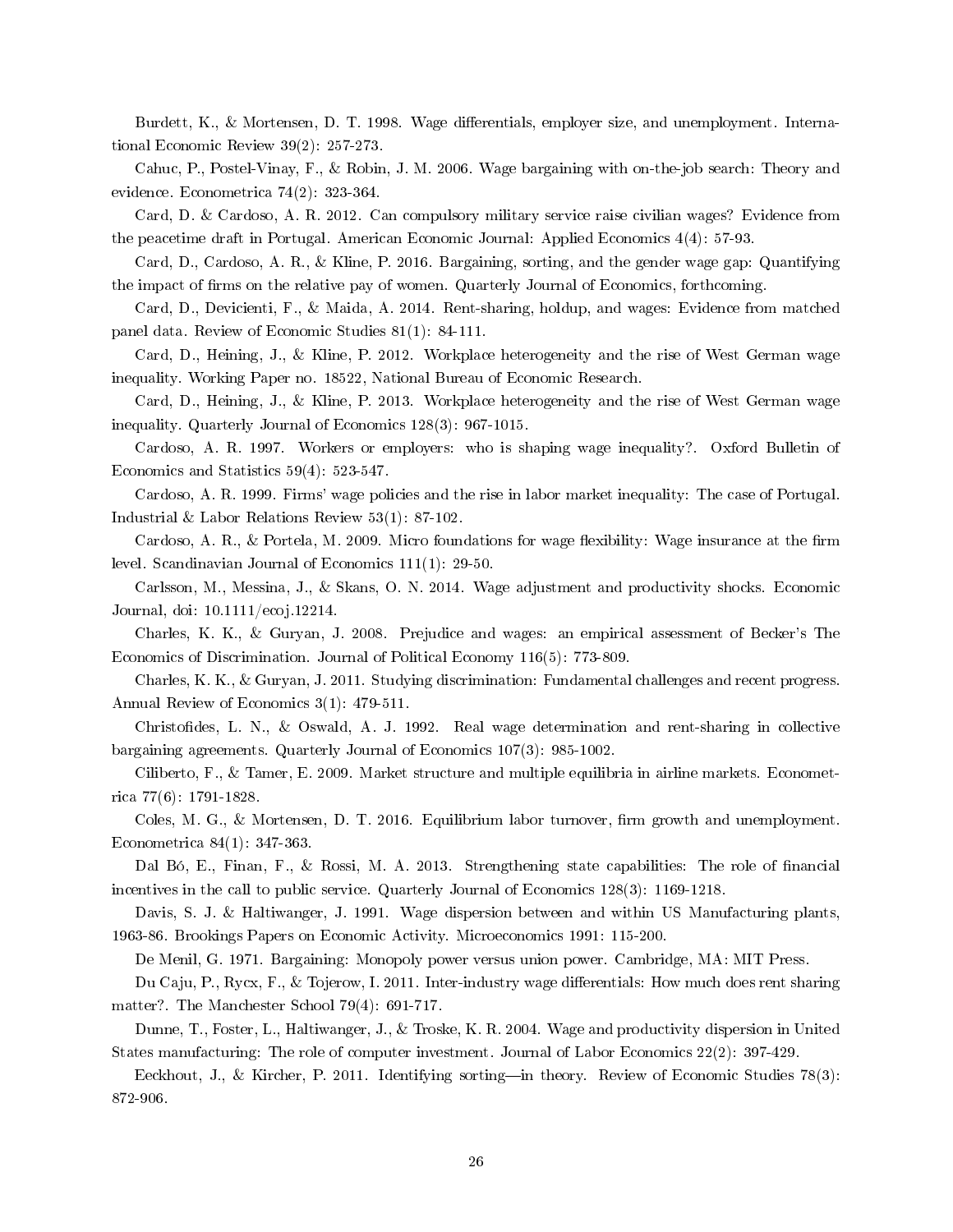Burdett, K., & Mortensen, D. T. 1998. Wage differentials, employer size, and unemployment. International Economic Review 39(2): 257-273.

Cahuc, P., Postel-Vinay, F., & Robin, J. M. 2006. Wage bargaining with on-the-job search: Theory and evidence. Econometrica 74(2): 323-364.

Card, D. & Cardoso, A. R. 2012. Can compulsory military service raise civilian wages? Evidence from the peacetime draft in Portugal. American Economic Journal: Applied Economics 4(4): 57-93.

Card, D., Cardoso, A. R., & Kline, P. 2016. Bargaining, sorting, and the gender wage gap: Quantifying the impact of firms on the relative pay of women. Quarterly Journal of Economics, forthcoming.

Card, D., Devicienti, F., & Maida, A. 2014. Rent-sharing, holdup, and wages: Evidence from matched panel data. Review of Economic Studies 81(1): 84-111.

Card, D., Heining, J., & Kline, P. 2012. Workplace heterogeneity and the rise of West German wage inequality. Working Paper no. 18522, National Bureau of Economic Research.

Card, D., Heining, J., & Kline, P. 2013. Workplace heterogeneity and the rise of West German wage inequality. Quarterly Journal of Economics 128(3): 967-1015.

Cardoso, A. R. 1997. Workers or employers: who is shaping wage inequality?. Oxford Bulletin of Economics and Statistics 59(4): 523-547.

Cardoso, A. R. 1999. Firms' wage policies and the rise in labor market inequality: The case of Portugal. Industrial & Labor Relations Review 53(1): 87-102.

Cardoso, A. R., & Portela, M. 2009. Micro foundations for wage flexibility: Wage insurance at the firm level. Scandinavian Journal of Economics 111(1): 29-50.

Carlsson, M., Messina, J., & Skans, O. N. 2014. Wage adjustment and productivity shocks. Economic Journal, doi: 10.1111/ecoj.12214.

Charles, K. K., & Guryan, J. 2008. Prejudice and wages: an empirical assessment of Becker's The Economics of Discrimination. Journal of Political Economy 116(5): 773-809.

Charles, K. K., & Guryan, J. 2011. Studying discrimination: Fundamental challenges and recent progress. Annual Review of Economics 3(1): 479-511.

Christodes, L. N., & Oswald, A. J. 1992. Real wage determination and rent-sharing in collective bargaining agreements. Quarterly Journal of Economics 107(3): 985-1002.

Ciliberto, F., & Tamer, E. 2009. Market structure and multiple equilibria in airline markets. Econometrica 77(6): 1791-1828.

Coles, M. G., & Mortensen, D. T. 2016. Equilibrium labor turnover, firm growth and unemployment. Econometrica 84(1): 347-363.

Dal Bó, E., Finan, F., & Rossi, M. A. 2013. Strengthening state capabilities: The role of nancial incentives in the call to public service. Quarterly Journal of Economics 128(3): 1169-1218.

Davis, S. J. & Haltiwanger, J. 1991. Wage dispersion between and within US Manufacturing plants, 1963-86. Brookings Papers on Economic Activity. Microeconomics 1991: 115-200.

De Menil, G. 1971. Bargaining: Monopoly power versus union power. Cambridge, MA: MIT Press.

Du Caju, P., Rycx, F., & Tojerow, I. 2011. Inter-industry wage differentials: How much does rent sharing matter?. The Manchester School 79(4): 691-717.

Dunne, T., Foster, L., Haltiwanger, J., & Troske, K. R. 2004. Wage and productivity dispersion in United States manufacturing: The role of computer investment. Journal of Labor Economics 22(2): 397-429.

Eeckhout, J., & Kircher, P. 2011. Identifying sorting—in theory. Review of Economic Studies 78(3): 872-906.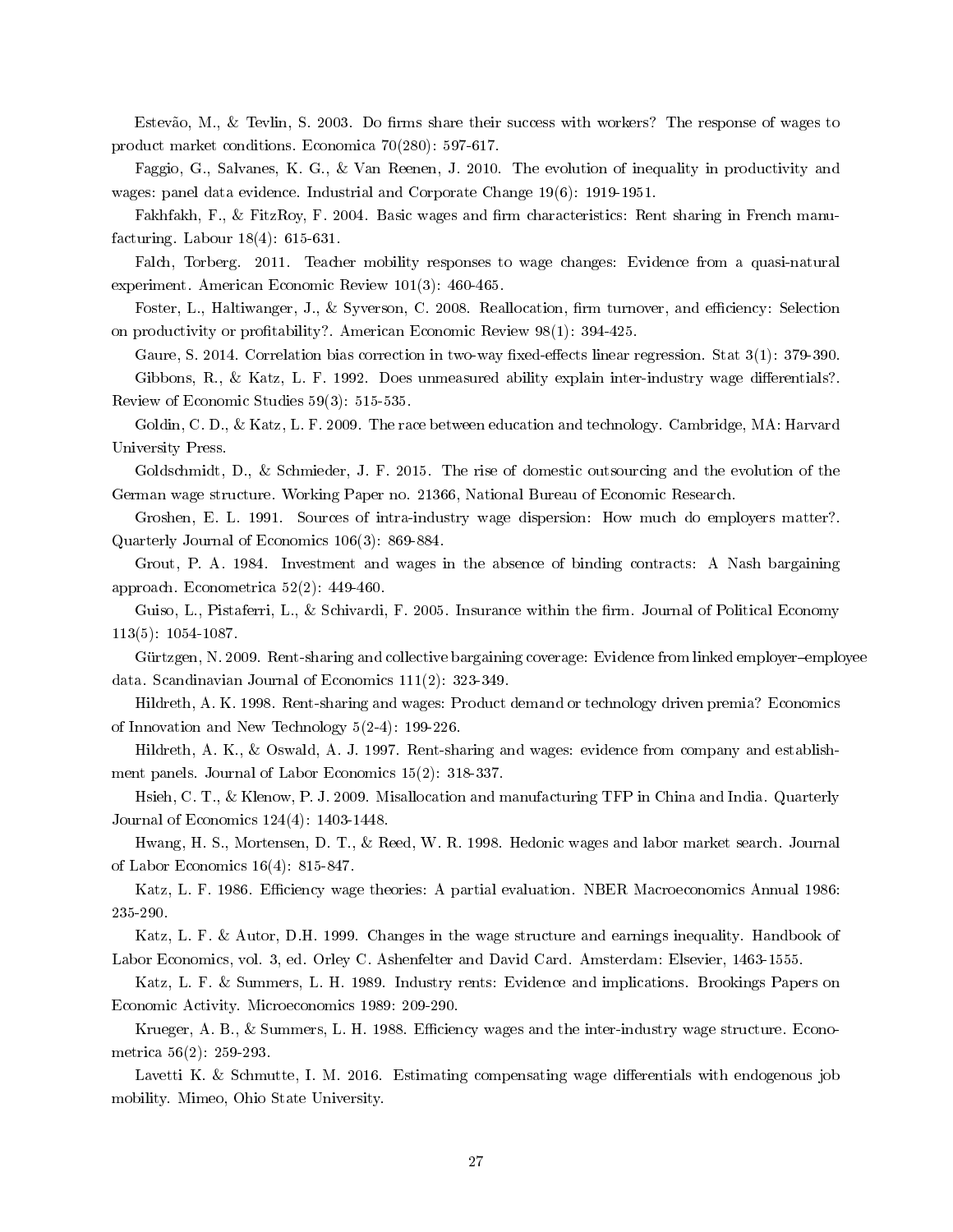Estevão, M., & Tevlin, S. 2003. Do firms share their success with workers? The response of wages to product market conditions. Economica 70(280): 597-617.

Faggio, G., Salvanes, K. G., & Van Reenen, J. 2010. The evolution of inequality in productivity and wages: panel data evidence. Industrial and Corporate Change 19(6): 1919-1951.

Fakhfakh, F., & FitzRoy, F. 2004. Basic wages and firm characteristics: Rent sharing in French manufacturing. Labour 18(4): 615-631.

Falch, Torberg. 2011. Teacher mobility responses to wage changes: Evidence from a quasi-natural experiment. American Economic Review 101(3): 460-465.

Foster, L., Haltiwanger, J., & Syverson, C. 2008. Reallocation, firm turnover, and efficiency: Selection on productivity or profitability?. American Economic Review 98(1): 394-425.

Gaure, S. 2014. Correlation bias correction in two-way fixed-effects linear regression. Stat 3(1): 379-390. Gibbons, R., & Katz, L. F. 1992. Does unmeasured ability explain inter-industry wage differentials?. Review of Economic Studies 59(3): 515-535.

Goldin, C. D., & Katz, L. F. 2009. The race between education and technology. Cambridge, MA: Harvard University Press.

Goldschmidt, D., & Schmieder, J. F. 2015. The rise of domestic outsourcing and the evolution of the German wage structure. Working Paper no. 21366, National Bureau of Economic Research.

Groshen, E. L. 1991. Sources of intra-industry wage dispersion: How much do employers matter?. Quarterly Journal of Economics 106(3): 869-884.

Grout, P. A. 1984. Investment and wages in the absence of binding contracts: A Nash bargaining approach. Econometrica 52(2): 449-460.

Guiso, L., Pistaferri, L., & Schivardi, F. 2005. Insurance within the firm. Journal of Political Economy 113(5): 1054-1087.

Gürtzgen, N. 2009. Rent-sharing and collective bargaining coverage: Evidence from linked employer-employee data. Scandinavian Journal of Economics 111(2): 323-349.

Hildreth, A. K. 1998. Rent-sharing and wages: Product demand or technology driven premia? Economics of Innovation and New Technology 5(2-4): 199-226.

Hildreth, A. K., & Oswald, A. J. 1997. Rent-sharing and wages: evidence from company and establishment panels. Journal of Labor Economics 15(2): 318-337.

Hsieh, C. T., & Klenow, P. J. 2009. Misallocation and manufacturing TFP in China and India. Quarterly Journal of Economics 124(4): 1403-1448.

Hwang, H. S., Mortensen, D. T., & Reed, W. R. 1998. Hedonic wages and labor market search. Journal of Labor Economics 16(4): 815-847.

Katz, L. F. 1986. Efficiency wage theories: A partial evaluation. NBER Macroeconomics Annual 1986: 235-290.

Katz, L. F. & Autor, D.H. 1999. Changes in the wage structure and earnings inequality. Handbook of Labor Economics, vol. 3, ed. Orley C. Ashenfelter and David Card. Amsterdam: Elsevier, 1463-1555.

Katz, L. F. & Summers, L. H. 1989. Industry rents: Evidence and implications. Brookings Papers on Economic Activity. Microeconomics 1989: 209-290.

Krueger, A. B., & Summers, L. H. 1988. Efficiency wages and the inter-industry wage structure. Econometrica 56(2): 259-293.

Lavetti K. & Schmutte, I. M. 2016. Estimating compensating wage differentials with endogenous job mobility. Mimeo, Ohio State University.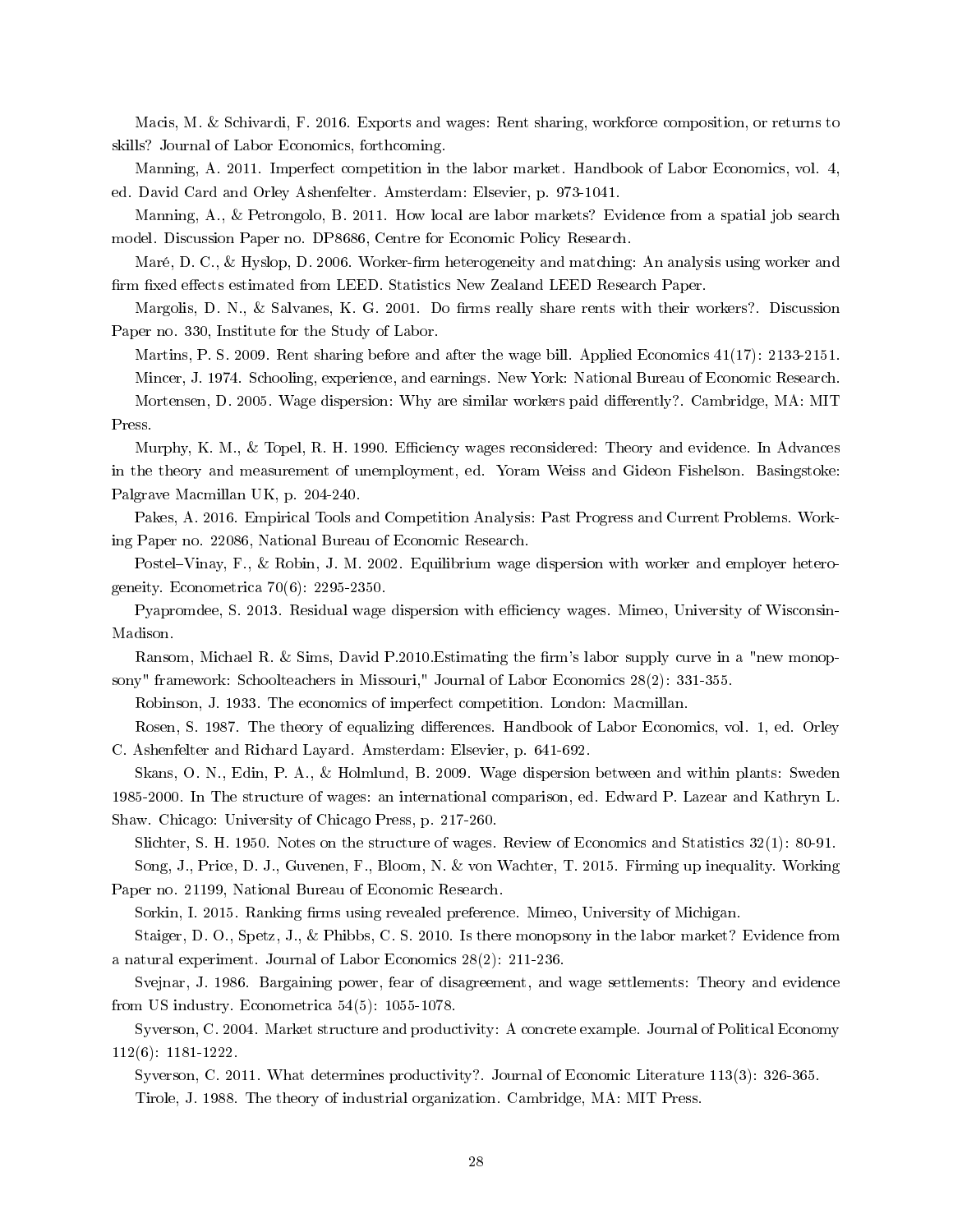Macis, M. & Schivardi, F. 2016. Exports and wages: Rent sharing, workforce composition, or returns to skills? Journal of Labor Economics, forthcoming.

Manning, A. 2011. Imperfect competition in the labor market. Handbook of Labor Economics, vol. 4, ed. David Card and Orley Ashenfelter. Amsterdam: Elsevier, p. 973-1041.

Manning, A., & Petrongolo, B. 2011. How local are labor markets? Evidence from a spatial job search model. Discussion Paper no. DP8686, Centre for Economic Policy Research.

Maré, D. C., & Hyslop, D. 2006. Worker-firm heterogeneity and matching: An analysis using worker and firm fixed effects estimated from LEED. Statistics New Zealand LEED Research Paper.

Margolis, D. N., & Salvanes, K. G. 2001. Do firms really share rents with their workers?. Discussion Paper no. 330, Institute for the Study of Labor.

Martins, P. S. 2009. Rent sharing before and after the wage bill. Applied Economics 41(17): 2133-2151. Mincer, J. 1974. Schooling, experience, and earnings. New York: National Bureau of Economic Research. Mortensen, D. 2005. Wage dispersion: Why are similar workers paid differently?. Cambridge, MA: MIT Press.

Murphy, K. M., & Topel, R. H. 1990. Efficiency wages reconsidered: Theory and evidence. In Advances in the theory and measurement of unemployment, ed. Yoram Weiss and Gideon Fishelson. Basingstoke: Palgrave Macmillan UK, p. 204-240.

Pakes, A. 2016. Empirical Tools and Competition Analysis: Past Progress and Current Problems. Working Paper no. 22086, National Bureau of Economic Research.

Postel–Vinay, F., & Robin, J. M. 2002. Equilibrium wage dispersion with worker and employer heterogeneity. Econometrica 70(6): 2295-2350.

Pyapromdee, S. 2013. Residual wage dispersion with efficiency wages. Mimeo, University of Wisconsin-Madison.

Ransom, Michael R. & Sims, David P.2010. Estimating the firm's labor supply curve in a "new monopsony" framework: Schoolteachers in Missouri," Journal of Labor Economics 28(2): 331-355.

Robinson, J. 1933. The economics of imperfect competition. London: Macmillan.

Rosen, S. 1987. The theory of equalizing differences. Handbook of Labor Economics, vol. 1, ed. Orley C. Ashenfelter and Richard Layard. Amsterdam: Elsevier, p. 641-692.

Skans, O. N., Edin, P. A., & Holmlund, B. 2009. Wage dispersion between and within plants: Sweden 1985-2000. In The structure of wages: an international comparison, ed. Edward P. Lazear and Kathryn L. Shaw. Chicago: University of Chicago Press, p. 217-260.

Slichter, S. H. 1950. Notes on the structure of wages. Review of Economics and Statistics 32(1): 80-91.

Song, J., Price, D. J., Guvenen, F., Bloom, N. & von Wachter, T. 2015. Firming up inequality. Working Paper no. 21199, National Bureau of Economic Research.

Sorkin, I. 2015. Ranking firms using revealed preference. Mimeo, University of Michigan.

Staiger, D. O., Spetz, J., & Phibbs, C. S. 2010. Is there monopsony in the labor market? Evidence from a natural experiment. Journal of Labor Economics 28(2): 211-236.

Svejnar, J. 1986. Bargaining power, fear of disagreement, and wage settlements: Theory and evidence from US industry. Econometrica 54(5): 1055-1078.

Syverson, C. 2004. Market structure and productivity: A concrete example. Journal of Political Economy 112(6): 1181-1222.

Syverson, C. 2011. What determines productivity?. Journal of Economic Literature 113(3): 326-365. Tirole, J. 1988. The theory of industrial organization. Cambridge, MA: MIT Press.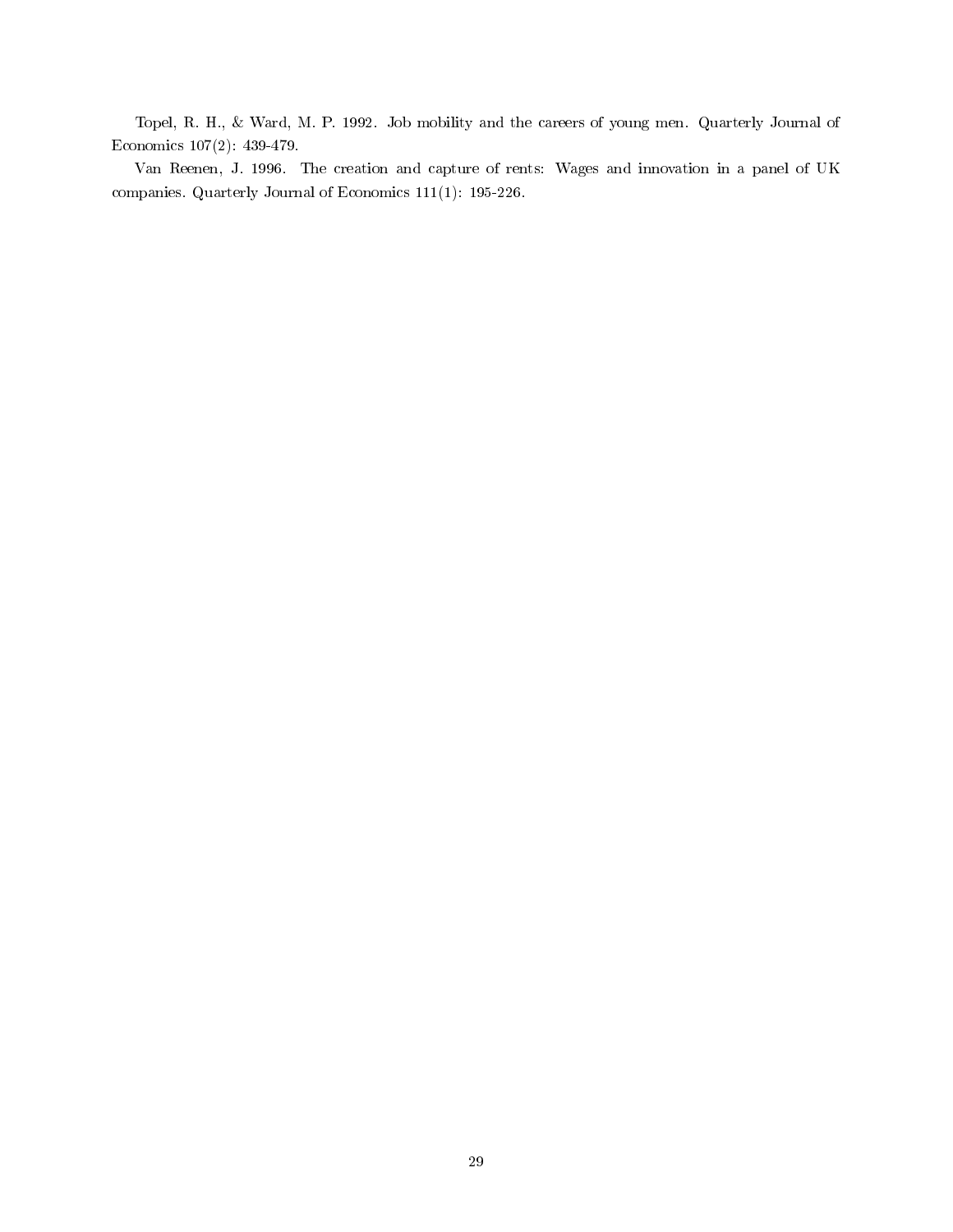Topel, R. H., & Ward, M. P. 1992. Job mobility and the careers of young men. Quarterly Journal of Economics 107(2): 439-479.

Van Reenen, J. 1996. The creation and capture of rents: Wages and innovation in a panel of UK companies. Quarterly Journal of Economics 111(1): 195-226.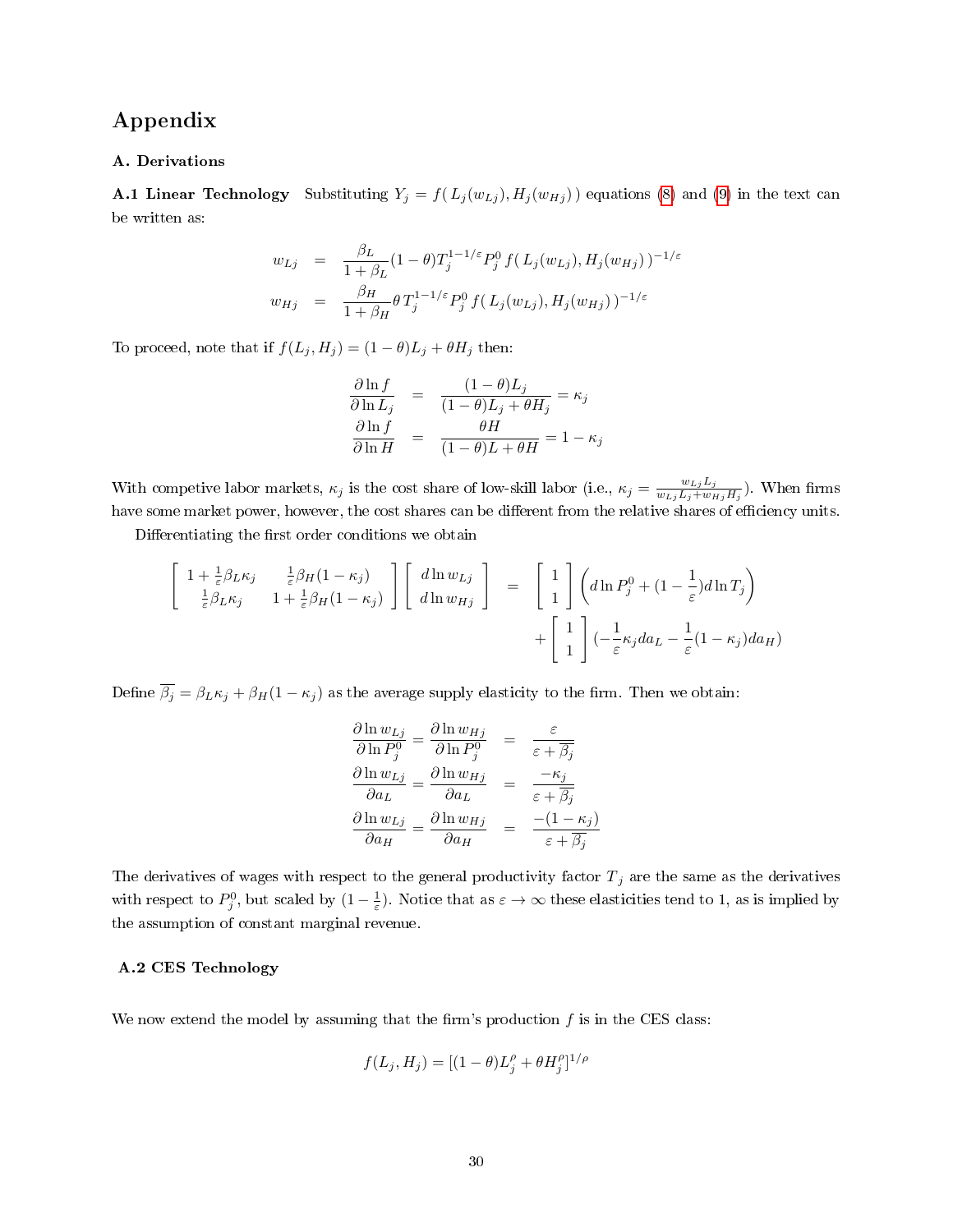# Appendix

#### A. Derivations

**A.1 Linear Technology** Substituting  $Y_j = f(L_j(w_{L_j}), H_j(w_{H_j}))$  equations [\(8\)](#page-20-1) and [\(9\)](#page-20-1) in the text can be written as:

$$
w_{Lj} = \frac{\beta_L}{1 + \beta_L} (1 - \theta) T_j^{1 - 1/\varepsilon} P_j^0 f(L_j(w_{Lj}), H_j(w_{Hj}))^{-1/\varepsilon}
$$
  

$$
w_{Hj} = \frac{\beta_H}{1 + \beta_H} \theta T_j^{1 - 1/\varepsilon} P_j^0 f(L_j(w_{Lj}), H_j(w_{Hj}))^{-1/\varepsilon}
$$

To proceed, note that if  $f(L_j, H_j) = (1 - \theta)L_j + \theta H_j$  then:

$$
\frac{\partial \ln f}{\partial \ln L_j} = \frac{(1-\theta)L_j}{(1-\theta)L_j + \theta H_j} = \kappa_j
$$
  

$$
\frac{\partial \ln f}{\partial \ln H} = \frac{\theta H}{(1-\theta)L + \theta H} = 1 - \kappa_j
$$

With competive labor markets,  $\kappa_j$  is the cost share of low-skill labor (i.e.,  $\kappa_j = \frac{w_{Lj} L_j}{w_{Lj} L_j + w_{Lj}}$  $\frac{w_{Lj}L_j}{w_{Lj}L_j+w_{Hj}H_j}$ ). When firms have some market power, however, the cost shares can be different from the relative shares of efficiency units.

Differentiating the first order conditions we obtain

$$
\begin{bmatrix}\n1 + \frac{1}{\varepsilon} \beta_L \kappa_j & \frac{1}{\varepsilon} \beta_H (1 - \kappa_j) \\
\frac{1}{\varepsilon} \beta_L \kappa_j & 1 + \frac{1}{\varepsilon} \beta_H (1 - \kappa_j)\n\end{bmatrix}\n\begin{bmatrix}\nd \ln w_{Lj} \\
d \ln w_{Hj}\n\end{bmatrix} =\n\begin{bmatrix}\n1 \\
1\n\end{bmatrix}\n\begin{pmatrix}\nd \ln P_j^0 + (1 - \frac{1}{\varepsilon}) d \ln T_j \\
1\n\end{pmatrix}\n+ \begin{bmatrix}\n1 \\
1\n\end{bmatrix}\n\begin{pmatrix}\n-\frac{1}{\varepsilon} \kappa_j da_L - \frac{1}{\varepsilon} (1 - \kappa_j) da_H\n\end{pmatrix}
$$

Define  $\overline{\beta_j} = \beta_L \kappa_j + \beta_H (1 - \kappa_j)$  as the average supply elasticity to the firm. Then we obtain:

$$
\frac{\partial \ln w_{Lj}}{\partial \ln P_j^0} = \frac{\partial \ln w_{Hj}}{\partial \ln P_j^0} = \frac{\varepsilon}{\varepsilon + \overline{\beta_j}}
$$
  

$$
\frac{\partial \ln w_{Lj}}{\partial a_L} = \frac{\partial \ln w_{Hj}}{\partial a_L} = \frac{-\kappa_j}{\varepsilon + \overline{\beta_j}}
$$
  

$$
\frac{\partial \ln w_{Lj}}{\partial a_H} = \frac{\partial \ln w_{Hj}}{\partial a_H} = \frac{-(1 - \kappa_j)}{\varepsilon + \overline{\beta_j}}
$$

The derivatives of wages with respect to the general productivity factor  $T_j$  are the same as the derivatives with respect to  $P_j^0$ , but scaled by  $(1-\frac{1}{\varepsilon})$ . Notice that as  $\varepsilon \to \infty$  these elasticities tend to 1, as is implied by the assumption of constant marginal revenue.

## A.2 CES Technology

We now extend the model by assuming that the firm's production  $f$  is in the CES class:

$$
f(L_j, H_j) = [(1 - \theta)L_j^{\rho} + \theta H_j^{\rho}]^{1/\rho}
$$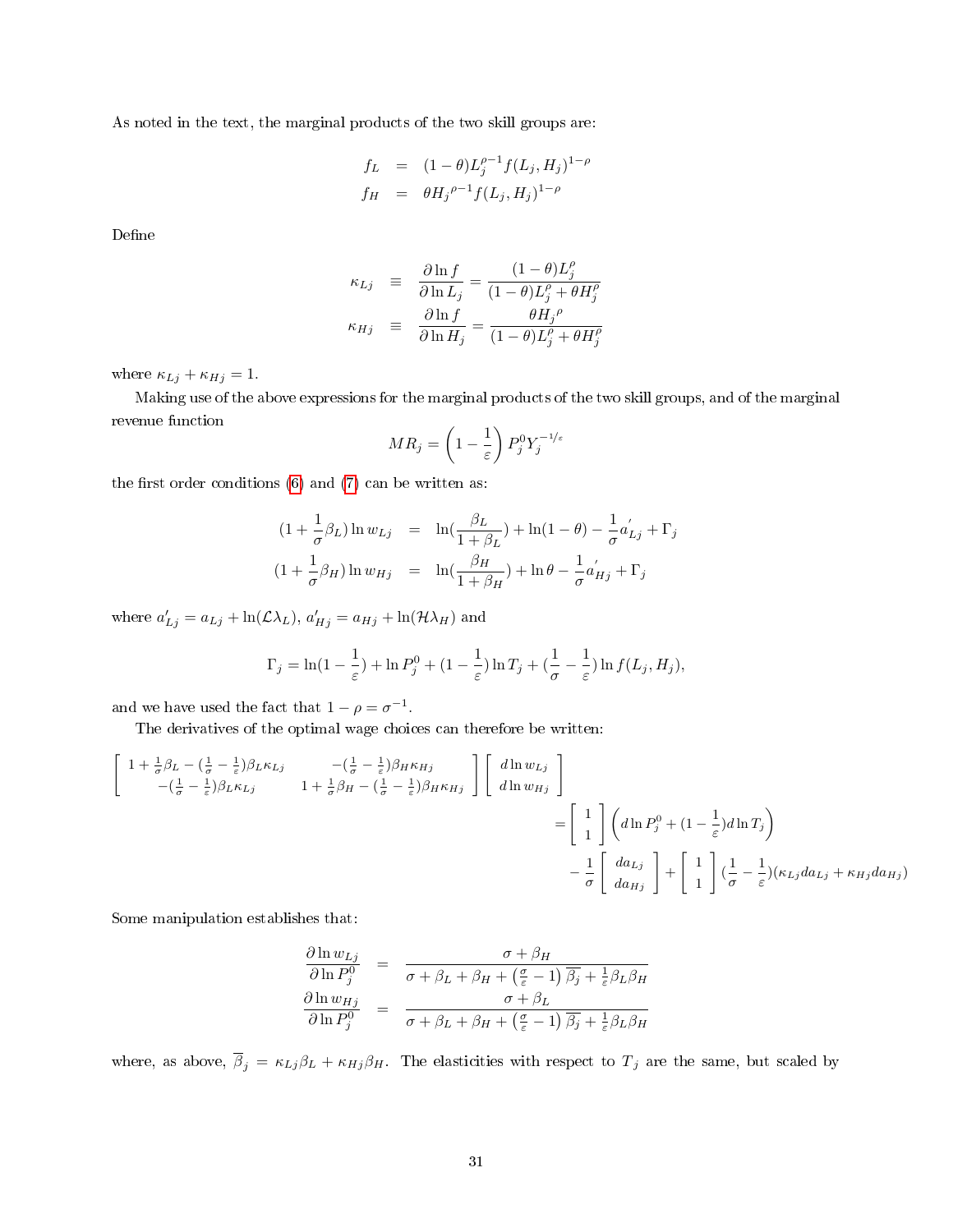As noted in the text, the marginal products of the two skill groups are:

$$
f_L = (1 - \theta)L_j^{\rho-1}f(L_j, H_j)^{1-\rho}
$$
  
\n
$$
f_H = \theta H_j^{\rho-1}f(L_j, H_j)^{1-\rho}
$$

Define

$$
\begin{array}{rcl} \kappa_{Lj} & \equiv & \displaystyle{\frac{\partial \ln f}{\partial \ln L_j} = \frac{(1-\theta)L^{\rho}_j}{(1-\theta)L^{\rho}_j+\theta H^{\rho}_j}} \\ \kappa_{Hj} & \equiv & \displaystyle{\frac{\partial \ln f}{\partial \ln H_j} = \frac{\theta H_j{}^{\rho}}{(1-\theta)L^{\rho}_j+\theta H^{\rho}_j}} \end{array}
$$

where  $\kappa_{Lj} + \kappa_{Hj} = 1$ .

Making use of the above expressions for the marginal products of the two skill groups, and of the marginal revenue function

$$
MR_j = \left(1 - \frac{1}{\varepsilon}\right) P_j^0 Y_j^{-1/\varepsilon}
$$

the first order conditions  $(6)$  and  $(7)$  can be written as:

$$
(1 + \frac{1}{\sigma}\beta_L)\ln w_{Lj} = \ln(\frac{\beta_L}{1 + \beta_L}) + \ln(1 - \theta) - \frac{1}{\sigma}a'_{Lj} + \Gamma_j
$$
  

$$
(1 + \frac{1}{\sigma}\beta_H)\ln w_{Hj} = \ln(\frac{\beta_H}{1 + \beta_H}) + \ln \theta - \frac{1}{\sigma}a'_{Hj} + \Gamma_j
$$

where  $a'_{Lj} = a_{Lj} + \ln(\mathcal{L}\lambda_L)$ ,  $a'_{Hj} = a_{Hj} + \ln(\mathcal{H}\lambda_H)$  and

$$
\Gamma_j = \ln(1 - \frac{1}{\varepsilon}) + \ln P_j^0 + (1 - \frac{1}{\varepsilon}) \ln T_j + (\frac{1}{\sigma} - \frac{1}{\varepsilon}) \ln f(L_j, H_j),
$$

and we have used the fact that  $1 - \rho = \sigma^{-1}$ .

The derivatives of the optimal wage choices can therefore be written:

$$
\begin{bmatrix}\n1 + \frac{1}{\sigma} \beta_L - \left(\frac{1}{\sigma} - \frac{1}{\varepsilon}\right) \beta_L \kappa_{Lj} & -\left(\frac{1}{\sigma} - \frac{1}{\varepsilon}\right) \beta_H \kappa_{Hj} \\
-\left(\frac{1}{\sigma} - \frac{1}{\varepsilon}\right) \beta_L \kappa_{Lj} & 1 + \frac{1}{\sigma} \beta_H - \left(\frac{1}{\sigma} - \frac{1}{\varepsilon}\right) \beta_H \kappa_{Hj}\n\end{bmatrix}\n\begin{bmatrix}\nd \ln w_{Lj} \\
d \ln w_{Hj}\n\end{bmatrix}\n=\n\begin{bmatrix}\n1 \\
1\n\end{bmatrix}\n\begin{bmatrix}\nd \ln p_j^0 + \left(1 - \frac{1}{\varepsilon}\right) d \ln T_j\n\end{bmatrix}\n-\n\frac{1}{\sigma}\n\begin{bmatrix}\nd a_{Lj} \\
d a_{Hj}\n\end{bmatrix}\n+\n\begin{bmatrix}\n1 \\
1\n\end{bmatrix}\n\begin{bmatrix}\n\frac{1}{\sigma} - \frac{1}{\varepsilon}\right) (\kappa_{Lj} da_{Lj} + \kappa_{Hj} da_{Hj})\n\end{bmatrix}
$$

Some manipulation establishes that:

$$
\frac{\partial \ln w_{Lj}}{\partial \ln P_j^0} = \frac{\sigma + \beta_H}{\sigma + \beta_L + \beta_H + (\frac{\sigma}{\varepsilon} - 1) \overline{\beta_j} + \frac{1}{\varepsilon} \beta_L \beta_H}
$$

$$
\frac{\partial \ln w_{Hj}}{\partial \ln P_j^0} = \frac{\sigma + \beta_L}{\sigma + \beta_L + \beta_H + (\frac{\sigma}{\varepsilon} - 1) \overline{\beta_j} + \frac{1}{\varepsilon} \beta_L \beta_H}
$$

where, as above,  $\overline{\beta}_j = \kappa_{Lj}\beta_L + \kappa_{Hj}\beta_H$ . The elasticities with respect to  $T_j$  are the same, but scaled by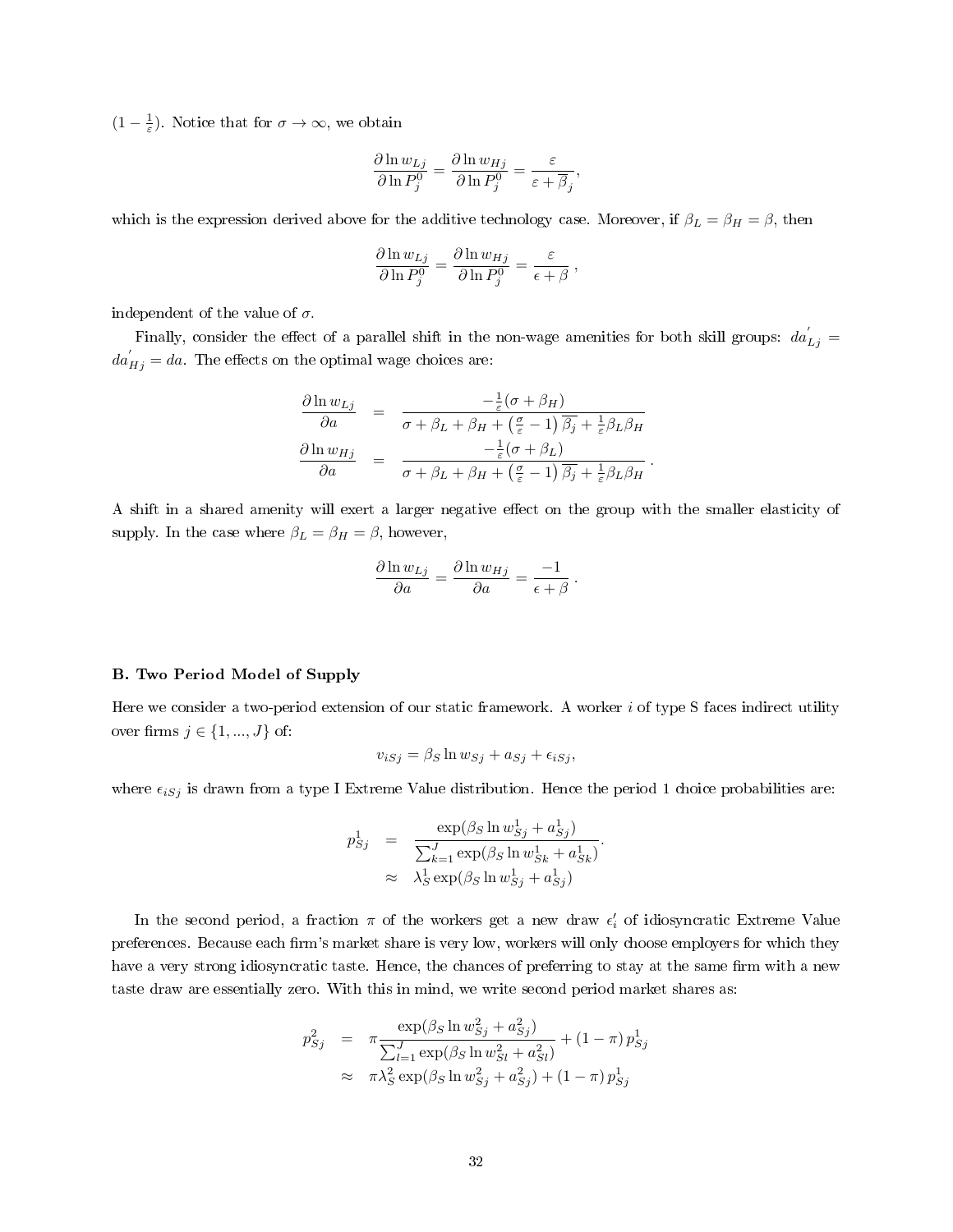$(1 - \frac{1}{\varepsilon})$ . Notice that for  $\sigma \to \infty$ , we obtain

$$
\frac{\partial \ln w_{Lj}}{\partial \ln P_j^0} = \frac{\partial \ln w_{Hj}}{\partial \ln P_j^0} = \frac{\varepsilon}{\varepsilon + \overline{\beta}_j},
$$

which is the expression derived above for the additive technology case. Moreover, if  $\beta_L = \beta_H = \beta$ , then

$$
\frac{\partial \ln w_{Lj}}{\partial \ln P_j^0} = \frac{\partial \ln w_{Hj}}{\partial \ln P_j^0} = \frac{\varepsilon}{\epsilon + \beta} ,
$$

independent of the value of  $\sigma$ .

Finally, consider the effect of a parallel shift in the non-wage amenities for both skill groups:  $da'_{Lj}$  =  $da_{Hj}^{'} = da$ . The effects on the optimal wage choices are:

$$
\frac{\partial \ln w_{Lj}}{\partial a} = \frac{-\frac{1}{\varepsilon}(\sigma + \beta_H)}{\sigma + \beta_L + \beta_H + (\frac{\sigma}{\varepsilon} - 1) \overline{\beta_j} + \frac{1}{\varepsilon} \beta_L \beta_H}
$$

$$
\frac{\partial \ln w_{Hj}}{\partial a} = \frac{-\frac{1}{\varepsilon}(\sigma + \beta_L)}{\sigma + \beta_L + \beta_H + (\frac{\sigma}{\varepsilon} - 1) \overline{\beta_j} + \frac{1}{\varepsilon} \beta_L \beta_H}
$$

.

A shift in a shared amenity will exert a larger negative effect on the group with the smaller elasticity of supply. In the case where  $\beta_L = \beta_H = \beta,$  however,

$$
\frac{\partial \ln w_{Lj}}{\partial a} = \frac{\partial \ln w_{Hj}}{\partial a} = \frac{-1}{\epsilon + \beta}.
$$

### B. Two Period Model of Supply

Here we consider a two-period extension of our static framework. A worker  $i$  of type S faces indirect utility over firms  $j \in \{1, ..., J\}$  of:

$$
v_{iSj} = \beta_S \ln w_{Sj} + a_{Sj} + \epsilon_{iSj},
$$

where  $\epsilon_{iSj}$  is drawn from a type I Extreme Value distribution. Hence the period 1 choice probabilities are:

$$
p_{Sj}^1 = \frac{\exp(\beta_S \ln w_{Sj}^1 + a_{Sj}^1)}{\sum_{k=1}^J \exp(\beta_S \ln w_{Sk}^1 + a_{Sk}^1)}.
$$
  
 
$$
\approx \lambda_S^1 \exp(\beta_S \ln w_{Sj}^1 + a_{Sj}^1)
$$

In the second period, a fraction  $\pi$  of the workers get a new draw  $\epsilon'_i$  of idiosyncratic Extreme Value preferences. Because each firm's market share is very low, workers will only choose employers for which they have a very strong idiosyncratic taste. Hence, the chances of preferring to stay at the same firm with a new taste draw are essentially zero. With this in mind, we write second period market shares as:

$$
p_{Sj}^{2} = \pi \frac{\exp(\beta_S \ln w_{Sj}^{2} + a_{Sj}^{2})}{\sum_{l=1}^{J} \exp(\beta_S \ln w_{Sl}^{2} + a_{Sl}^{2})} + (1 - \pi) p_{Sj}^{1}
$$
  

$$
\approx \pi \lambda_{S}^{2} \exp(\beta_S \ln w_{Sj}^{2} + a_{Sj}^{2}) + (1 - \pi) p_{Sj}^{1}
$$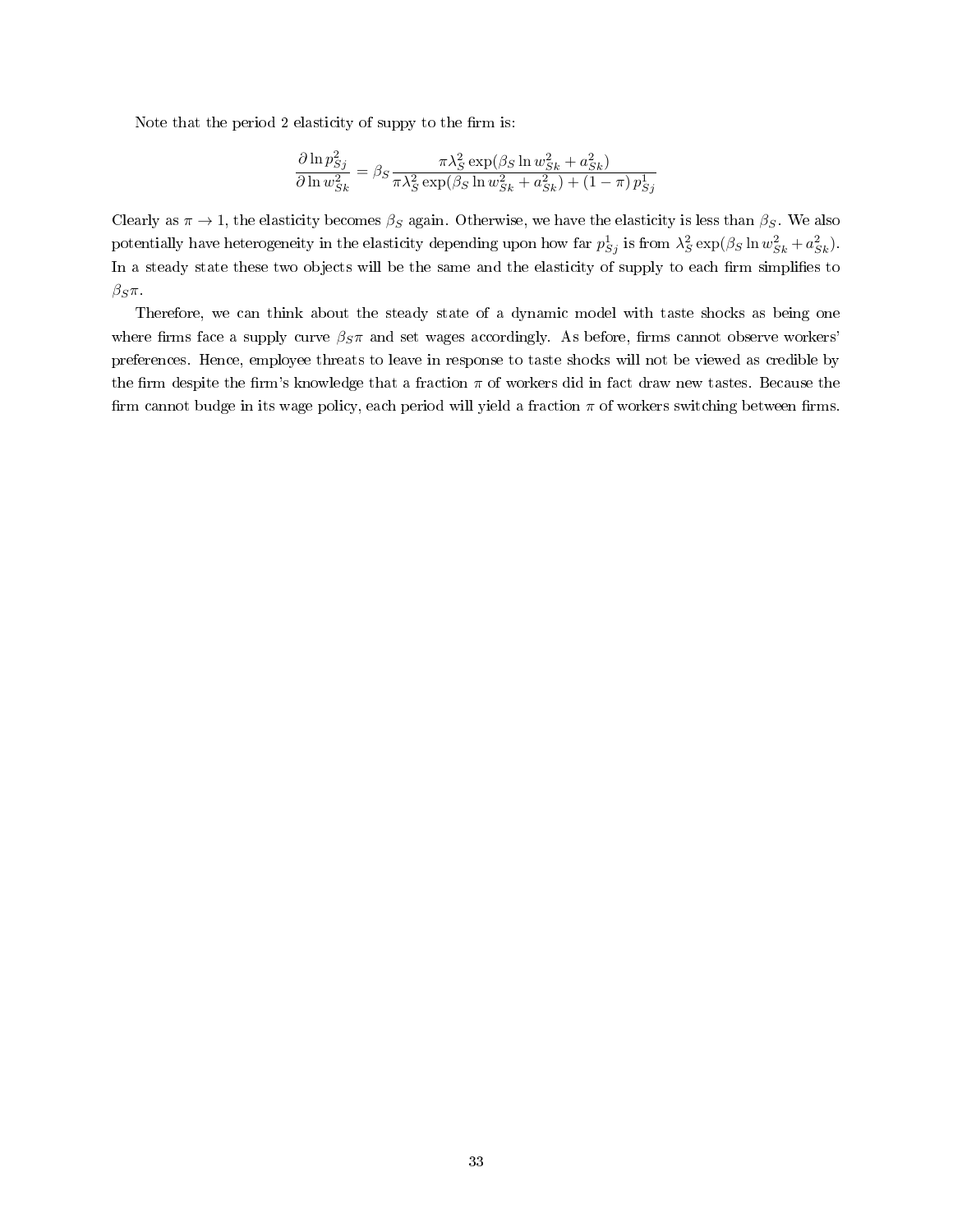Note that the period 2 elasticity of suppy to the firm is:

$$
\frac{\partial \ln p_{Sj}^2}{\partial \ln w_{Sk}^2} = \beta_S \frac{\pi \lambda_S^2 \exp(\beta_S \ln w_{Sk}^2 + a_{Sk}^2)}{\pi \lambda_S^2 \exp(\beta_S \ln w_{Sk}^2 + a_{Sk}^2) + (1 - \pi) p_{Sj}^1}
$$

Clearly as  $\pi \to 1$ , the elasticity becomes  $\beta_S$  again. Otherwise, we have the elasticity is less than  $\beta_S$ . We also potentially have heterogeneity in the elasticity depending upon how far  $p_{Sj}^1$  is from  $\lambda_S^2 \exp(\beta_S \ln w_{Sk}^2 + a_{Sk}^2)$ . In a steady state these two objects will be the same and the elasticity of supply to each firm simplifies to  $β_Sπ$ .

Therefore, we can think about the steady state of a dynamic model with taste shocks as being one where firms face a supply curve  $\beta_S \pi$  and set wages accordingly. As before, firms cannot observe workers' preferences. Hence, employee threats to leave in response to taste shocks will not be viewed as credible by the firm despite the firm's knowledge that a fraction  $\pi$  of workers did in fact draw new tastes. Because the firm cannot budge in its wage policy, each period will yield a fraction  $\pi$  of workers switching between firms.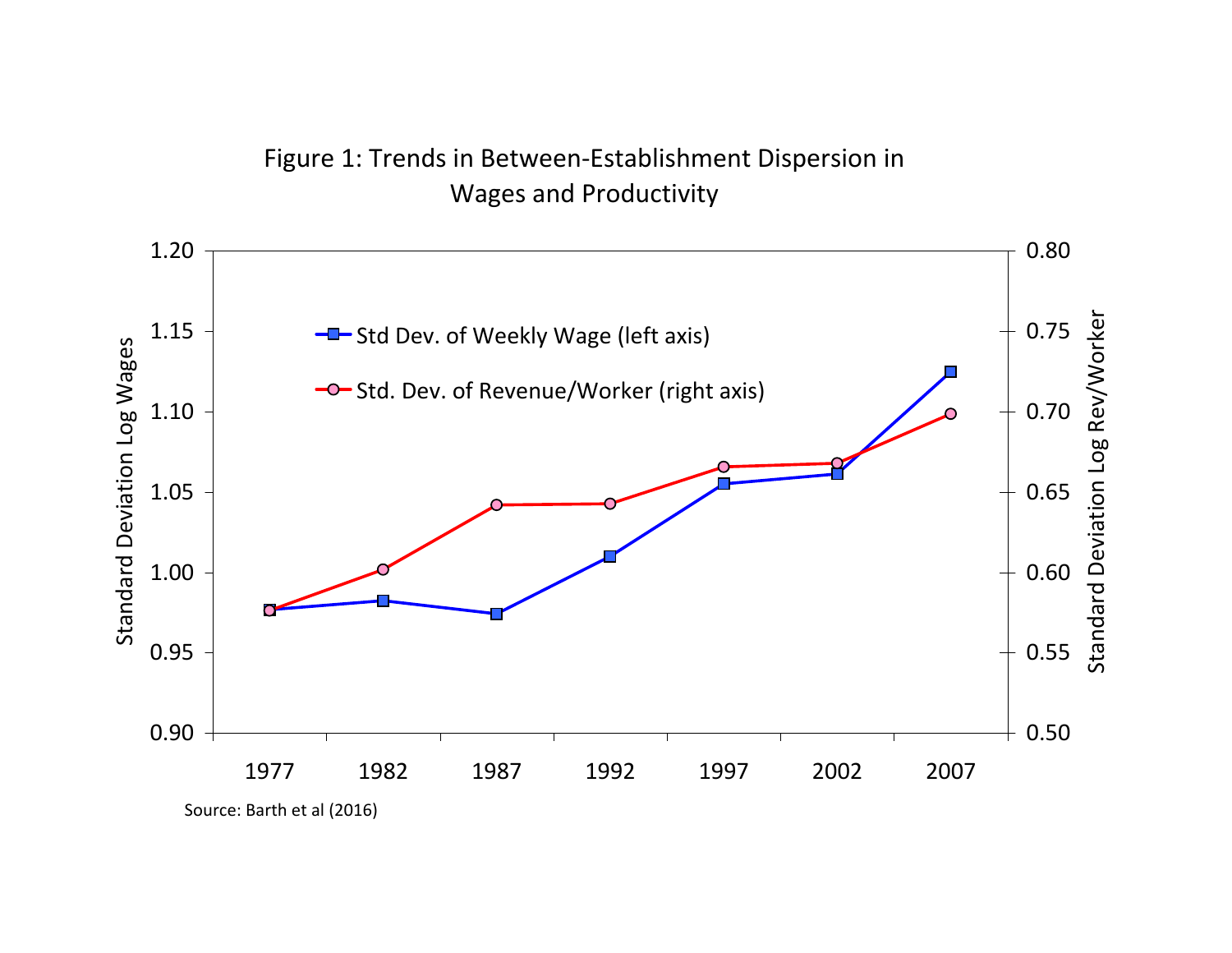# Figure 1: Trends in Between‐Establishment Dispersion in Wages and Productivity

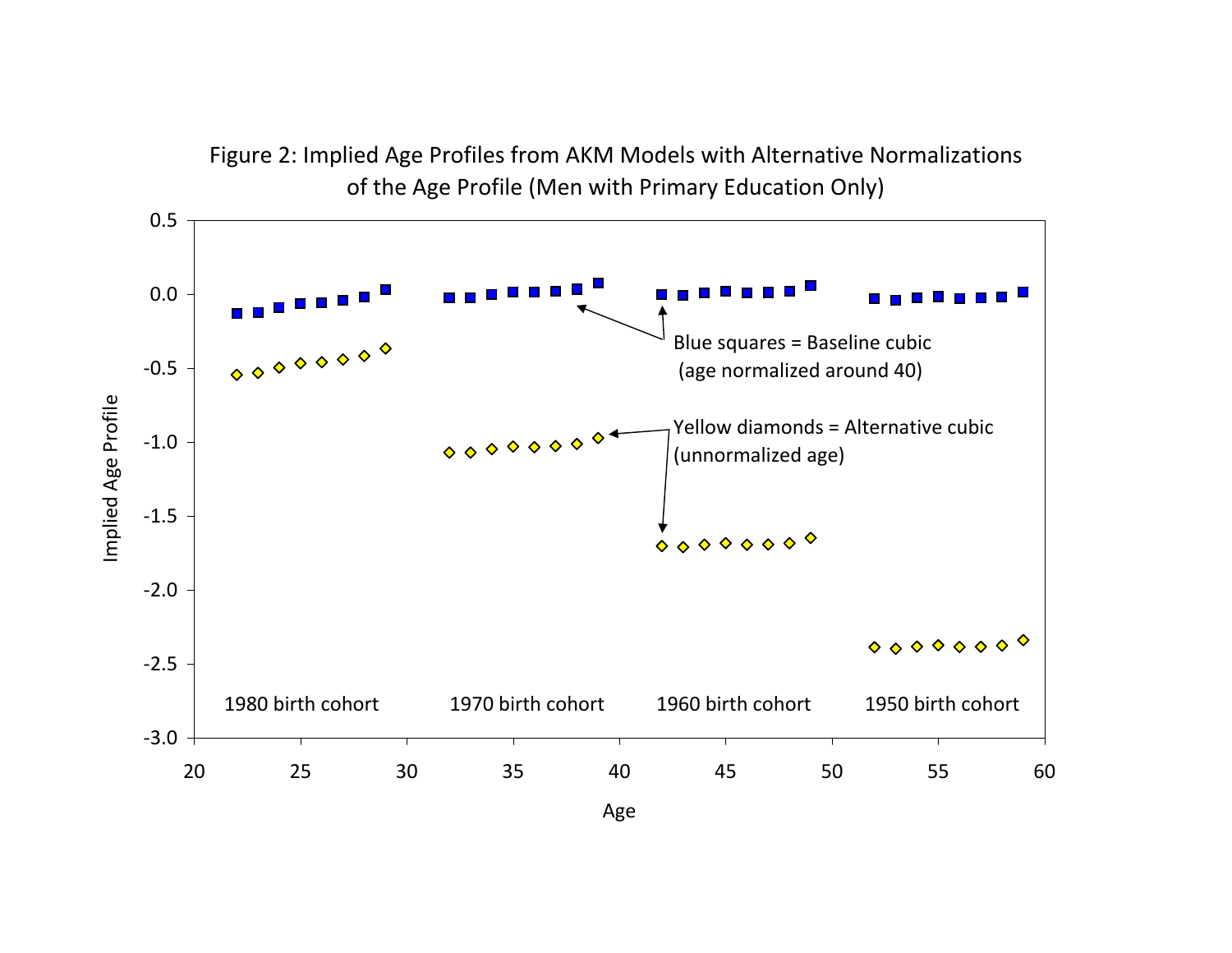

Figure 2: Implied Age Profiles from AKM Models with Alternative Normalizations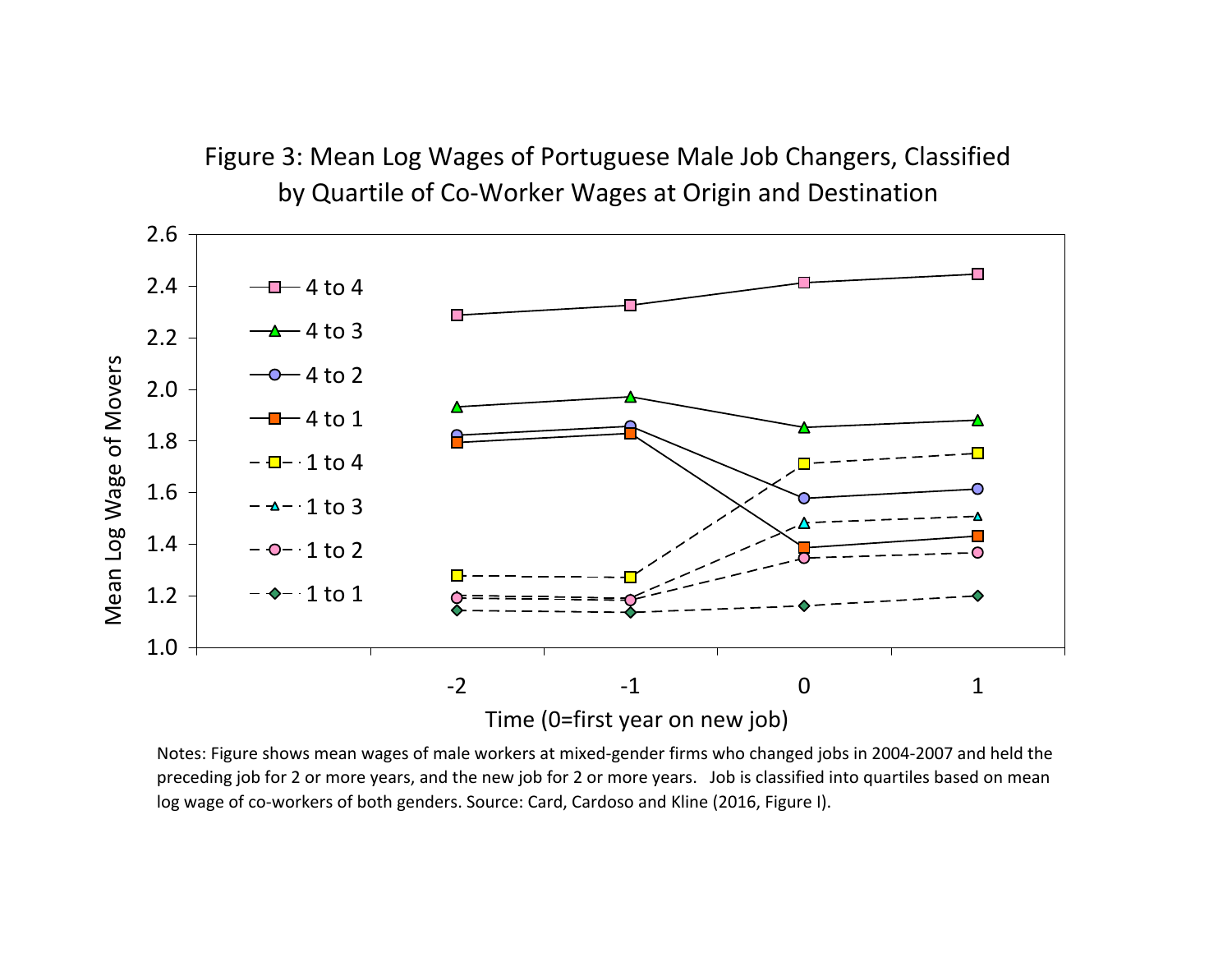# Figure 3: Mean Log Wages of Portuguese Male Job Changers, Classified by Quartile of Co‐Worker Wages at Origin and Destination 2.62.44 to 4 4 to 3 2.2 Mean Log Wage of Movers Mean Log Wage of Movers 4 to 2 2.0 4 to 1 1.8 1 to 4 1.6 1 to 3 1.4 1 to 2 1 to 1 1.2 1.0 ‐22 -1 0 1 Time (0=first year on new job)

Notes: Figure shows mean wages of male workers at mixed‐gender firms who changed jobs in 2004‐2007 and held the preceding job for 2 or more years, and the new job for 2 or more years. Job is classified into quartiles based on mean log wage of co-workers of both genders. Source: Card, Cardoso and Kline (2016, Figure I).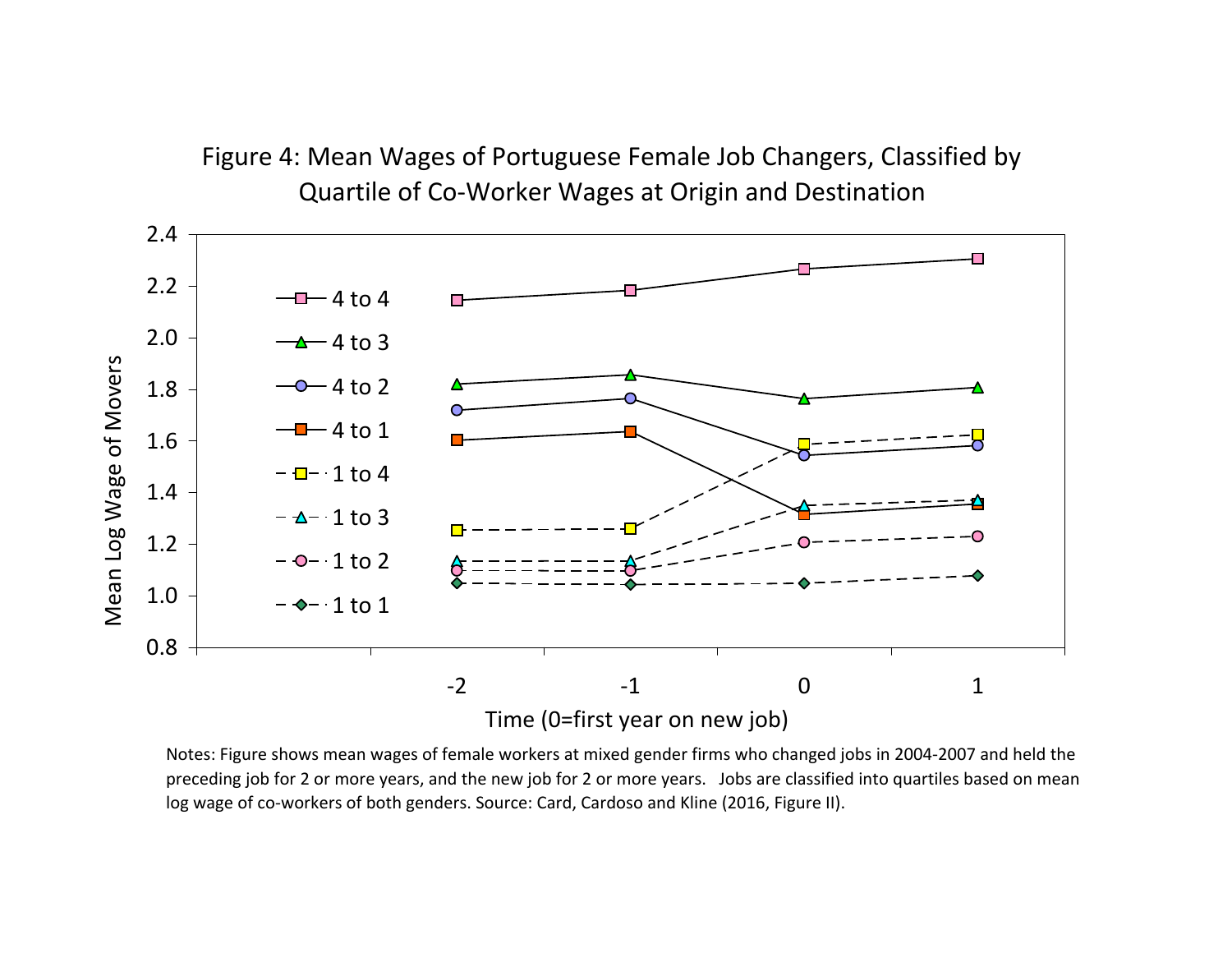

Figure 4: Mean Wages of Portuguese Female Job Changers, Classified by

Notes: Figure shows mean wages of female workers at mixed gender firms who changed jobs in 2004‐2007 and held the preceding job for 2 or more years, and the new job for 2 or more years. Jobs are classified into quartiles based on mean log wage of co‐workers of both genders. Source: Card, Cardoso and Kline (2016, Figure II).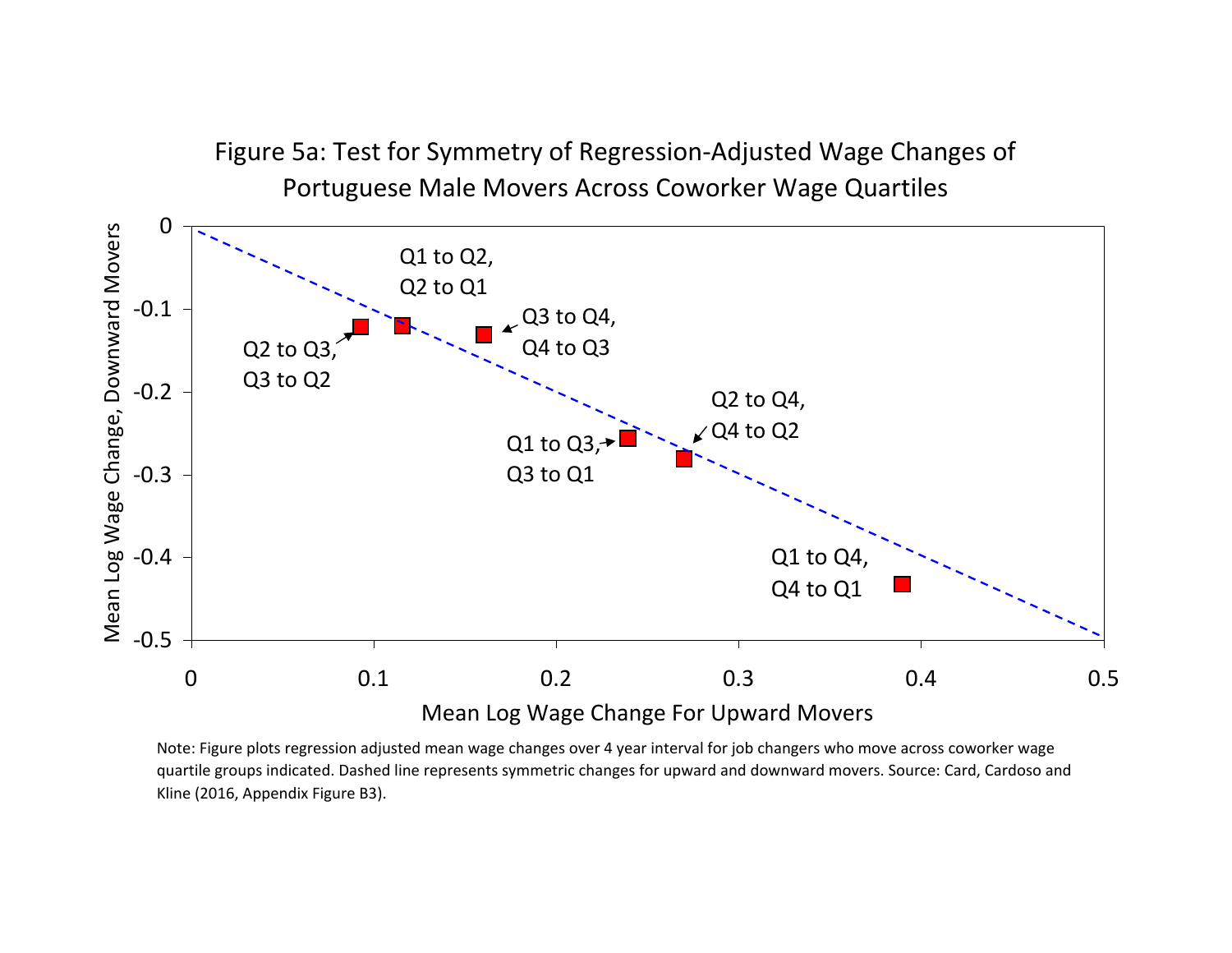

Note: Figure plots regression adjusted mean wage changes over 4 year interval for job changers who move across coworker wage quartile groups indicated. Dashed line represents symmetric changes for upward and downward movers. Source: Card, Cardoso and Kline (2016, Appendix Figure B3).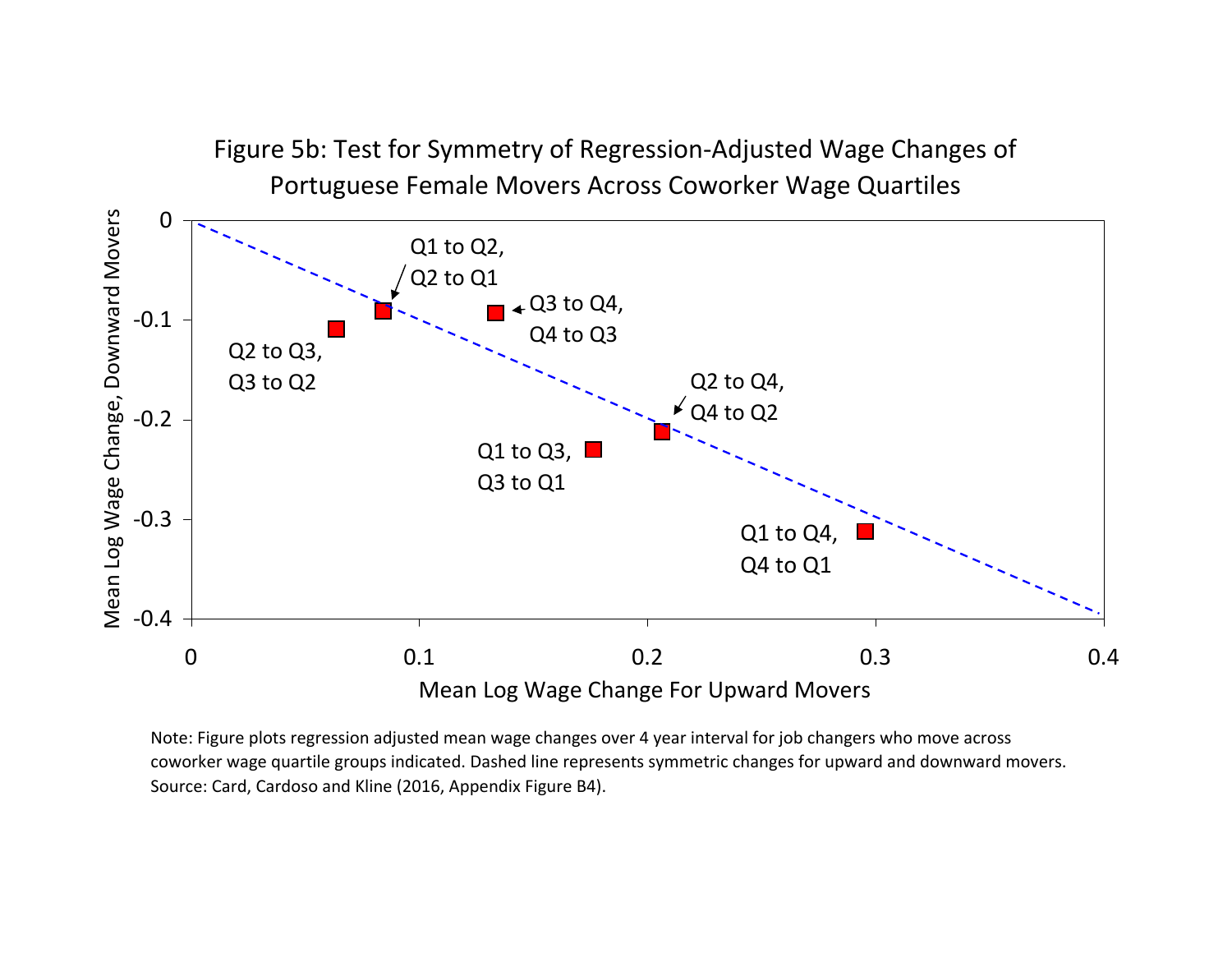

Note: Figure plots regression adjusted mean wage changes over 4 year interval for job changers who move across coworker wage quartile groups indicated. Dashed line represents symmetric changes for upward and downward movers. Source: Card, Cardoso and Kline (2016, Appendix Figure B4).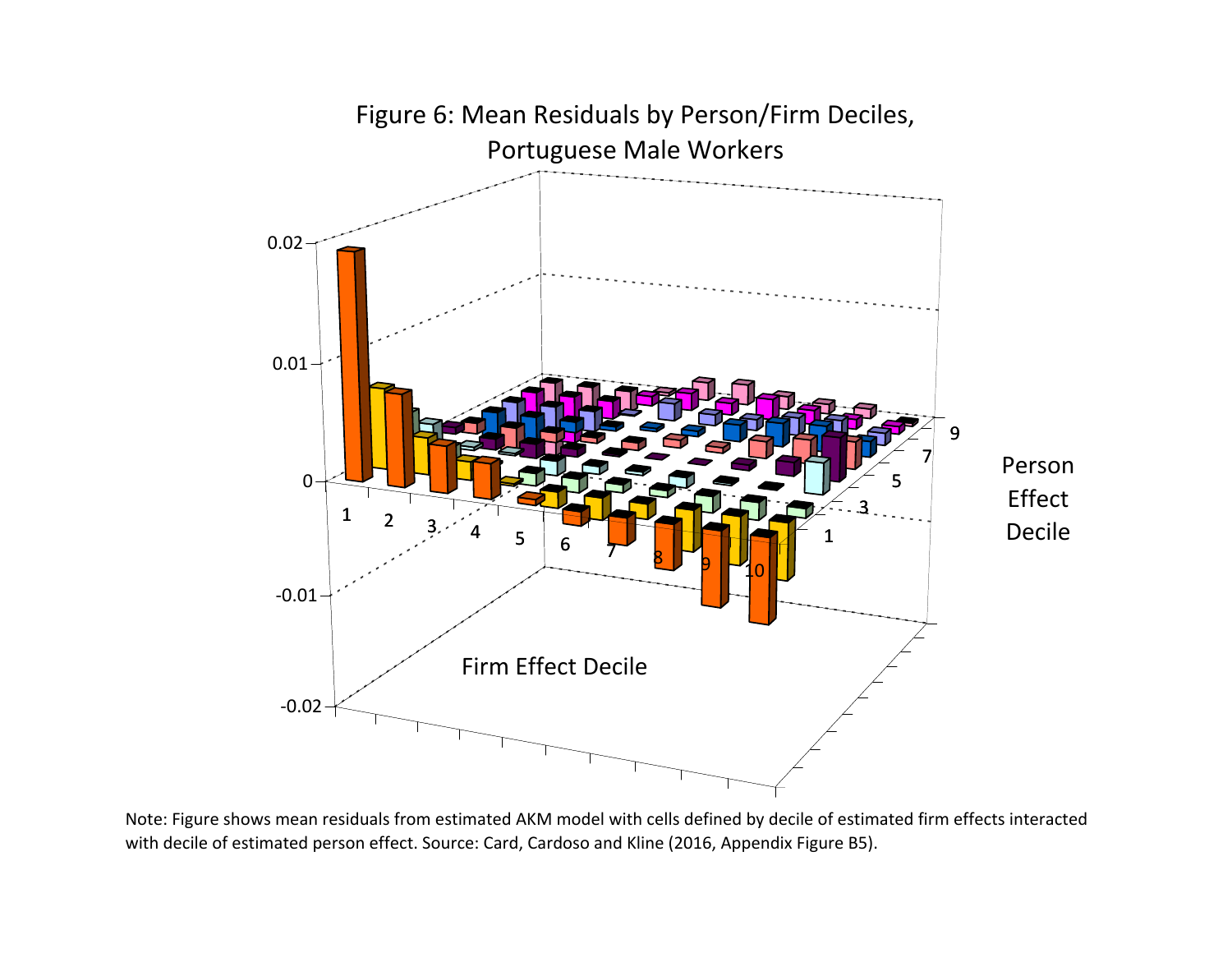

Note: Figure shows mean residuals from estimated AKM model with cells defined by decile of estimated firm effects interacted with decile of estimated person effect. Source: Card, Cardoso and Kline (2016, Appendix Figure B5).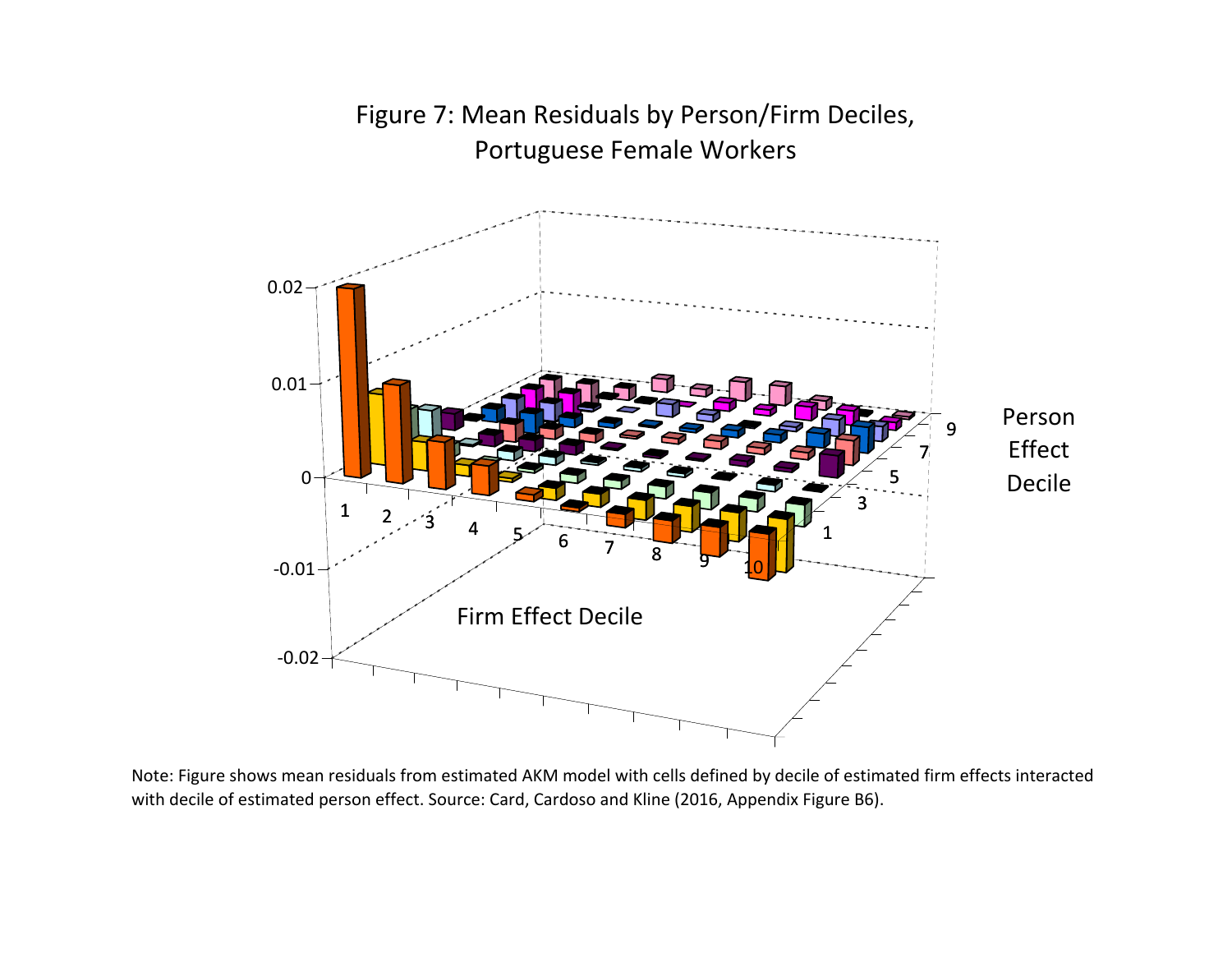

Figure 7: Mean Residuals by Person/Firm Deciles, Portuguese Female Workers

Note: Figure shows mean residuals from estimated AKM model with cells defined by decile of estimated firm effects interacted with decile of estimated person effect. Source: Card, Cardoso and Kline (2016, Appendix Figure B6).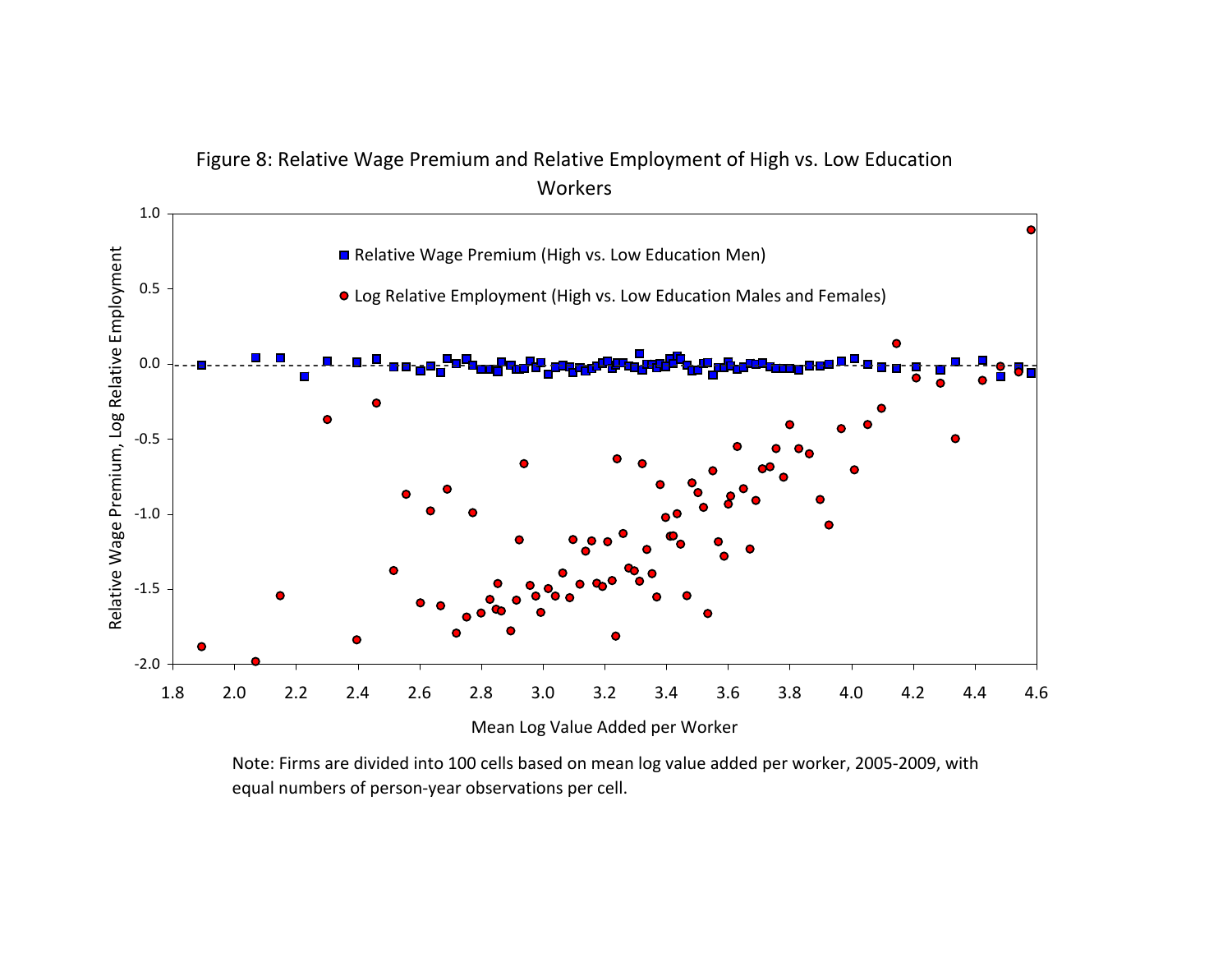

Note: Firms are divided into 100 cells based on mean log value added per worker, 2005‐2009, with equal numbers of person‐year observations per cell.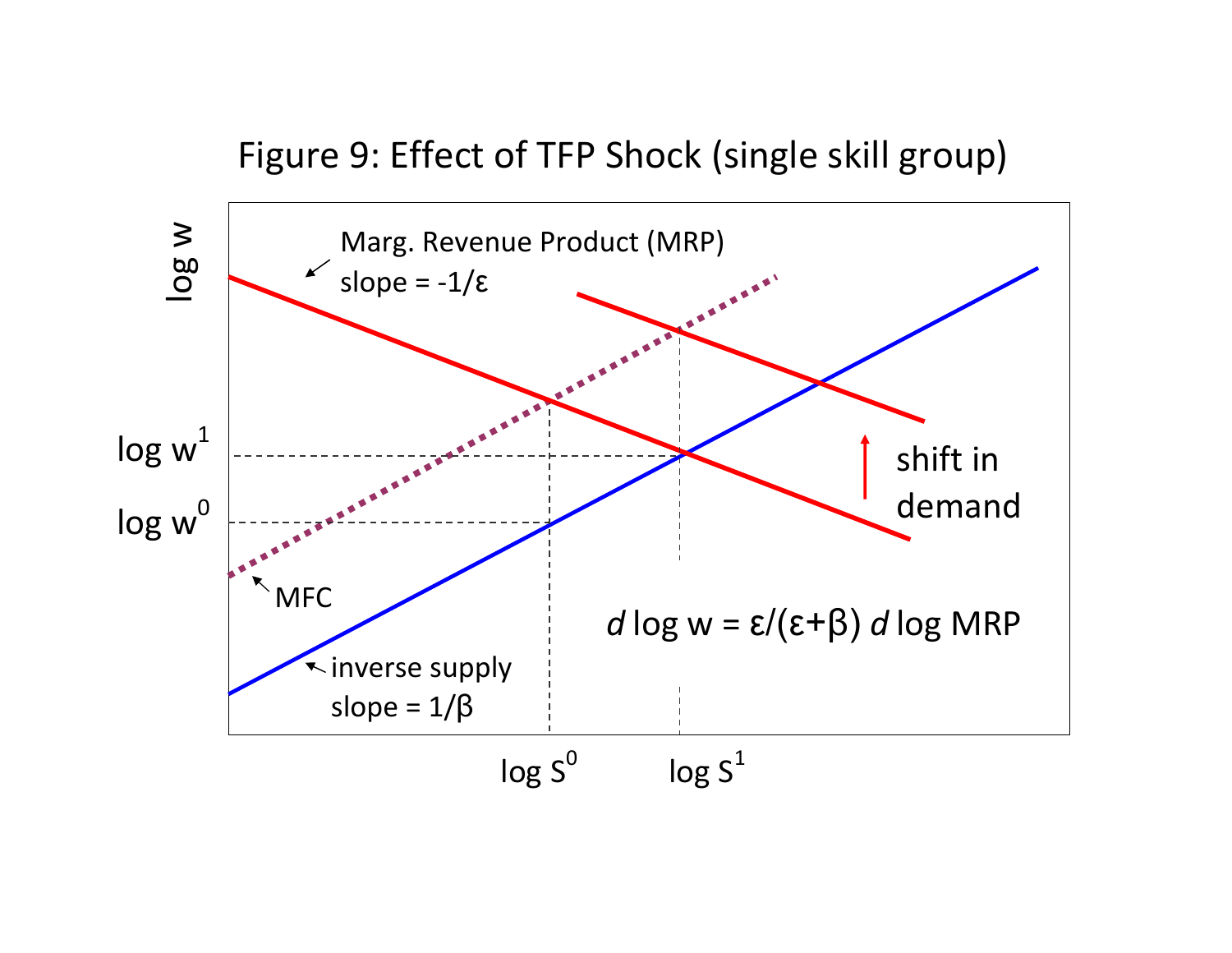# Figure 9: Effect of TFP Shock (single skill group)

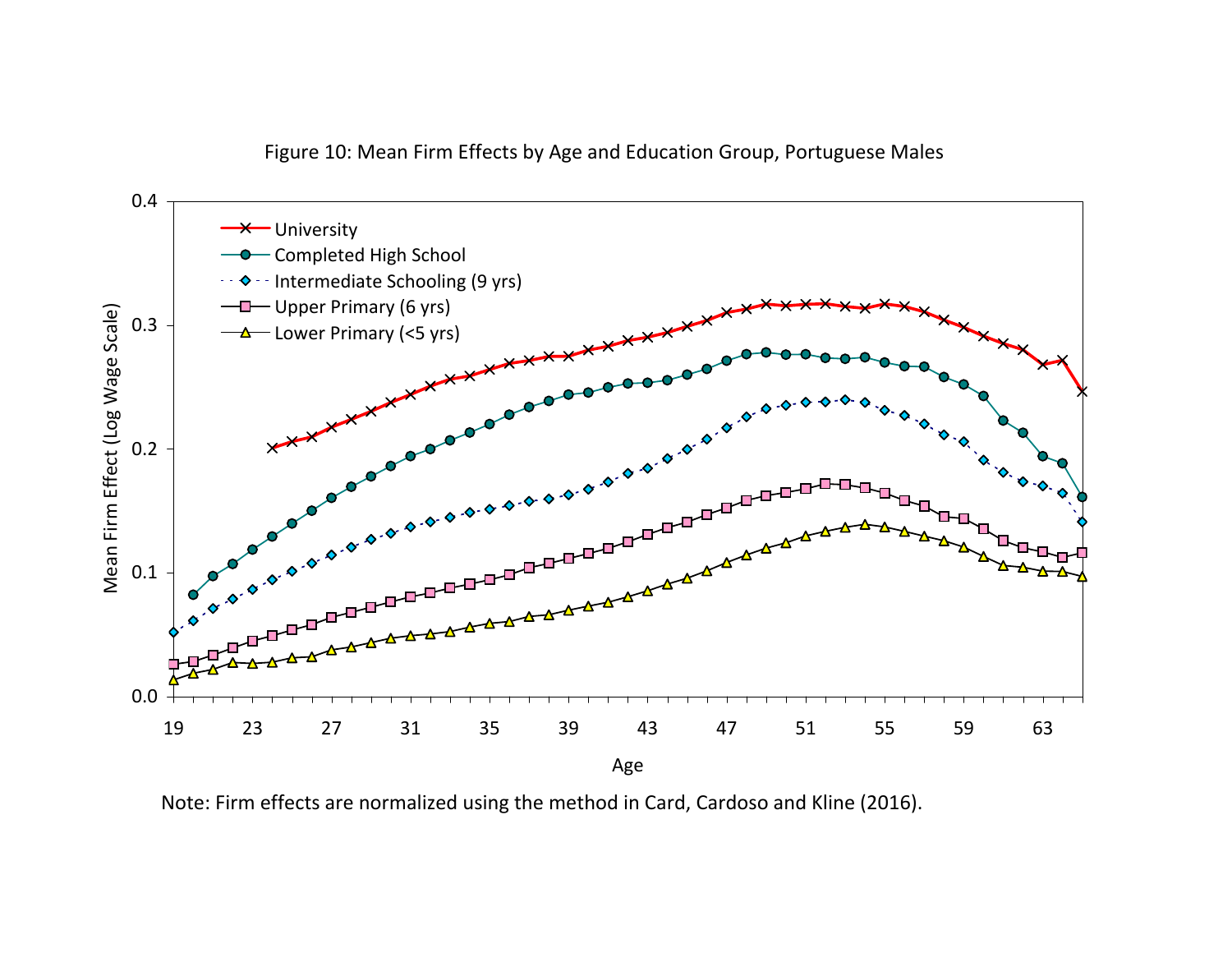



Note: Firm effects are normalized using the method in Card, Cardoso and Kline (2016).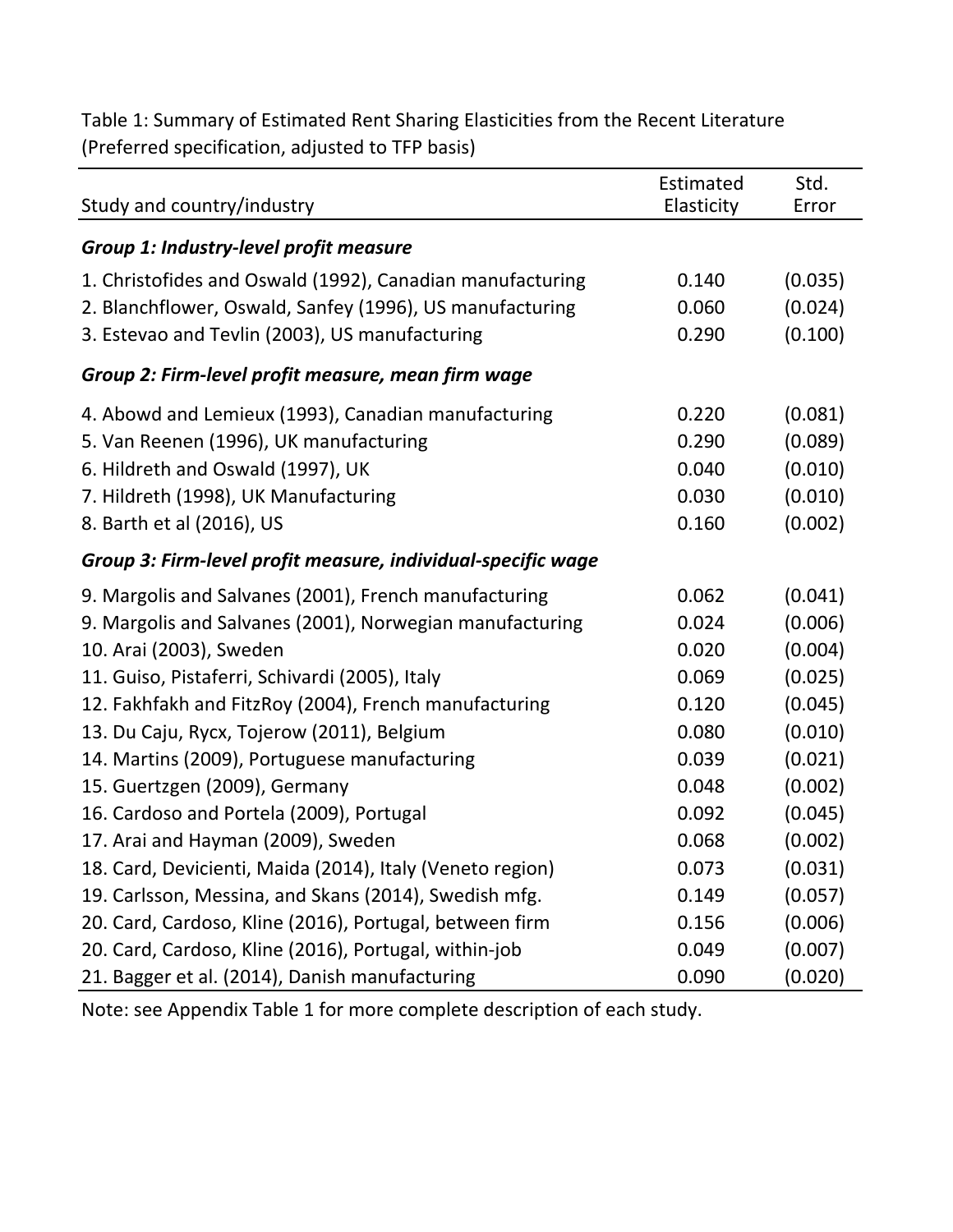Table 1: Summary of Estimated Rent Sharing Elasticities from the Recent Literature (Preferred specification, adjusted to TFP basis)

|                                                              | Estimated  | Std.    |
|--------------------------------------------------------------|------------|---------|
| Study and country/industry                                   | Elasticity | Error   |
| Group 1: Industry-level profit measure                       |            |         |
| 1. Christofides and Oswald (1992), Canadian manufacturing    | 0.140      | (0.035) |
| 2. Blanchflower, Oswald, Sanfey (1996), US manufacturing     | 0.060      | (0.024) |
| 3. Estevao and Tevlin (2003), US manufacturing               | 0.290      | (0.100) |
| Group 2: Firm-level profit measure, mean firm wage           |            |         |
| 4. Abowd and Lemieux (1993), Canadian manufacturing          | 0.220      | (0.081) |
| 5. Van Reenen (1996), UK manufacturing                       | 0.290      | (0.089) |
| 6. Hildreth and Oswald (1997), UK                            | 0.040      | (0.010) |
| 7. Hildreth (1998), UK Manufacturing                         | 0.030      | (0.010) |
| 8. Barth et al (2016), US                                    | 0.160      | (0.002) |
| Group 3: Firm-level profit measure, individual-specific wage |            |         |
| 9. Margolis and Salvanes (2001), French manufacturing        | 0.062      | (0.041) |
| 9. Margolis and Salvanes (2001), Norwegian manufacturing     | 0.024      | (0.006) |
| 10. Arai (2003), Sweden                                      | 0.020      | (0.004) |
| 11. Guiso, Pistaferri, Schivardi (2005), Italy               | 0.069      | (0.025) |
| 12. Fakhfakh and FitzRoy (2004), French manufacturing        | 0.120      | (0.045) |
| 13. Du Caju, Rycx, Tojerow (2011), Belgium                   | 0.080      | (0.010) |
| 14. Martins (2009), Portuguese manufacturing                 | 0.039      | (0.021) |
| 15. Guertzgen (2009), Germany                                | 0.048      | (0.002) |
| 16. Cardoso and Portela (2009), Portugal                     | 0.092      | (0.045) |
| 17. Arai and Hayman (2009), Sweden                           | 0.068      | (0.002) |
| 18. Card, Devicienti, Maida (2014), Italy (Veneto region)    | 0.073      | (0.031) |
| 19. Carlsson, Messina, and Skans (2014), Swedish mfg.        | 0.149      | (0.057) |
| 20. Card, Cardoso, Kline (2016), Portugal, between firm      | 0.156      | (0.006) |
| 20. Card, Cardoso, Kline (2016), Portugal, within-job        | 0.049      | (0.007) |
| 21. Bagger et al. (2014), Danish manufacturing               | 0.090      | (0.020) |

Note: see Appendix Table 1 for more complete description of each study.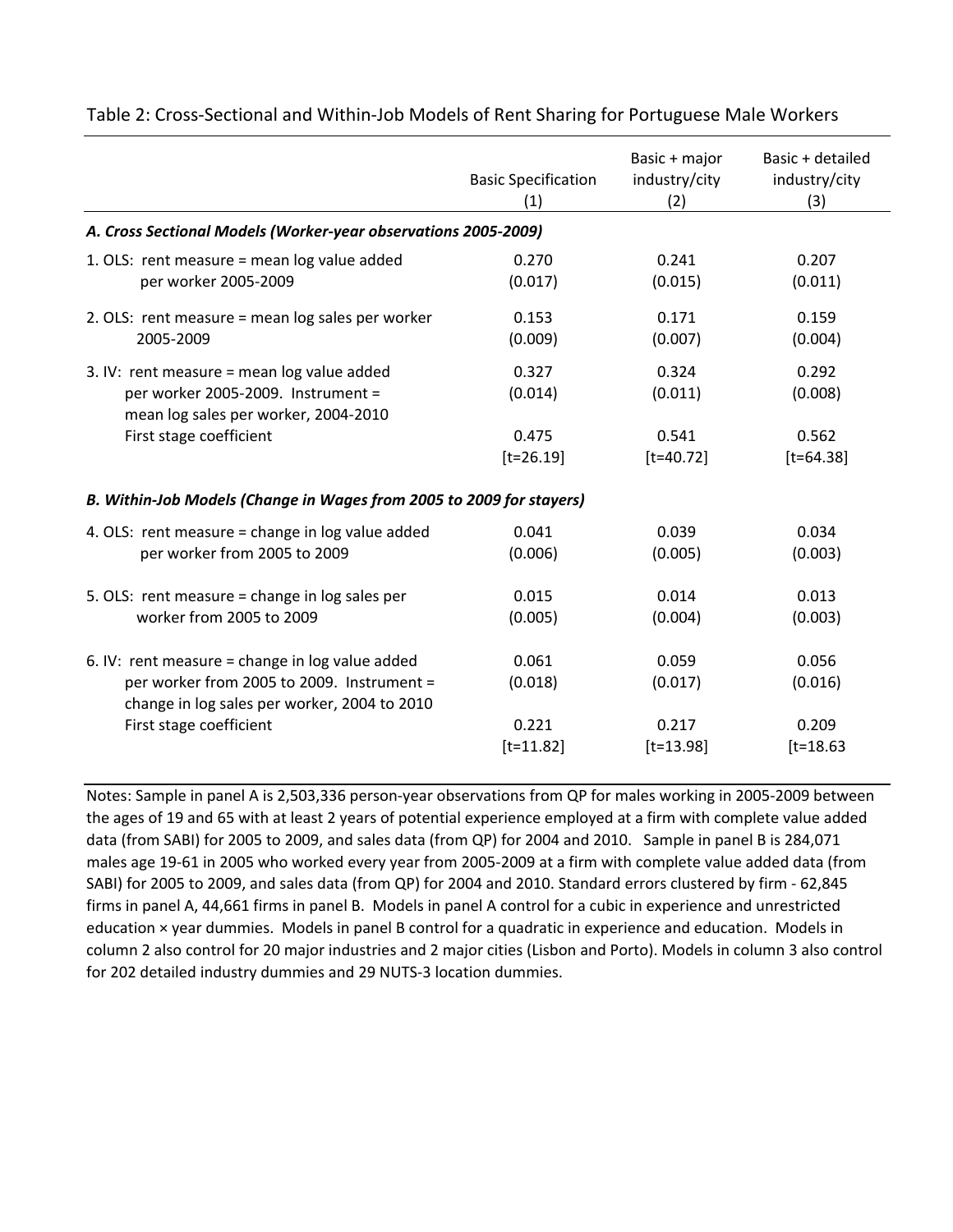|                                                                                                                                                 | <b>Basic Specification</b><br>(1) | Basic + major<br>industry/city<br>(2) | Basic + detailed<br>industry/city<br>(3) |  |  |  |
|-------------------------------------------------------------------------------------------------------------------------------------------------|-----------------------------------|---------------------------------------|------------------------------------------|--|--|--|
| A. Cross Sectional Models (Worker-year observations 2005-2009)                                                                                  |                                   |                                       |                                          |  |  |  |
| 1. OLS: rent measure = mean log value added                                                                                                     | 0.270                             | 0.241                                 | 0.207                                    |  |  |  |
| per worker 2005-2009                                                                                                                            | (0.017)                           | (0.015)                               | (0.011)                                  |  |  |  |
| 2. OLS: rent measure = mean log sales per worker                                                                                                | 0.153                             | 0.171                                 | 0.159                                    |  |  |  |
| 2005-2009                                                                                                                                       | (0.009)                           | (0.007)                               | (0.004)                                  |  |  |  |
| 3. IV: rent measure = mean $log$ value added<br>per worker 2005-2009. Instrument =<br>mean log sales per worker, 2004-2010                      | 0.327<br>(0.014)                  | 0.324<br>(0.011)                      | 0.292<br>(0.008)                         |  |  |  |
| First stage coefficient                                                                                                                         | 0.475                             | 0.541                                 | 0.562                                    |  |  |  |
|                                                                                                                                                 | $[t=26.19]$                       | $[t=40.72]$                           | $[t=64.38]$                              |  |  |  |
| B. Within-Job Models (Change in Wages from 2005 to 2009 for stayers)                                                                            |                                   |                                       |                                          |  |  |  |
| 4. OLS: rent measure = change in log value added                                                                                                | 0.041                             | 0.039                                 | 0.034                                    |  |  |  |
| per worker from 2005 to 2009                                                                                                                    | (0.006)                           | (0.005)                               | (0.003)                                  |  |  |  |
| 5. OLS: rent measure = change in log sales per                                                                                                  | 0.015                             | 0.014                                 | 0.013                                    |  |  |  |
| worker from 2005 to 2009                                                                                                                        | (0.005)                           | (0.004)                               | (0.003)                                  |  |  |  |
| 6. IV: rent measure = change in $log$ value added<br>per worker from 2005 to 2009. Instrument =<br>change in log sales per worker, 2004 to 2010 | 0.061<br>(0.018)                  | 0.059<br>(0.017)                      | 0.056<br>(0.016)                         |  |  |  |
| First stage coefficient                                                                                                                         | 0.221                             | 0.217                                 | 0.209                                    |  |  |  |
|                                                                                                                                                 | $[t=11.82]$                       | $[t=13.98]$                           | $[t=18.63]$                              |  |  |  |

Table 2: Cross‐Sectional and Within‐Job Models of Rent Sharing for Portuguese Male Workers

Notes: Sample in panel A is 2,503,336 person‐year observations from QP for males working in 2005‐2009 between the ages of 19 and 65 with at least 2 years of potential experience employed at a firm with complete value added data (from SABI) for 2005 to 2009, and sales data (from QP) for 2004 and 2010. Sample in panel B is 284,071 males age 19‐61 in 2005 who worked every year from 2005‐2009 at a firm with complete value added data (from SABI) for 2005 to 2009, and sales data (from QP) for 2004 and 2010. Standard errors clustered by firm ‐ 62,845 firms in panel A, 44,661 firms in panel B. Models in panel A control for a cubic in experience and unrestricted education × year dummies. Models in panel B control for a quadratic in experience and education. Models in column 2 also control for 20 major industries and 2 major cities (Lisbon and Porto). Models in column 3 also control for 202 detailed industry dummies and 29 NUTS‐3 location dummies.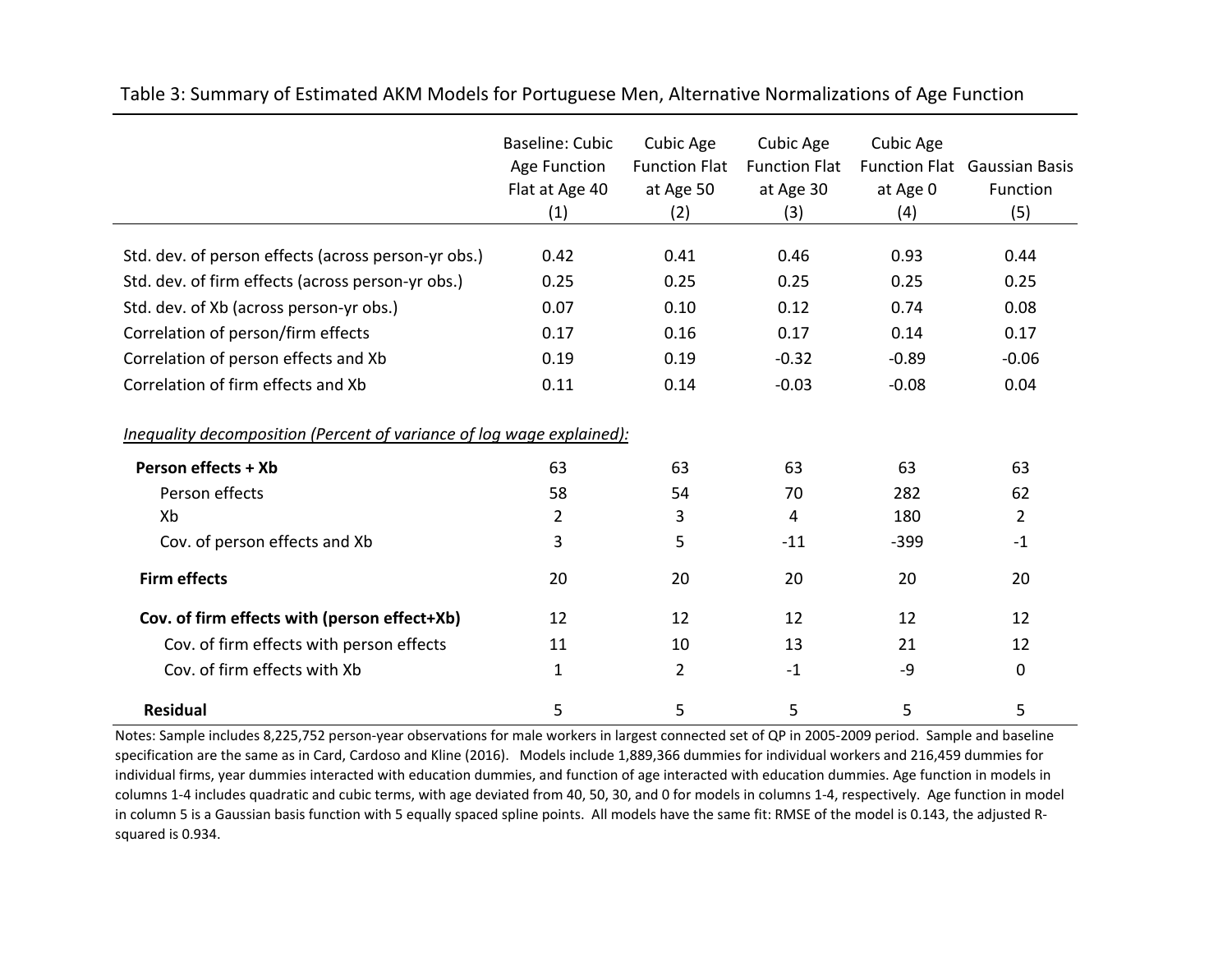|                                                                       | Baseline: Cubic | <b>Cubic Age</b>     | Cubic Age            | Cubic Age |                                     |
|-----------------------------------------------------------------------|-----------------|----------------------|----------------------|-----------|-------------------------------------|
|                                                                       | Age Function    | <b>Function Flat</b> | <b>Function Flat</b> |           | <b>Function Flat Gaussian Basis</b> |
|                                                                       | Flat at Age 40  | at Age 50            | at Age 30            | at Age 0  | Function                            |
|                                                                       | (1)             | (2)                  | (3)                  | (4)       | (5)                                 |
| Std. dev. of person effects (across person-yr obs.)                   | 0.42            | 0.41                 | 0.46                 | 0.93      | 0.44                                |
| Std. dev. of firm effects (across person-yr obs.)                     | 0.25            | 0.25                 | 0.25                 | 0.25      | 0.25                                |
| Std. dev. of Xb (across person-yr obs.)                               | 0.07            | 0.10                 | 0.12                 | 0.74      | 0.08                                |
| Correlation of person/firm effects                                    | 0.17            | 0.16                 | 0.17                 | 0.14      | 0.17                                |
| Correlation of person effects and Xb                                  | 0.19            | 0.19                 | $-0.32$              | $-0.89$   | $-0.06$                             |
| Correlation of firm effects and Xb                                    | 0.11            | 0.14                 | $-0.03$              | $-0.08$   | 0.04                                |
| Inequality decomposition (Percent of variance of log wage explained): |                 |                      |                      |           |                                     |
| Person effects + Xb                                                   | 63              | 63                   | 63                   | 63        | 63                                  |
| Person effects                                                        | 58              | 54                   | 70                   | 282       | 62                                  |
| Xb                                                                    | $\overline{2}$  | 3                    | 4                    | 180       | $\overline{2}$                      |
| Cov. of person effects and Xb                                         | 3               | 5                    | $-11$                | $-399$    | $-1$                                |
| <b>Firm effects</b>                                                   | 20              | 20                   | 20                   | 20        | 20                                  |
| Cov. of firm effects with (person effect+Xb)                          | 12              | 12                   | 12                   | 12        | 12                                  |
| Cov. of firm effects with person effects                              | 11              | 10                   | 13                   | 21        | 12                                  |
| Cov. of firm effects with Xb                                          | $\mathbf{1}$    | $\overline{2}$       | $-1$                 | -9        | 0                                   |
| <b>Residual</b>                                                       | 5               | 5                    | 5                    | 5         | 5                                   |

Table 3: Summary of Estimated AKM Models for Portuguese Men, Alternative Normalizations of Age Function

Notes: Sample includes 8,225,752 person‐year observations for male workers in largest connected set of QP in 2005‐2009 period. Sample and baseline specification are the same as in Card, Cardoso and Kline (2016). Models include 1,889,366 dummies for individual workers and 216,459 dummies for individual firms, year dummies interacted with education dummies, and function of age interacted with education dummies. Age function in models in columns 1‐4 includes quadratic and cubic terms, with age deviated from 40, 50, 30, and 0 for models in columns 1‐4, respectively. Age function in model in column 5 is <sup>a</sup> Gaussian basis function with 5 equally spaced spline points. All models have the same fit: RMSE of the model is 0.143, the adjusted R‐ squared is 0.934.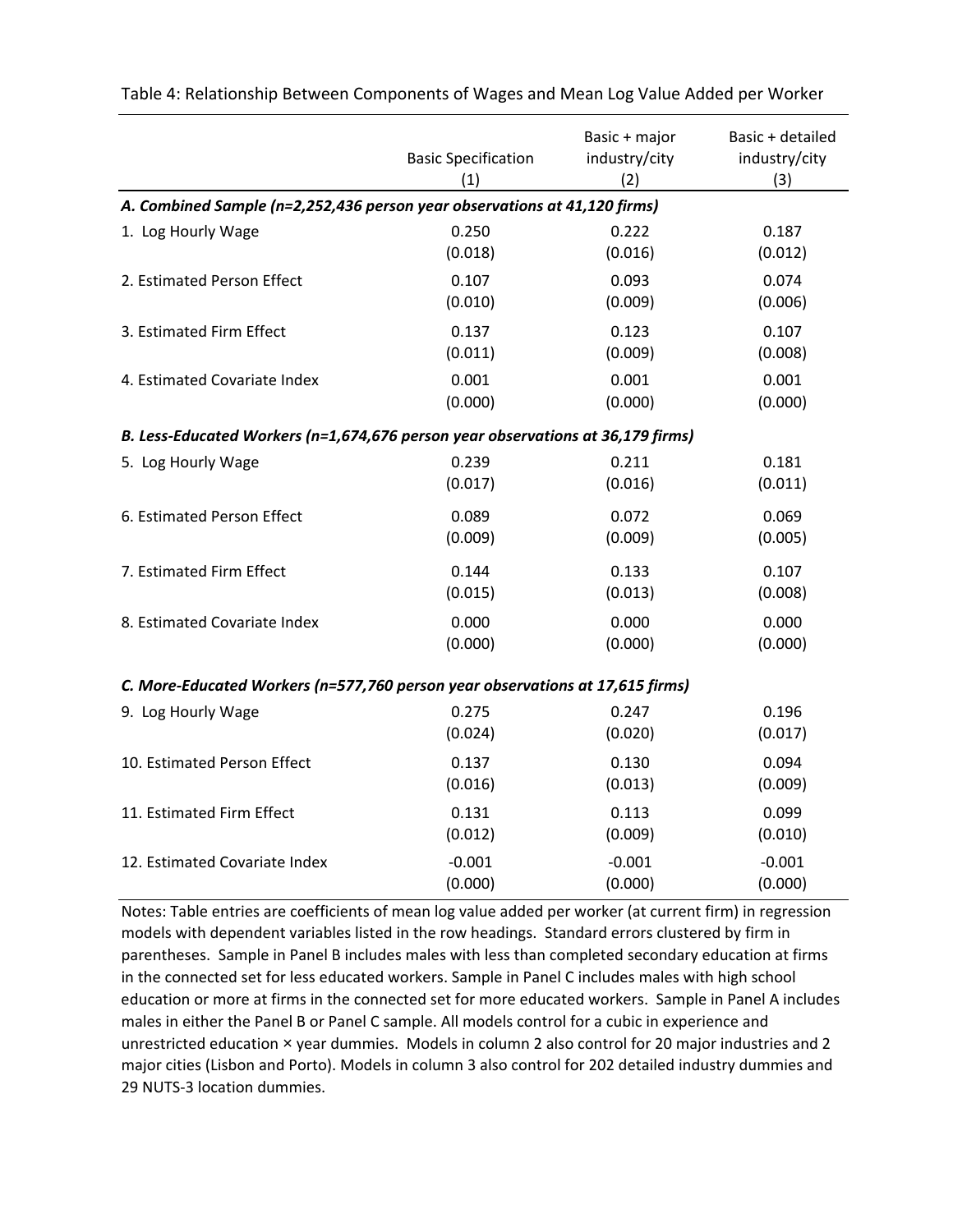|                                                                                 | <b>Basic Specification</b><br>(1) | Basic + major<br>industry/city<br>(2) | Basic + detailed<br>industry/city<br>(3) |  |  |
|---------------------------------------------------------------------------------|-----------------------------------|---------------------------------------|------------------------------------------|--|--|
| A. Combined Sample (n=2,252,436 person year observations at 41,120 firms)       |                                   |                                       |                                          |  |  |
| 1. Log Hourly Wage                                                              | 0.250                             | 0.222                                 | 0.187                                    |  |  |
|                                                                                 | (0.018)                           | (0.016)                               | (0.012)                                  |  |  |
| 2. Estimated Person Effect                                                      | 0.107                             | 0.093                                 | 0.074                                    |  |  |
|                                                                                 | (0.010)                           | (0.009)                               | (0.006)                                  |  |  |
| 3. Estimated Firm Effect                                                        | 0.137                             | 0.123                                 | 0.107                                    |  |  |
|                                                                                 | (0.011)                           | (0.009)                               | (0.008)                                  |  |  |
| 4. Estimated Covariate Index                                                    | 0.001                             | 0.001                                 | 0.001                                    |  |  |
|                                                                                 | (0.000)                           | (0.000)                               | (0.000)                                  |  |  |
| B. Less-Educated Workers (n=1,674,676 person year observations at 36,179 firms) |                                   |                                       |                                          |  |  |
| 5. Log Hourly Wage                                                              | 0.239                             | 0.211                                 | 0.181                                    |  |  |
|                                                                                 | (0.017)                           | (0.016)                               | (0.011)                                  |  |  |
| 6. Estimated Person Effect                                                      | 0.089                             | 0.072                                 | 0.069                                    |  |  |
|                                                                                 | (0.009)                           | (0.009)                               | (0.005)                                  |  |  |
| 7. Estimated Firm Effect                                                        | 0.144                             | 0.133                                 | 0.107                                    |  |  |
|                                                                                 | (0.015)                           | (0.013)                               | (0.008)                                  |  |  |
| 8. Estimated Covariate Index                                                    | 0.000                             | 0.000                                 | 0.000                                    |  |  |
|                                                                                 | (0.000)                           | (0.000)                               | (0.000)                                  |  |  |
| C. More-Educated Workers (n=577,760 person year observations at 17,615 firms)   |                                   |                                       |                                          |  |  |
| 9. Log Hourly Wage                                                              | 0.275                             | 0.247                                 | 0.196                                    |  |  |
|                                                                                 | (0.024)                           | (0.020)                               | (0.017)                                  |  |  |
| 10. Estimated Person Effect                                                     | 0.137                             | 0.130                                 | 0.094                                    |  |  |
|                                                                                 | (0.016)                           | (0.013)                               | (0.009)                                  |  |  |
| 11. Estimated Firm Effect                                                       | 0.131                             | 0.113                                 | 0.099                                    |  |  |
|                                                                                 | (0.012)                           | (0.009)                               | (0.010)                                  |  |  |
| 12. Estimated Covariate Index                                                   | $-0.001$                          | $-0.001$                              | $-0.001$                                 |  |  |
|                                                                                 | (0.000)                           | (0.000)                               | (0.000)                                  |  |  |

Table 4: Relationship Between Components of Wages and Mean Log Value Added per Worker

Notes: Table entries are coefficients of mean log value added per worker (at current firm) in regression models with dependent variables listed in the row headings. Standard errors clustered by firm in parentheses. Sample in Panel B includes males with less than completed secondary education at firms in the connected set for less educated workers. Sample in Panel C includes males with high school education or more at firms in the connected set for more educated workers. Sample in Panel A includes males in either the Panel B or Panel C sample. All models control for a cubic in experience and unrestricted education x year dummies. Models in column 2 also control for 20 major industries and 2 major cities (Lisbon and Porto). Models in column 3 also control for 202 detailed industry dummies and 29 NUTS‐3 location dummies.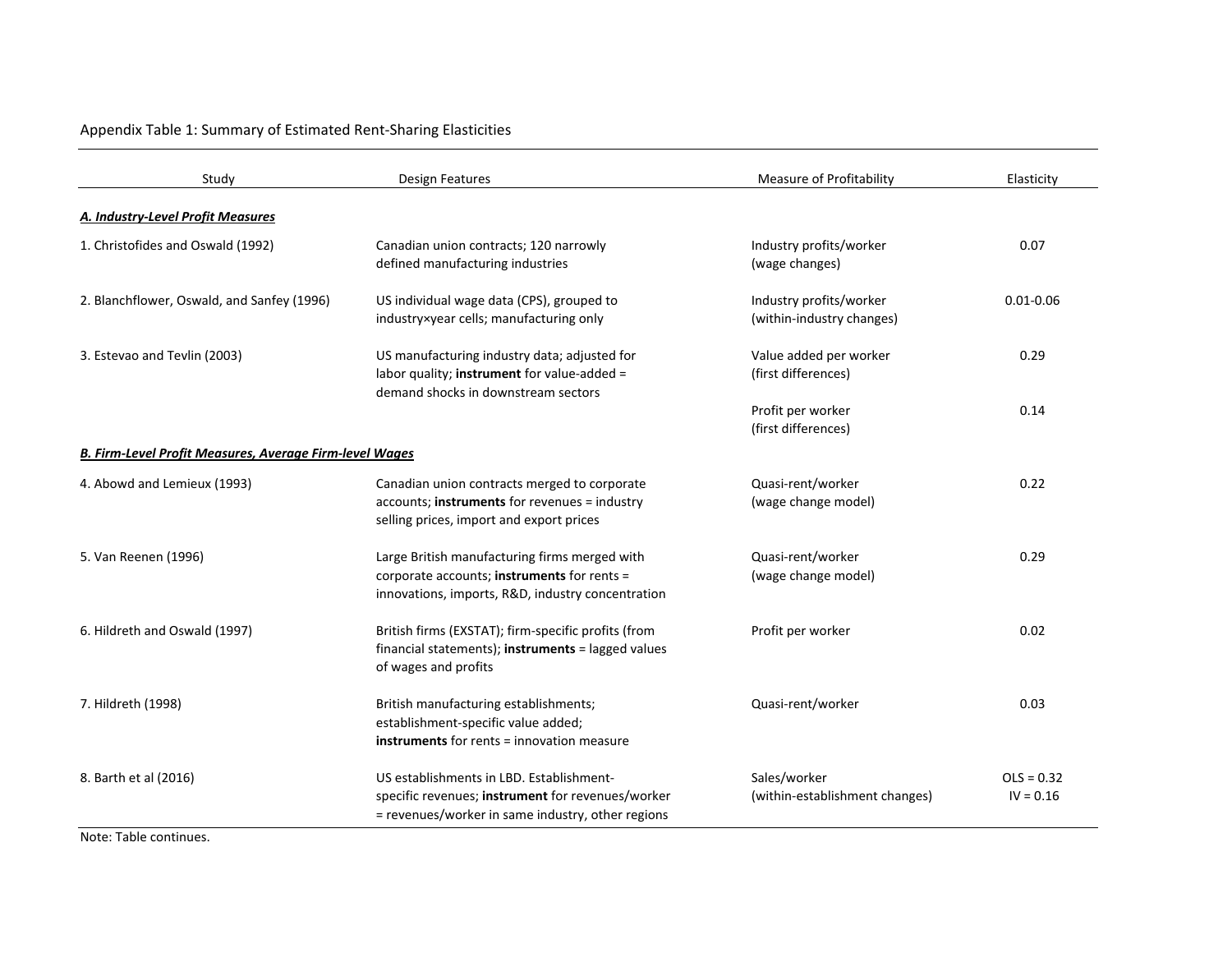# Appendix Table 1: Summary of Estimated Rent‐Sharing Elasticities

| Study                                                   | Design Features                                                                                                                                    | Measure of Profitability                             | Elasticity                  |
|---------------------------------------------------------|----------------------------------------------------------------------------------------------------------------------------------------------------|------------------------------------------------------|-----------------------------|
| A. Industry-Level Profit Measures                       |                                                                                                                                                    |                                                      |                             |
| 1. Christofides and Oswald (1992)                       | Canadian union contracts; 120 narrowly<br>defined manufacturing industries                                                                         | Industry profits/worker<br>(wage changes)            | 0.07                        |
| 2. Blanchflower, Oswald, and Sanfey (1996)              | US individual wage data (CPS), grouped to<br>industry×year cells; manufacturing only                                                               | Industry profits/worker<br>(within-industry changes) | $0.01 - 0.06$               |
| 3. Estevao and Tevlin (2003)                            | US manufacturing industry data; adjusted for<br>labor quality; instrument for value-added =<br>demand shocks in downstream sectors                 | Value added per worker<br>(first differences)        | 0.29                        |
|                                                         |                                                                                                                                                    | Profit per worker<br>(first differences)             | 0.14                        |
| B. Firm-Level Profit Measures, Average Firm-level Wages |                                                                                                                                                    |                                                      |                             |
| 4. Abowd and Lemieux (1993)                             | Canadian union contracts merged to corporate<br>accounts; instruments for revenues = industry<br>selling prices, import and export prices          | Quasi-rent/worker<br>(wage change model)             | 0.22                        |
| 5. Van Reenen (1996)                                    | Large British manufacturing firms merged with<br>corporate accounts; instruments for rents =<br>innovations, imports, R&D, industry concentration  | Quasi-rent/worker<br>(wage change model)             | 0.29                        |
| 6. Hildreth and Oswald (1997)                           | British firms (EXSTAT); firm-specific profits (from<br>financial statements); instruments = lagged values<br>of wages and profits                  | Profit per worker                                    | 0.02                        |
| 7. Hildreth (1998)                                      | British manufacturing establishments;<br>establishment-specific value added;<br><b>instruments</b> for rents = innovation measure                  | Quasi-rent/worker                                    | 0.03                        |
| 8. Barth et al (2016)                                   | US establishments in LBD. Establishment-<br>specific revenues; instrument for revenues/worker<br>= revenues/worker in same industry, other regions | Sales/worker<br>(within-establishment changes)       | $OLS = 0.32$<br>$IV = 0.16$ |

Note: Table continues.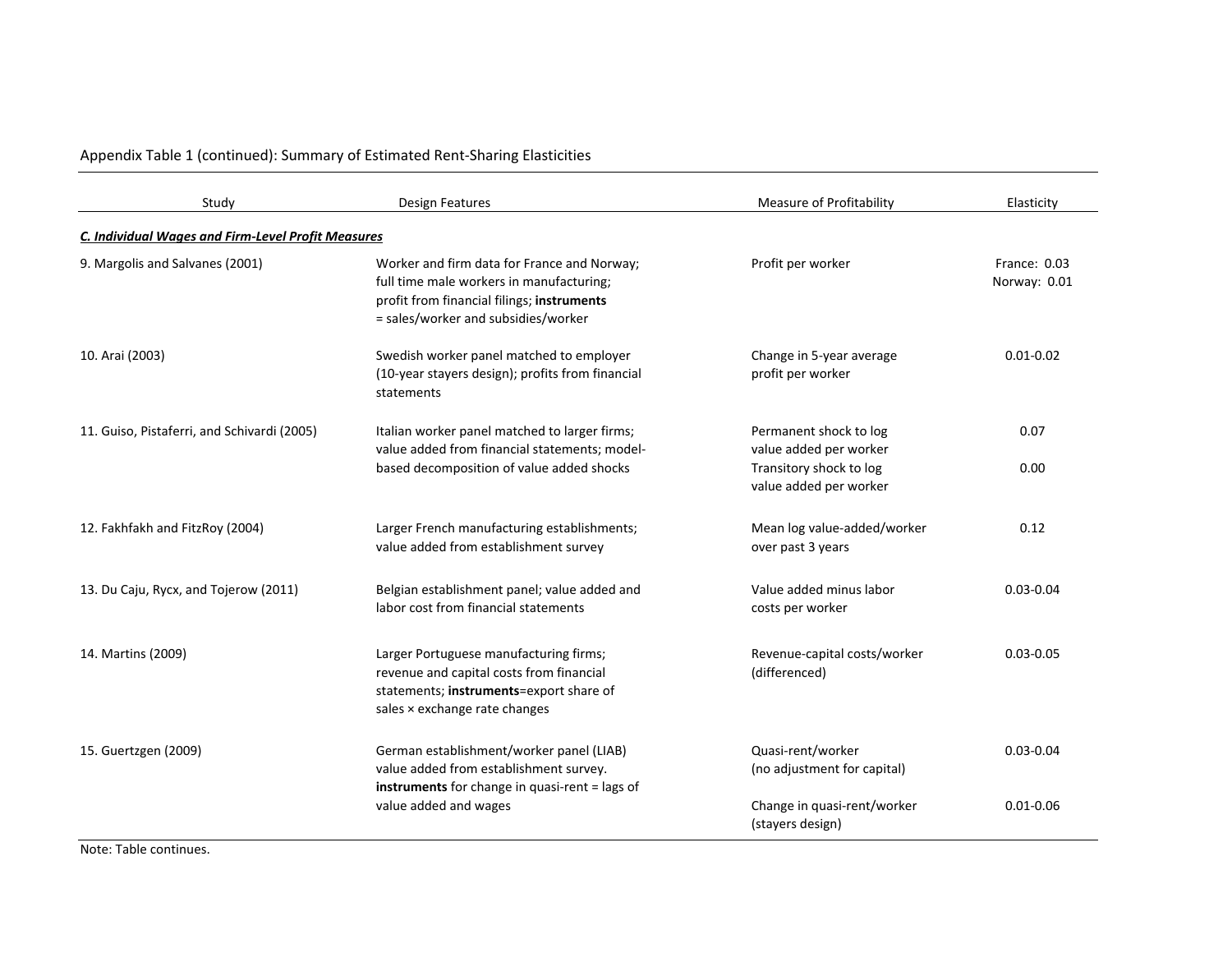Appendix Table 1 (continued): Summary of Estimated Rent‐Sharing Elasticities

| Study                                              | <b>Design Features</b>                                                                                                                                                       | <b>Measure of Profitability</b>                   | Elasticity                   |
|----------------------------------------------------|------------------------------------------------------------------------------------------------------------------------------------------------------------------------------|---------------------------------------------------|------------------------------|
| C. Individual Wages and Firm-Level Profit Measures |                                                                                                                                                                              |                                                   |                              |
| 9. Margolis and Salvanes (2001)                    | Worker and firm data for France and Norway;<br>full time male workers in manufacturing;<br>profit from financial filings; instruments<br>= sales/worker and subsidies/worker | Profit per worker                                 | France: 0.03<br>Norway: 0.01 |
| 10. Arai (2003)                                    | Swedish worker panel matched to employer<br>(10-year stayers design); profits from financial<br>statements                                                                   | Change in 5-year average<br>profit per worker     | $0.01 - 0.02$                |
| 11. Guiso, Pistaferri, and Schivardi (2005)        | Italian worker panel matched to larger firms;<br>value added from financial statements; model-                                                                               | Permanent shock to log<br>value added per worker  | 0.07                         |
|                                                    | based decomposition of value added shocks                                                                                                                                    | Transitory shock to log<br>value added per worker | 0.00                         |
| 12. Fakhfakh and FitzRoy (2004)                    | Larger French manufacturing establishments;<br>value added from establishment survey                                                                                         | Mean log value-added/worker<br>over past 3 years  | 0.12                         |
| 13. Du Caju, Rycx, and Tojerow (2011)              | Belgian establishment panel; value added and<br>labor cost from financial statements                                                                                         | Value added minus labor<br>costs per worker       | $0.03 - 0.04$                |
| 14. Martins (2009)                                 | Larger Portuguese manufacturing firms;<br>revenue and capital costs from financial<br>statements; instruments=export share of<br>sales × exchange rate changes               | Revenue-capital costs/worker<br>(differenced)     | $0.03 - 0.05$                |
| 15. Guertzgen (2009)                               | German establishment/worker panel (LIAB)<br>value added from establishment survey.<br>instruments for change in quasi-rent = lags of                                         | Quasi-rent/worker<br>(no adjustment for capital)  | $0.03 - 0.04$                |
|                                                    | value added and wages                                                                                                                                                        | Change in quasi-rent/worker<br>(stayers design)   | $0.01 - 0.06$                |

Note: Table continues.